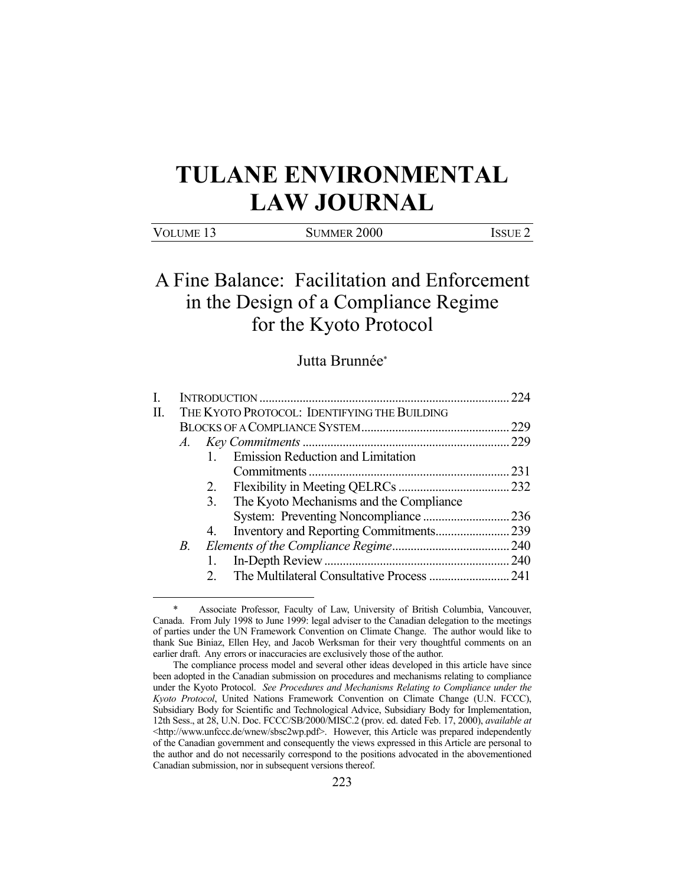# **TULANE ENVIRONMENTAL LAW JOURNAL**

| Volume 13 | <b>SUMMER 2000</b> | Issue <sup>2</sup> |
|-----------|--------------------|--------------------|
|           |                    |                    |

## A Fine Balance: Facilitation and Enforcement in the Design of a Compliance Regime for the Kyoto Protocol

### Jutta Brunnée\*

|    |                                              |                                            | 224 |  |
|----|----------------------------------------------|--------------------------------------------|-----|--|
| П. | THE KYOTO PROTOCOL: IDENTIFYING THE BUILDING |                                            |     |  |
|    |                                              |                                            |     |  |
|    | A.                                           |                                            |     |  |
|    |                                              | <b>Emission Reduction and Limitation</b>   |     |  |
|    |                                              |                                            |     |  |
|    |                                              |                                            |     |  |
|    |                                              | 3. The Kyoto Mechanisms and the Compliance |     |  |
|    |                                              |                                            |     |  |
|    |                                              | 4.                                         |     |  |
|    | B.                                           |                                            |     |  |
|    |                                              | 1.                                         |     |  |
|    |                                              |                                            |     |  |
|    |                                              |                                            |     |  |

Associate Professor, Faculty of Law, University of British Columbia, Vancouver, Canada. From July 1998 to June 1999: legal adviser to the Canadian delegation to the meetings of parties under the UN Framework Convention on Climate Change. The author would like to thank Sue Biniaz, Ellen Hey, and Jacob Werksman for their very thoughtful comments on an earlier draft. Any errors or inaccuracies are exclusively those of the author.

The compliance process model and several other ideas developed in this article have since been adopted in the Canadian submission on procedures and mechanisms relating to compliance under the Kyoto Protocol. *See Procedures and Mechanisms Relating to Compliance under the Kyoto Protocol*, United Nations Framework Convention on Climate Change (U.N. FCCC), Subsidiary Body for Scientific and Technological Advice, Subsidiary Body for Implementation, 12th Sess., at 28, U.N. Doc. FCCC/SB/2000/MISC.2 (prov. ed. dated Feb. 17, 2000), *available at* <http://www.unfccc.de/wnew/sbsc2wp.pdf>. However, this Article was prepared independently of the Canadian government and consequently the views expressed in this Article are personal to the author and do not necessarily correspond to the positions advocated in the abovementioned Canadian submission, nor in subsequent versions thereof.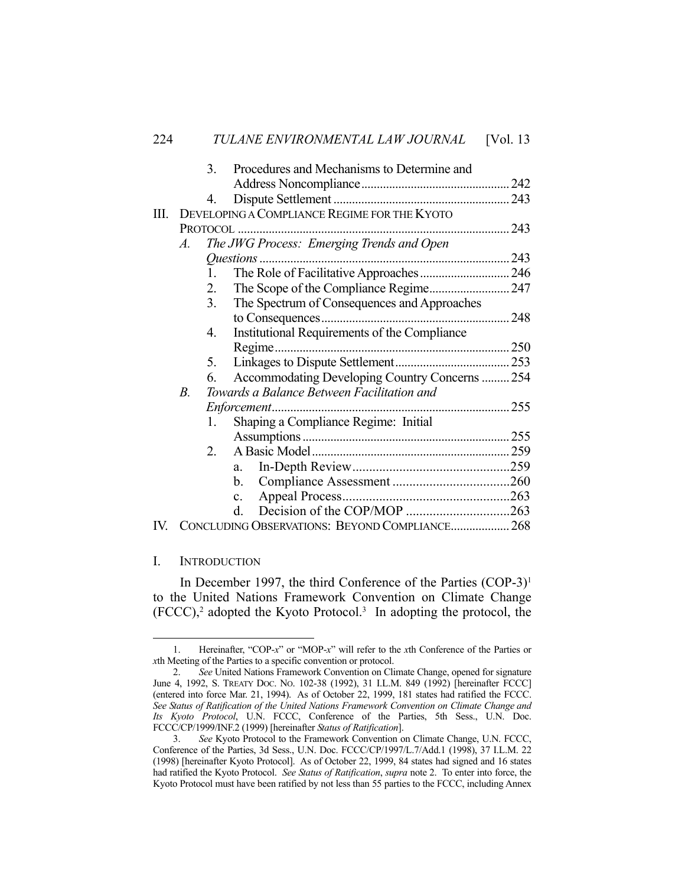|      |    | 3.             | Procedures and Mechanisms to Determine and     |  |
|------|----|----------------|------------------------------------------------|--|
|      |    |                |                                                |  |
|      |    | 4.             |                                                |  |
| III. |    |                | DEVELOPING A COMPLIANCE REGIME FOR THE KYOTO   |  |
|      |    |                |                                                |  |
|      | A. |                | The JWG Process: Emerging Trends and Open      |  |
|      |    |                |                                                |  |
|      |    | $\mathbf{1}$ . |                                                |  |
|      |    | 2.             |                                                |  |
|      |    | 3.             | The Spectrum of Consequences and Approaches    |  |
|      |    |                |                                                |  |
|      |    | 4.             | Institutional Requirements of the Compliance   |  |
|      |    |                |                                                |  |
|      |    | 5.             |                                                |  |
|      |    | 6.             | Accommodating Developing Country Concerns  254 |  |
|      | В. |                | Towards a Balance Between Facilitation and     |  |
|      |    |                |                                                |  |
|      |    | 1.             | Shaping a Compliance Regime: Initial           |  |
|      |    |                |                                                |  |
|      |    | $2^{+}$        |                                                |  |
|      |    |                | a.                                             |  |
|      |    |                | $\mathbf{b}$ .                                 |  |
|      |    |                | $c_{\rm}$                                      |  |
|      |    |                | d.                                             |  |
| IV.  |    |                | CONCLUDING OBSERVATIONS: BEYOND COMPLIANCE 268 |  |

#### I. INTRODUCTION

<u>.</u>

In December 1997, the third Conference of the Parties  $(COP-3)^1$ to the United Nations Framework Convention on Climate Change  $(FCCC),<sup>2</sup>$  adopted the Kyoto Protocol.<sup>3</sup> In adopting the protocol, the

 <sup>1.</sup> Hereinafter, "COP-*x*" or "MOP-*x*" will refer to the *x*th Conference of the Parties or *x*th Meeting of the Parties to a specific convention or protocol.

 <sup>2.</sup> *See* United Nations Framework Convention on Climate Change, opened for signature June 4, 1992, S. TREATY DOC. NO. 102-38 (1992), 31 I.L.M. 849 (1992) [hereinafter FCCC] (entered into force Mar. 21, 1994). As of October 22, 1999, 181 states had ratified the FCCC. *See Status of Ratification of the United Nations Framework Convention on Climate Change and Its Kyoto Protocol*, U.N. FCCC, Conference of the Parties, 5th Sess., U.N. Doc. FCCC/CP/1999/INF.2 (1999) [hereinafter *Status of Ratification*].

 <sup>3.</sup> *See* Kyoto Protocol to the Framework Convention on Climate Change, U.N. FCCC, Conference of the Parties, 3d Sess., U.N. Doc. FCCC/CP/1997/L.7/Add.1 (1998), 37 I.L.M. 22 (1998) [hereinafter Kyoto Protocol]. As of October 22, 1999, 84 states had signed and 16 states had ratified the Kyoto Protocol. *See Status of Ratification*, *supra* note 2. To enter into force, the Kyoto Protocol must have been ratified by not less than 55 parties to the FCCC, including Annex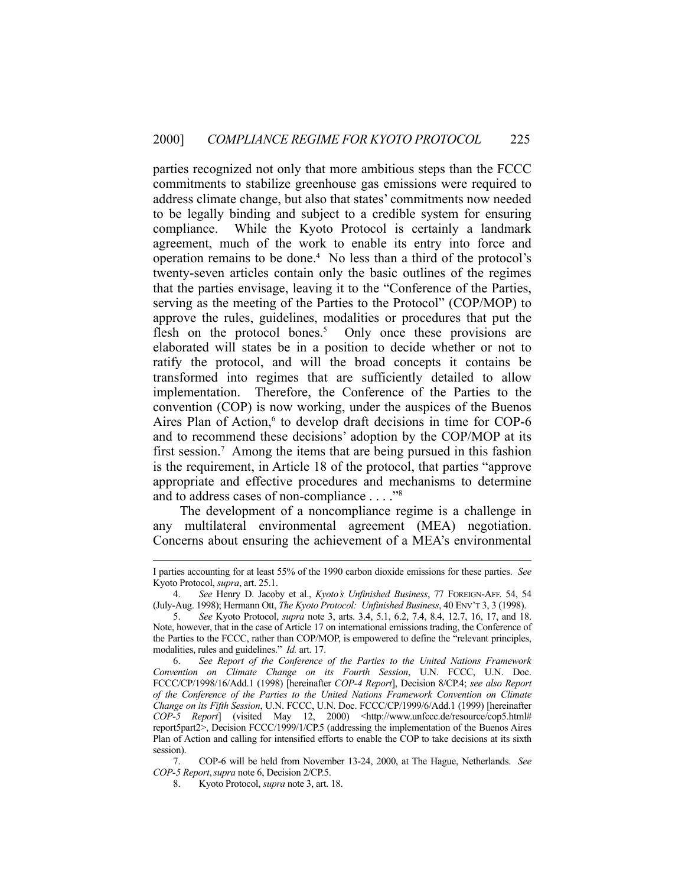parties recognized not only that more ambitious steps than the FCCC commitments to stabilize greenhouse gas emissions were required to address climate change, but also that states' commitments now needed to be legally binding and subject to a credible system for ensuring compliance. While the Kyoto Protocol is certainly a landmark agreement, much of the work to enable its entry into force and operation remains to be done.4 No less than a third of the protocol's twenty-seven articles contain only the basic outlines of the regimes that the parties envisage, leaving it to the "Conference of the Parties, serving as the meeting of the Parties to the Protocol" (COP/MOP) to approve the rules, guidelines, modalities or procedures that put the flesh on the protocol bones.<sup>5</sup> Only once these provisions are elaborated will states be in a position to decide whether or not to ratify the protocol, and will the broad concepts it contains be transformed into regimes that are sufficiently detailed to allow implementation. Therefore, the Conference of the Parties to the convention (COP) is now working, under the auspices of the Buenos Aires Plan of Action, $6$  to develop draft decisions in time for COP-6 and to recommend these decisions' adoption by the COP/MOP at its first session.<sup>7</sup> Among the items that are being pursued in this fashion is the requirement, in Article 18 of the protocol, that parties "approve appropriate and effective procedures and mechanisms to determine and to address cases of non-compliance . . . ."8

 The development of a noncompliance regime is a challenge in any multilateral environmental agreement (MEA) negotiation. Concerns about ensuring the achievement of a MEA's environmental

 7. COP-6 will be held from November 13-24, 2000, at The Hague, Netherlands. *See COP-5 Report*,*supra* note 6, Decision 2/CP.5.

8. Kyoto Protocol, *supra* note 3, art. 18.

I parties accounting for at least 55% of the 1990 carbon dioxide emissions for these parties. *See* Kyoto Protocol, *supra*, art. 25.1.

 <sup>4.</sup> *See* Henry D. Jacoby et al., *Kyoto's Unfinished Business*, 77 FOREIGN-AFF. 54, 54 (July-Aug. 1998); Hermann Ott, *The Kyoto Protocol: Unfinished Business*, 40 ENV'T 3, 3 (1998).

 <sup>5.</sup> *See* Kyoto Protocol, *supra* note 3, arts. 3.4, 5.1, 6.2, 7.4, 8.4, 12.7, 16, 17, and 18. Note, however, that in the case of Article 17 on international emissions trading, the Conference of the Parties to the FCCC, rather than COP/MOP, is empowered to define the "relevant principles, modalities, rules and guidelines." *Id.* art. 17.

 <sup>6.</sup> *See Report of the Conference of the Parties to the United Nations Framework Convention on Climate Change on its Fourth Session*, U.N. FCCC, U.N. Doc. FCCC/CP/1998/16/Add.1 (1998) [hereinafter *COP-4 Report*], Decision 8/CP.4; *see also Report of the Conference of the Parties to the United Nations Framework Convention on Climate Change on its Fifth Session*, U.N. FCCC, U.N. Doc. FCCC/CP/1999/6/Add.1 (1999) [hereinafter *COP-5 Report*] (visited May 12, 2000) <http://www.unfccc.de/resource/cop5.html# report5part2>, Decision FCCC/1999/1/CP.5 (addressing the implementation of the Buenos Aires Plan of Action and calling for intensified efforts to enable the COP to take decisions at its sixth session).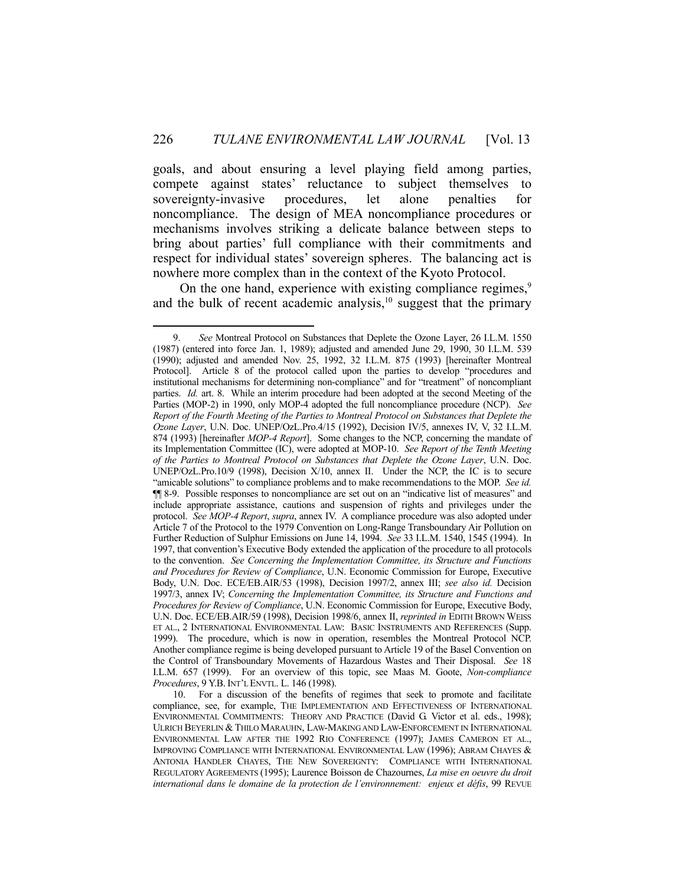goals, and about ensuring a level playing field among parties, compete against states' reluctance to subject themselves to sovereignty-invasive procedures, let alone penalties for noncompliance. The design of MEA noncompliance procedures or mechanisms involves striking a delicate balance between steps to bring about parties' full compliance with their commitments and respect for individual states' sovereign spheres. The balancing act is nowhere more complex than in the context of the Kyoto Protocol.

On the one hand, experience with existing compliance regimes,<sup>9</sup> and the bulk of recent academic analysis, $10$  suggest that the primary

 <sup>9.</sup> *See* Montreal Protocol on Substances that Deplete the Ozone Layer, 26 I.L.M. 1550 (1987) (entered into force Jan. 1, 1989); adjusted and amended June 29, 1990, 30 I.L.M. 539 (1990); adjusted and amended Nov. 25, 1992, 32 I.L.M. 875 (1993) [hereinafter Montreal Protocol]. Article 8 of the protocol called upon the parties to develop "procedures and institutional mechanisms for determining non-compliance" and for "treatment" of noncompliant parties. *Id.* art. 8. While an interim procedure had been adopted at the second Meeting of the Parties (MOP-2) in 1990, only MOP-4 adopted the full noncompliance procedure (NCP). *See Report of the Fourth Meeting of the Parties to Montreal Protocol on Substances that Deplete the Ozone Layer*, U.N. Doc. UNEP/OzL.Pro.4/15 (1992), Decision IV/5, annexes IV, V, 32 I.L.M. 874 (1993) [hereinafter *MOP-4 Report*]. Some changes to the NCP, concerning the mandate of its Implementation Committee (IC), were adopted at MOP-10. *See Report of the Tenth Meeting of the Parties to Montreal Protocol on Substances that Deplete the Ozone Layer*, U.N. Doc. UNEP/OzL.Pro.10/9 (1998), Decision X/10, annex II. Under the NCP, the IC is to secure "amicable solutions" to compliance problems and to make recommendations to the MOP. *See id.* ¶¶ 8-9. Possible responses to noncompliance are set out on an "indicative list of measures" and include appropriate assistance, cautions and suspension of rights and privileges under the protocol. *See MOP-4 Report*, *supra*, annex IV. A compliance procedure was also adopted under Article 7 of the Protocol to the 1979 Convention on Long-Range Transboundary Air Pollution on Further Reduction of Sulphur Emissions on June 14, 1994. *See* 33 I.L.M. 1540, 1545 (1994). In 1997, that convention's Executive Body extended the application of the procedure to all protocols to the convention. *See Concerning the Implementation Committee, its Structure and Functions and Procedures for Review of Compliance*, U.N. Economic Commission for Europe, Executive Body, U.N. Doc. ECE/EB.AIR/53 (1998), Decision 1997/2, annex III; *see also id.* Decision 1997/3, annex IV; *Concerning the Implementation Committee, its Structure and Functions and Procedures for Review of Compliance*, U.N. Economic Commission for Europe, Executive Body, U.N. Doc. ECE/EB.AIR/59 (1998), Decision 1998/6, annex II, *reprinted in* EDITH BROWN WEISS ET AL., 2 INTERNATIONAL ENVIRONMENTAL LAW: BASIC INSTRUMENTS AND REFERENCES (Supp. 1999). The procedure, which is now in operation, resembles the Montreal Protocol NCP. Another compliance regime is being developed pursuant to Article 19 of the Basel Convention on the Control of Transboundary Movements of Hazardous Wastes and Their Disposal. *See* 18 I.L.M. 657 (1999). For an overview of this topic, see Maas M. Goote, *Non-compliance Procedures*, 9 Y.B.INT'L ENVTL. L. 146 (1998).

 <sup>10.</sup> For a discussion of the benefits of regimes that seek to promote and facilitate compliance, see, for example, THE IMPLEMENTATION AND EFFECTIVENESS OF INTERNATIONAL ENVIRONMENTAL COMMITMENTS: THEORY AND PRACTICE (David G. Victor et al. eds., 1998); ULRICH BEYERLIN &THILO MARAUHN, LAW-MAKING AND LAW-ENFORCEMENT IN INTERNATIONAL ENVIRONMENTAL LAW AFTER THE 1992 RIO CONFERENCE (1997); JAMES CAMERON ET AL., IMPROVING COMPLIANCE WITH INTERNATIONAL ENVIRONMENTAL LAW (1996); ABRAM CHAYES & ANTONIA HANDLER CHAYES, THE NEW SOVEREIGNTY: COMPLIANCE WITH INTERNATIONAL REGULATORY AGREEMENTS (1995); Laurence Boisson de Chazournes, *La mise en oeuvre du droit international dans le domaine de la protection de l'environnement: enjeux et défis*, 99 REVUE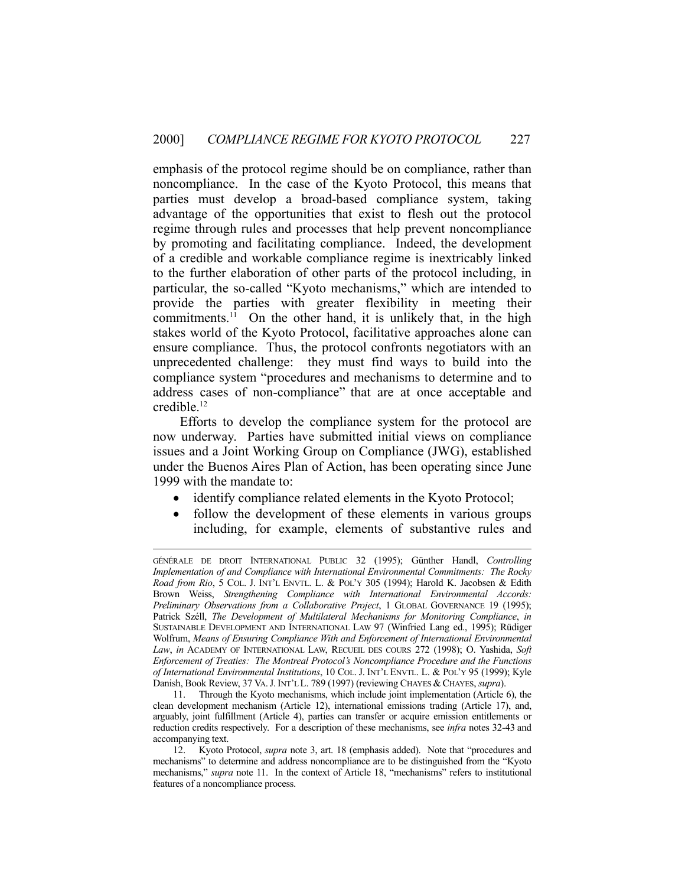emphasis of the protocol regime should be on compliance, rather than noncompliance. In the case of the Kyoto Protocol, this means that parties must develop a broad-based compliance system, taking advantage of the opportunities that exist to flesh out the protocol regime through rules and processes that help prevent noncompliance by promoting and facilitating compliance. Indeed, the development of a credible and workable compliance regime is inextricably linked to the further elaboration of other parts of the protocol including, in particular, the so-called "Kyoto mechanisms," which are intended to provide the parties with greater flexibility in meeting their commitments.<sup>11</sup> On the other hand, it is unlikely that, in the high stakes world of the Kyoto Protocol, facilitative approaches alone can ensure compliance. Thus, the protocol confronts negotiators with an unprecedented challenge: they must find ways to build into the compliance system "procedures and mechanisms to determine and to address cases of non-compliance" that are at once acceptable and credible.12

 Efforts to develop the compliance system for the protocol are now underway. Parties have submitted initial views on compliance issues and a Joint Working Group on Compliance (JWG), established under the Buenos Aires Plan of Action, has been operating since June 1999 with the mandate to:

- identify compliance related elements in the Kyoto Protocol;
- follow the development of these elements in various groups including, for example, elements of substantive rules and

 11. Through the Kyoto mechanisms, which include joint implementation (Article 6), the clean development mechanism (Article 12), international emissions trading (Article 17), and, arguably, joint fulfillment (Article 4), parties can transfer or acquire emission entitlements or reduction credits respectively. For a description of these mechanisms, see *infra* notes 32-43 and accompanying text.

GÉNÉRALE DE DROIT INTERNATIONAL PUBLIC 32 (1995); Günther Handl, *Controlling Implementation of and Compliance with International Environmental Commitments: The Rocky Road from Rio*, 5 COL. J. INT'L ENVTL. L. & POL'Y 305 (1994); Harold K. Jacobsen & Edith Brown Weiss, *Strengthening Compliance with International Environmental Accords: Preliminary Observations from a Collaborative Project*, 1 GLOBAL GOVERNANCE 19 (1995); Patrick Széll, *The Development of Multilateral Mechanisms for Monitoring Compliance*, *in* SUSTAINABLE DEVELOPMENT AND INTERNATIONAL LAW 97 (Winfried Lang ed., 1995); Rüdiger Wolfrum, *Means of Ensuring Compliance With and Enforcement of International Environmental Law*, *in* ACADEMY OF INTERNATIONAL LAW, RECUEIL DES COURS 272 (1998); O. Yashida, *Soft Enforcement of Treaties: The Montreal Protocol's Noncompliance Procedure and the Functions of International Environmental Institutions*, 10 COL. J. INT'L ENVTL. L. & POL'Y 95 (1999); Kyle Danish, Book Review, 37 VA.J.INT'L L. 789 (1997) (reviewing CHAYES & CHAYES, *supra*).

 <sup>12.</sup> Kyoto Protocol, *supra* note 3, art. 18 (emphasis added). Note that "procedures and mechanisms" to determine and address noncompliance are to be distinguished from the "Kyoto mechanisms," *supra* note 11. In the context of Article 18, "mechanisms" refers to institutional features of a noncompliance process.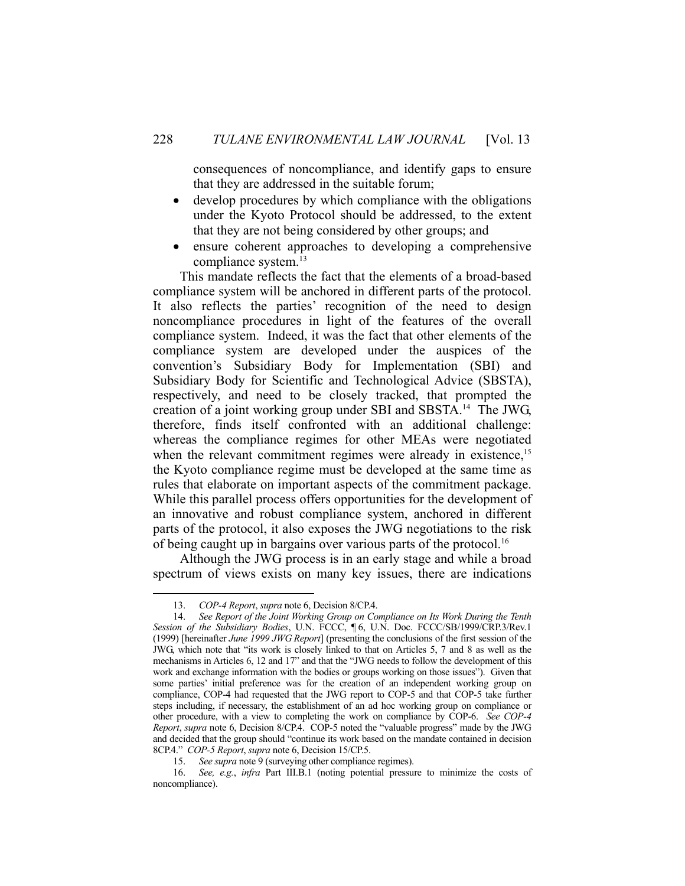consequences of noncompliance, and identify gaps to ensure that they are addressed in the suitable forum;

- develop procedures by which compliance with the obligations under the Kyoto Protocol should be addressed, to the extent that they are not being considered by other groups; and
- ensure coherent approaches to developing a comprehensive compliance system.13

 This mandate reflects the fact that the elements of a broad-based compliance system will be anchored in different parts of the protocol. It also reflects the parties' recognition of the need to design noncompliance procedures in light of the features of the overall compliance system. Indeed, it was the fact that other elements of the compliance system are developed under the auspices of the convention's Subsidiary Body for Implementation (SBI) and Subsidiary Body for Scientific and Technological Advice (SBSTA), respectively, and need to be closely tracked, that prompted the creation of a joint working group under SBI and SBSTA.14 The JWG, therefore, finds itself confronted with an additional challenge: whereas the compliance regimes for other MEAs were negotiated when the relevant commitment regimes were already in existence,<sup>15</sup> the Kyoto compliance regime must be developed at the same time as rules that elaborate on important aspects of the commitment package. While this parallel process offers opportunities for the development of an innovative and robust compliance system, anchored in different parts of the protocol, it also exposes the JWG negotiations to the risk of being caught up in bargains over various parts of the protocol.<sup>16</sup>

 Although the JWG process is in an early stage and while a broad spectrum of views exists on many key issues, there are indications

 <sup>13.</sup> *COP-4 Report*, *supra* note 6, Decision 8/CP.4.

 <sup>14.</sup> *See Report of the Joint Working Group on Compliance on Its Work During the Tenth Session of the Subsidiary Bodies*, U.N. FCCC, ¶ 6, U.N. Doc. FCCC/SB/1999/CRP.3/Rev.1 (1999) [hereinafter *June 1999 JWG Report*] (presenting the conclusions of the first session of the JWG, which note that "its work is closely linked to that on Articles 5, 7 and 8 as well as the mechanisms in Articles 6, 12 and 17" and that the "JWG needs to follow the development of this work and exchange information with the bodies or groups working on those issues"). Given that some parties' initial preference was for the creation of an independent working group on compliance, COP-4 had requested that the JWG report to COP-5 and that COP-5 take further steps including, if necessary, the establishment of an ad hoc working group on compliance or other procedure, with a view to completing the work on compliance by COP-6. *See COP-4 Report*, *supra* note 6, Decision 8/CP.4. COP-5 noted the "valuable progress" made by the JWG and decided that the group should "continue its work based on the mandate contained in decision 8CP.4." *COP-5 Report*, *supra* note 6, Decision 15/CP.5.

 <sup>15.</sup> *See supra* note 9 (surveying other compliance regimes).

 <sup>16.</sup> *See, e.g.*, *infra* Part III.B.1 (noting potential pressure to minimize the costs of noncompliance).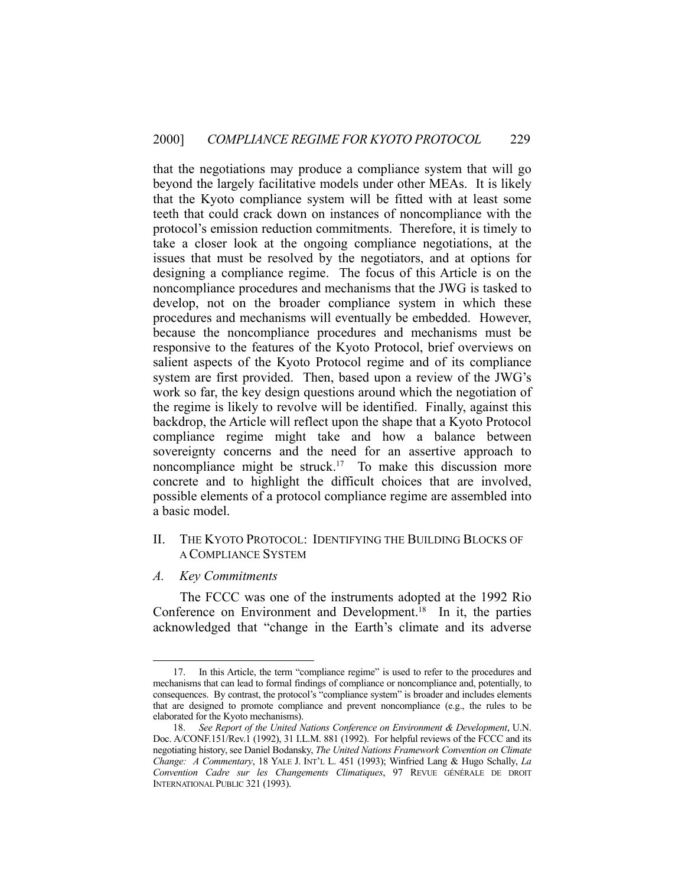that the negotiations may produce a compliance system that will go beyond the largely facilitative models under other MEAs. It is likely that the Kyoto compliance system will be fitted with at least some teeth that could crack down on instances of noncompliance with the protocol's emission reduction commitments. Therefore, it is timely to take a closer look at the ongoing compliance negotiations, at the issues that must be resolved by the negotiators, and at options for designing a compliance regime. The focus of this Article is on the noncompliance procedures and mechanisms that the JWG is tasked to develop, not on the broader compliance system in which these procedures and mechanisms will eventually be embedded. However, because the noncompliance procedures and mechanisms must be responsive to the features of the Kyoto Protocol, brief overviews on salient aspects of the Kyoto Protocol regime and of its compliance system are first provided. Then, based upon a review of the JWG's work so far, the key design questions around which the negotiation of the regime is likely to revolve will be identified. Finally, against this backdrop, the Article will reflect upon the shape that a Kyoto Protocol compliance regime might take and how a balance between sovereignty concerns and the need for an assertive approach to noncompliance might be struck.<sup>17</sup> To make this discussion more concrete and to highlight the difficult choices that are involved, possible elements of a protocol compliance regime are assembled into a basic model.

#### II. THE KYOTO PROTOCOL: IDENTIFYING THE BUILDING BLOCKS OF A COMPLIANCE SYSTEM

*A. Key Commitments* 

<u>.</u>

 The FCCC was one of the instruments adopted at the 1992 Rio Conference on Environment and Development.<sup>18</sup> In it, the parties acknowledged that "change in the Earth's climate and its adverse

 <sup>17.</sup> In this Article, the term "compliance regime" is used to refer to the procedures and mechanisms that can lead to formal findings of compliance or noncompliance and, potentially, to consequences. By contrast, the protocol's "compliance system" is broader and includes elements that are designed to promote compliance and prevent noncompliance (e.g., the rules to be elaborated for the Kyoto mechanisms).

 <sup>18.</sup> *See Report of the United Nations Conference on Environment & Development*, U.N. Doc. A/CONF.151/Rev.1 (1992), 31 I.L.M. 881 (1992). For helpful reviews of the FCCC and its negotiating history, see Daniel Bodansky, *The United Nations Framework Convention on Climate Change: A Commentary*, 18 YALE J. INT'L L. 451 (1993); Winfried Lang & Hugo Schally, *La Convention Cadre sur les Changements Climatiques*, 97 REVUE GÉNÉRALE DE DROIT INTERNATIONAL PUBLIC 321 (1993).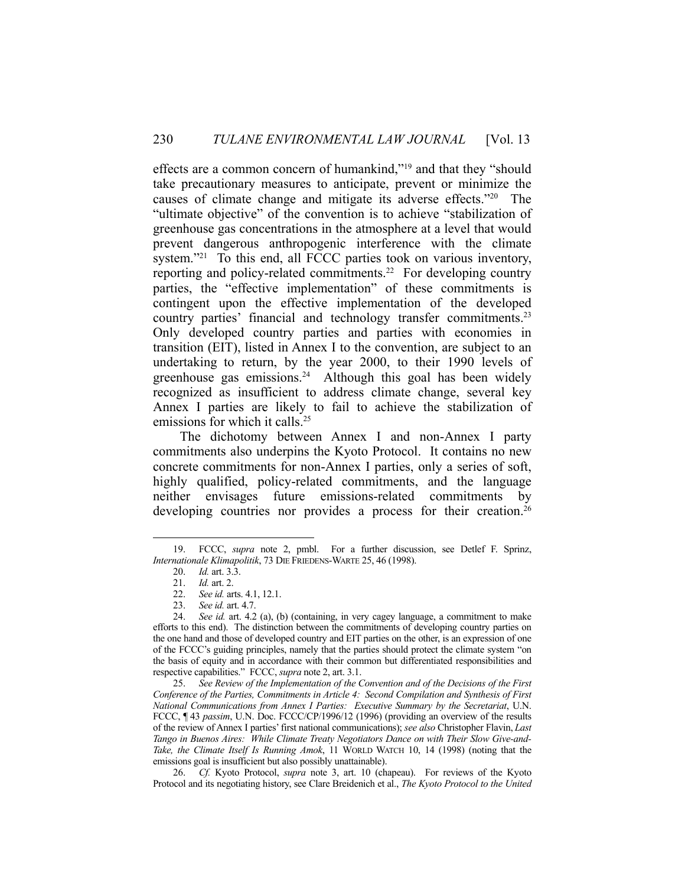effects are a common concern of humankind,"19 and that they "should take precautionary measures to anticipate, prevent or minimize the causes of climate change and mitigate its adverse effects."20 The "ultimate objective" of the convention is to achieve "stabilization of greenhouse gas concentrations in the atmosphere at a level that would prevent dangerous anthropogenic interference with the climate system."<sup>21</sup> To this end, all FCCC parties took on various inventory, reporting and policy-related commitments.<sup>22</sup> For developing country parties, the "effective implementation" of these commitments is contingent upon the effective implementation of the developed country parties' financial and technology transfer commitments.<sup>23</sup> Only developed country parties and parties with economies in transition (EIT), listed in Annex I to the convention, are subject to an undertaking to return, by the year 2000, to their 1990 levels of greenhouse gas emissions.<sup>24</sup> Although this goal has been widely recognized as insufficient to address climate change, several key Annex I parties are likely to fail to achieve the stabilization of emissions for which it calls.<sup>25</sup>

 The dichotomy between Annex I and non-Annex I party commitments also underpins the Kyoto Protocol. It contains no new concrete commitments for non-Annex I parties, only a series of soft, highly qualified, policy-related commitments, and the language neither envisages future emissions-related commitments by developing countries nor provides a process for their creation.<sup>26</sup>

 <sup>19.</sup> FCCC, *supra* note 2, pmbl. For a further discussion, see Detlef F. Sprinz, *Internationale Klimapolitik*, 73 DIE FRIEDENS-WARTE 25, 46 (1998).

 <sup>20.</sup> *Id.* art. 3.3.

 <sup>21.</sup> *Id.* art. 2.

 <sup>22.</sup> *See id.* arts. 4.1, 12.1.

 <sup>23.</sup> *See id.* art. 4.7.

 <sup>24.</sup> *See id.* art. 4.2 (a), (b) (containing, in very cagey language, a commitment to make efforts to this end). The distinction between the commitments of developing country parties on the one hand and those of developed country and EIT parties on the other, is an expression of one of the FCCC's guiding principles, namely that the parties should protect the climate system "on the basis of equity and in accordance with their common but differentiated responsibilities and respective capabilities." FCCC, *supra* note 2, art. 3.1.

 <sup>25.</sup> *See Review of the Implementation of the Convention and of the Decisions of the First Conference of the Parties, Commitments in Article 4: Second Compilation and Synthesis of First National Communications from Annex I Parties: Executive Summary by the Secretariat*, U.N. FCCC, ¶ 43 *passim*, U.N. Doc. FCCC/CP/1996/12 (1996) (providing an overview of the results of the review of Annex I parties' first national communications); *see also* Christopher Flavin, *Last Tango in Buenos Aires: While Climate Treaty Negotiators Dance on with Their Slow Give-and-Take, the Climate Itself Is Running Amok*, 11 WORLD WATCH 10, 14 (1998) (noting that the emissions goal is insufficient but also possibly unattainable).

 <sup>26.</sup> *Cf.* Kyoto Protocol, *supra* note 3, art. 10 (chapeau). For reviews of the Kyoto Protocol and its negotiating history, see Clare Breidenich et al., *The Kyoto Protocol to the United*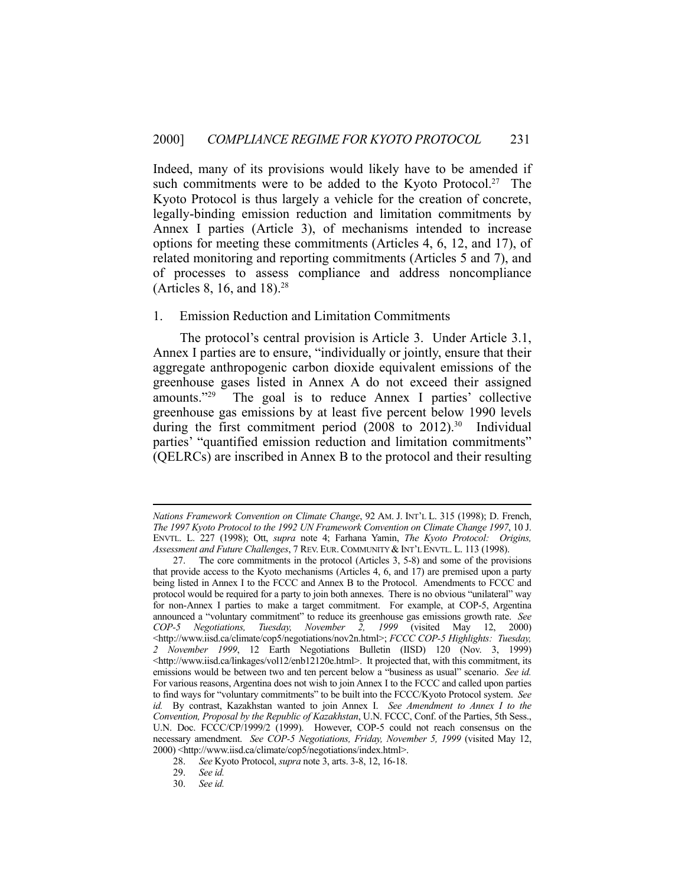Indeed, many of its provisions would likely have to be amended if such commitments were to be added to the Kyoto Protocol.<sup>27</sup> The Kyoto Protocol is thus largely a vehicle for the creation of concrete, legally-binding emission reduction and limitation commitments by Annex I parties (Article 3), of mechanisms intended to increase options for meeting these commitments (Articles 4, 6, 12, and 17), of related monitoring and reporting commitments (Articles 5 and 7), and of processes to assess compliance and address noncompliance (Articles 8, 16, and 18).28

#### 1. Emission Reduction and Limitation Commitments

 The protocol's central provision is Article 3. Under Article 3.1, Annex I parties are to ensure, "individually or jointly, ensure that their aggregate anthropogenic carbon dioxide equivalent emissions of the greenhouse gases listed in Annex A do not exceed their assigned amounts."29 The goal is to reduce Annex I parties' collective greenhouse gas emissions by at least five percent below 1990 levels during the first commitment period (2008 to 2012).<sup>30</sup> Individual parties' "quantified emission reduction and limitation commitments" (QELRCs) are inscribed in Annex B to the protocol and their resulting

*Nations Framework Convention on Climate Change*, 92 AM. J. INT'L L. 315 (1998); D. French, *The 1997 Kyoto Protocol to the 1992 UN Framework Convention on Climate Change 1997*, 10 J. ENVTL. L. 227 (1998); Ott, *supra* note 4; Farhana Yamin, *The Kyoto Protocol: Origins, Assessment and Future Challenges*, 7 REV. EUR.COMMUNITY & INT'L ENVTL. L. 113 (1998).

 <sup>27.</sup> The core commitments in the protocol (Articles 3, 5-8) and some of the provisions that provide access to the Kyoto mechanisms (Articles 4, 6, and 17) are premised upon a party being listed in Annex I to the FCCC and Annex B to the Protocol. Amendments to FCCC and protocol would be required for a party to join both annexes. There is no obvious "unilateral" way for non-Annex I parties to make a target commitment. For example, at COP-5, Argentina announced a "voluntary commitment" to reduce its greenhouse gas emissions growth rate. *See COP-5 Negotiations, Tuesday, November 2, 1999* (visited May 12, 2000) <http://www.iisd.ca/climate/cop5/negotiations/nov2n.html>; *FCCC COP-5 Highlights: Tuesday, 2 November 1999*, 12 Earth Negotiations Bulletin (IISD) 120 (Nov. 3, 1999) <http://www.iisd.ca/linkages/vol12/enb12120e.html>. It projected that, with this commitment, its emissions would be between two and ten percent below a "business as usual" scenario. *See id.* For various reasons, Argentina does not wish to join Annex I to the FCCC and called upon parties to find ways for "voluntary commitments" to be built into the FCCC/Kyoto Protocol system. *See id.* By contrast, Kazakhstan wanted to join Annex I. *See Amendment to Annex I to the Convention, Proposal by the Republic of Kazakhstan*, U.N. FCCC, Conf. of the Parties, 5th Sess., U.N. Doc. FCCC/CP/1999/2 (1999). However, COP-5 could not reach consensus on the necessary amendment. *See COP-5 Negotiations, Friday, November 5, 1999* (visited May 12, 2000) <http://www.iisd.ca/climate/cop5/negotiations/index.html>.

 <sup>28.</sup> *See* Kyoto Protocol, *supra* note 3, arts. 3-8, 12, 16-18.

 <sup>29.</sup> *See id.*

 <sup>30.</sup> *See id.*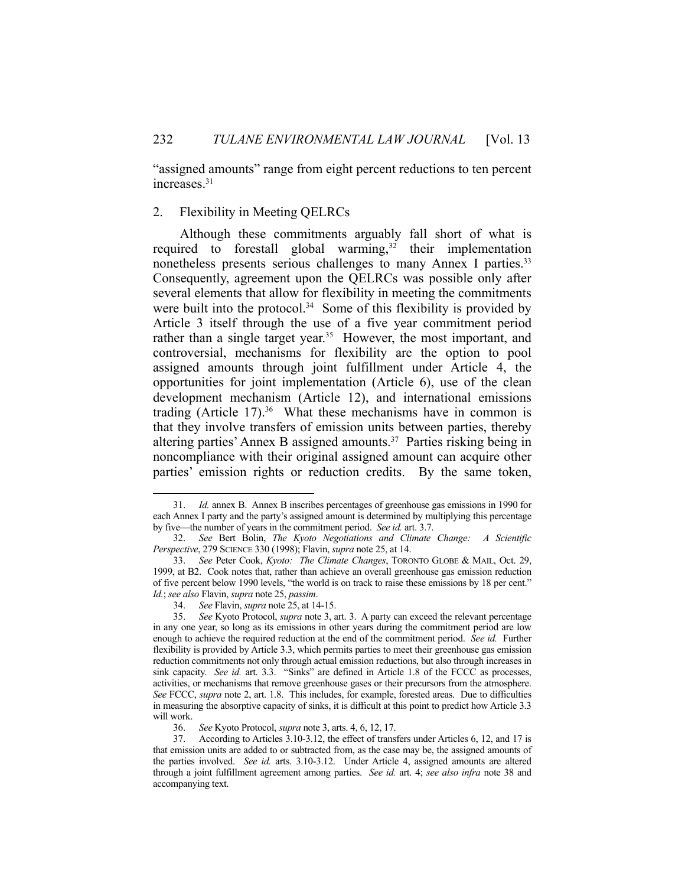"assigned amounts" range from eight percent reductions to ten percent increases.<sup>31</sup>

#### 2. Flexibility in Meeting QELRCs

 Although these commitments arguably fall short of what is required to forestall global warming,<sup>32</sup> their implementation nonetheless presents serious challenges to many Annex I parties.<sup>33</sup> Consequently, agreement upon the QELRCs was possible only after several elements that allow for flexibility in meeting the commitments were built into the protocol.<sup>34</sup> Some of this flexibility is provided by Article 3 itself through the use of a five year commitment period rather than a single target year.<sup>35</sup> However, the most important, and controversial, mechanisms for flexibility are the option to pool assigned amounts through joint fulfillment under Article 4, the opportunities for joint implementation (Article 6), use of the clean development mechanism (Article 12), and international emissions trading (Article  $17$ ).<sup>36</sup> What these mechanisms have in common is that they involve transfers of emission units between parties, thereby altering parties' Annex B assigned amounts.37 Parties risking being in noncompliance with their original assigned amount can acquire other parties' emission rights or reduction credits. By the same token,

 <sup>31.</sup> *Id.* annex B. Annex B inscribes percentages of greenhouse gas emissions in 1990 for each Annex I party and the party's assigned amount is determined by multiplying this percentage by five—the number of years in the commitment period. *See id.* art. 3.7.

 <sup>32.</sup> *See* Bert Bolin, *The Kyoto Negotiations and Climate Change: A Scientific Perspective*, 279 SCIENCE 330 (1998); Flavin, *supra* note 25, at 14.

 <sup>33.</sup> *See* Peter Cook, *Kyoto: The Climate Changes*, TORONTO GLOBE & MAIL, Oct. 29, 1999, at B2. Cook notes that, rather than achieve an overall greenhouse gas emission reduction of five percent below 1990 levels, "the world is on track to raise these emissions by 18 per cent." *Id.*; *see also* Flavin, *supra* note 25, *passim*.

 <sup>34.</sup> *See* Flavin, *supra* note 25, at 14-15.

 <sup>35.</sup> *See* Kyoto Protocol, *supra* note 3, art. 3. A party can exceed the relevant percentage in any one year, so long as its emissions in other years during the commitment period are low enough to achieve the required reduction at the end of the commitment period. *See id.* Further flexibility is provided by Article 3.3, which permits parties to meet their greenhouse gas emission reduction commitments not only through actual emission reductions, but also through increases in sink capacity. *See id.* art. 3.3. "Sinks" are defined in Article 1.8 of the FCCC as processes, activities, or mechanisms that remove greenhouse gases or their precursors from the atmosphere. *See* FCCC, *supra* note 2, art. 1.8. This includes, for example, forested areas. Due to difficulties in measuring the absorptive capacity of sinks, it is difficult at this point to predict how Article 3.3 will work.

 <sup>36.</sup> *See* Kyoto Protocol, *supra* note 3, arts. 4, 6, 12, 17.

 <sup>37.</sup> According to Articles 3.10-3.12, the effect of transfers under Articles 6, 12, and 17 is that emission units are added to or subtracted from, as the case may be, the assigned amounts of the parties involved. *See id.* arts. 3.10-3.12. Under Article 4, assigned amounts are altered through a joint fulfillment agreement among parties. *See id.* art. 4; *see also infra* note 38 and accompanying text.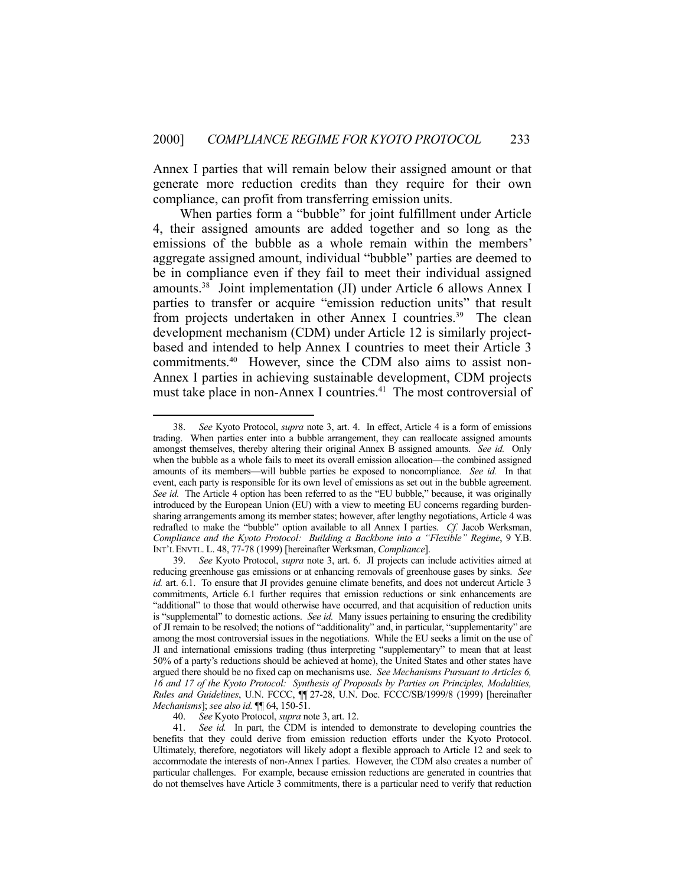Annex I parties that will remain below their assigned amount or that generate more reduction credits than they require for their own compliance, can profit from transferring emission units.

 When parties form a "bubble" for joint fulfillment under Article 4, their assigned amounts are added together and so long as the emissions of the bubble as a whole remain within the members' aggregate assigned amount, individual "bubble" parties are deemed to be in compliance even if they fail to meet their individual assigned amounts.38 Joint implementation (JI) under Article 6 allows Annex I parties to transfer or acquire "emission reduction units" that result from projects undertaken in other Annex I countries.39 The clean development mechanism (CDM) under Article 12 is similarly projectbased and intended to help Annex I countries to meet their Article 3 commitments.40 However, since the CDM also aims to assist non-Annex I parties in achieving sustainable development, CDM projects must take place in non-Annex I countries.<sup>41</sup> The most controversial of

 <sup>38.</sup> *See* Kyoto Protocol, *supra* note 3, art. 4. In effect, Article 4 is a form of emissions trading. When parties enter into a bubble arrangement, they can reallocate assigned amounts amongst themselves, thereby altering their original Annex B assigned amounts. *See id.* Only when the bubble as a whole fails to meet its overall emission allocation—the combined assigned amounts of its members—will bubble parties be exposed to noncompliance. *See id.* In that event, each party is responsible for its own level of emissions as set out in the bubble agreement. *See id.* The Article 4 option has been referred to as the "EU bubble," because, it was originally introduced by the European Union (EU) with a view to meeting EU concerns regarding burdensharing arrangements among its member states; however, after lengthy negotiations, Article 4 was redrafted to make the "bubble" option available to all Annex I parties. *Cf.* Jacob Werksman, *Compliance and the Kyoto Protocol: Building a Backbone into a "Flexible" Regime*, 9 Y.B. INT'L ENVTL. L. 48, 77-78 (1999) [hereinafter Werksman, *Compliance*].

See Kyoto Protocol, *supra* note 3, art. 6. JI projects can include activities aimed at reducing greenhouse gas emissions or at enhancing removals of greenhouse gases by sinks. *See id.* art. 6.1. To ensure that JI provides genuine climate benefits, and does not undercut Article 3 commitments, Article 6.1 further requires that emission reductions or sink enhancements are "additional" to those that would otherwise have occurred, and that acquisition of reduction units is "supplemental" to domestic actions. *See id.* Many issues pertaining to ensuring the credibility of JI remain to be resolved; the notions of "additionality" and, in particular, "supplementarity" are among the most controversial issues in the negotiations. While the EU seeks a limit on the use of JI and international emissions trading (thus interpreting "supplementary" to mean that at least 50% of a party's reductions should be achieved at home), the United States and other states have argued there should be no fixed cap on mechanisms use. *See Mechanisms Pursuant to Articles 6, 16 and 17 of the Kyoto Protocol: Synthesis of Proposals by Parties on Principles, Modalities, Rules and Guidelines*, U.N. FCCC, ¶¶ 27-28, U.N. Doc. FCCC/SB/1999/8 (1999) [hereinafter *Mechanisms*]; *see also id.* ¶¶ 64, 150-51.

 <sup>40.</sup> *See* Kyoto Protocol, *supra* note 3, art. 12.

 <sup>41.</sup> *See id.* In part, the CDM is intended to demonstrate to developing countries the benefits that they could derive from emission reduction efforts under the Kyoto Protocol. Ultimately, therefore, negotiators will likely adopt a flexible approach to Article 12 and seek to accommodate the interests of non-Annex I parties. However, the CDM also creates a number of particular challenges. For example, because emission reductions are generated in countries that do not themselves have Article 3 commitments, there is a particular need to verify that reduction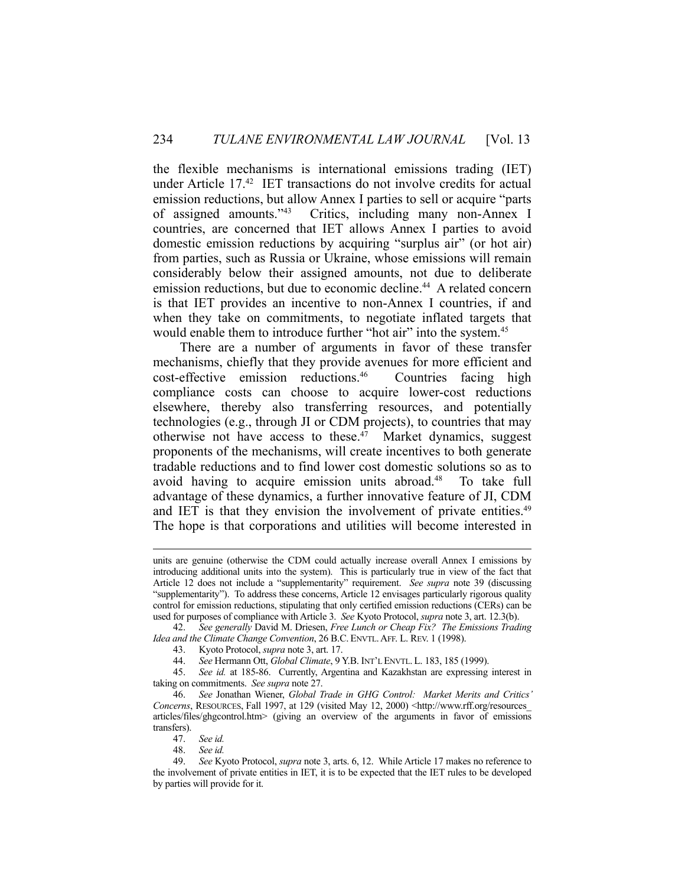the flexible mechanisms is international emissions trading (IET) under Article 17.42 IET transactions do not involve credits for actual emission reductions, but allow Annex I parties to sell or acquire "parts of assigned amounts."43 Critics, including many non-Annex I countries, are concerned that IET allows Annex I parties to avoid domestic emission reductions by acquiring "surplus air" (or hot air) from parties, such as Russia or Ukraine, whose emissions will remain considerably below their assigned amounts, not due to deliberate emission reductions, but due to economic decline.<sup>44</sup> A related concern is that IET provides an incentive to non-Annex I countries, if and when they take on commitments, to negotiate inflated targets that would enable them to introduce further "hot air" into the system.<sup>45</sup>

 There are a number of arguments in favor of these transfer mechanisms, chiefly that they provide avenues for more efficient and cost-effective emission reductions.46 Countries facing high compliance costs can choose to acquire lower-cost reductions elsewhere, thereby also transferring resources, and potentially technologies (e.g., through JI or CDM projects), to countries that may otherwise not have access to these. $47$  Market dynamics, suggest proponents of the mechanisms, will create incentives to both generate tradable reductions and to find lower cost domestic solutions so as to avoid having to acquire emission units abroad.<sup>48</sup> To take full advantage of these dynamics, a further innovative feature of JI, CDM and IET is that they envision the involvement of private entities.<sup>49</sup> The hope is that corporations and utilities will become interested in

 42. *See generally* David M. Driesen, *Free Lunch or Cheap Fix? The Emissions Trading Idea and the Climate Change Convention*, 26 B.C. ENVTL.AFF. L. REV. 1 (1998).

units are genuine (otherwise the CDM could actually increase overall Annex I emissions by introducing additional units into the system). This is particularly true in view of the fact that Article 12 does not include a "supplementarity" requirement. *See supra* note 39 (discussing "supplementarity"). To address these concerns, Article 12 envisages particularly rigorous quality control for emission reductions, stipulating that only certified emission reductions (CERs) can be used for purposes of compliance with Article 3. *See* Kyoto Protocol, *supra* note 3, art. 12.3(b).

 <sup>43.</sup> Kyoto Protocol, *supra* note 3, art. 17.

 <sup>44.</sup> *See* Hermann Ott, *Global Climate*, 9 Y.B. INT'L ENVTL. L. 183, 185 (1999).

 <sup>45.</sup> *See id.* at 185-86. Currently, Argentina and Kazakhstan are expressing interest in taking on commitments. *See supra* note 27.

 <sup>46.</sup> *See* Jonathan Wiener, *Global Trade in GHG Control: Market Merits and Critics' Concerns*, RESOURCES, Fall 1997, at 129 (visited May 12, 2000) <http://www.rff.org/resources articles/files/ghgcontrol.htm> (giving an overview of the arguments in favor of emissions transfers).

 <sup>47.</sup> *See id.*

 <sup>48.</sup> *See id.*

 <sup>49.</sup> *See* Kyoto Protocol, *supra* note 3, arts. 6, 12. While Article 17 makes no reference to the involvement of private entities in IET, it is to be expected that the IET rules to be developed by parties will provide for it.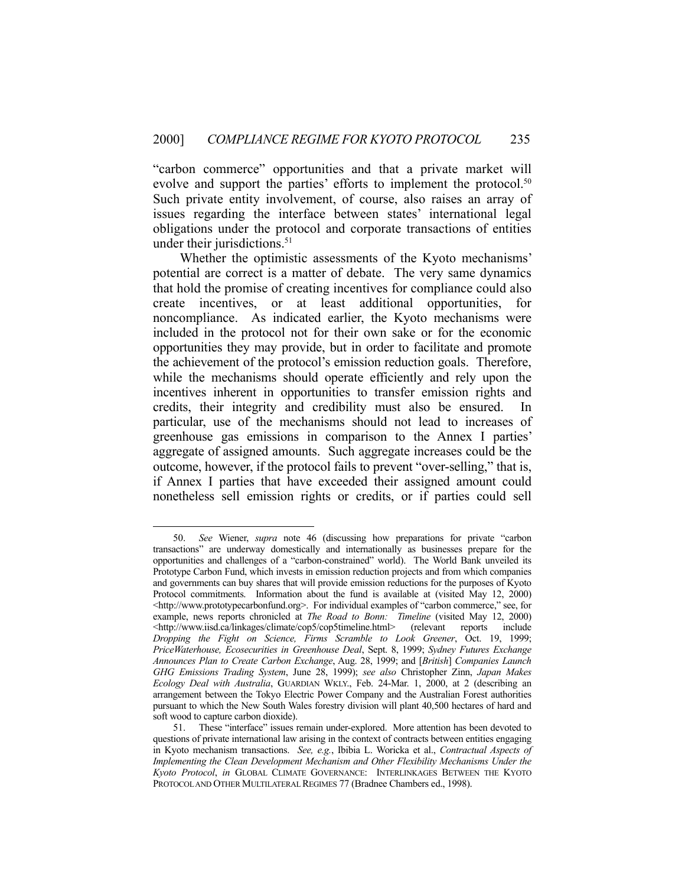"carbon commerce" opportunities and that a private market will evolve and support the parties' efforts to implement the protocol.<sup>50</sup> Such private entity involvement, of course, also raises an array of issues regarding the interface between states' international legal obligations under the protocol and corporate transactions of entities under their jurisdictions.<sup>51</sup>

 Whether the optimistic assessments of the Kyoto mechanisms' potential are correct is a matter of debate. The very same dynamics that hold the promise of creating incentives for compliance could also create incentives, or at least additional opportunities, for noncompliance. As indicated earlier, the Kyoto mechanisms were included in the protocol not for their own sake or for the economic opportunities they may provide, but in order to facilitate and promote the achievement of the protocol's emission reduction goals. Therefore, while the mechanisms should operate efficiently and rely upon the incentives inherent in opportunities to transfer emission rights and credits, their integrity and credibility must also be ensured. In particular, use of the mechanisms should not lead to increases of greenhouse gas emissions in comparison to the Annex I parties' aggregate of assigned amounts. Such aggregate increases could be the outcome, however, if the protocol fails to prevent "over-selling," that is, if Annex I parties that have exceeded their assigned amount could nonetheless sell emission rights or credits, or if parties could sell

 <sup>50.</sup> *See* Wiener, *supra* note 46 (discussing how preparations for private "carbon transactions" are underway domestically and internationally as businesses prepare for the opportunities and challenges of a "carbon-constrained" world). The World Bank unveiled its Prototype Carbon Fund, which invests in emission reduction projects and from which companies and governments can buy shares that will provide emission reductions for the purposes of Kyoto Protocol commitments. Information about the fund is available at (visited May 12, 2000)  $\langle \text{http://www.prototypecarbonfund.org>}.$  For individual examples of "carbon commerce," see, for example, news reports chronicled at *The Road to Bonn:* Timeline (visited May 12, 2000) <http://www.iisd.ca/linkages/climate/cop5/cop5timeline.html> (relevant reports include *Dropping the Fight on Science, Firms Scramble to Look Greener*, Oct. 19, 1999; *PriceWaterhouse, Ecosecurities in Greenhouse Deal*, Sept. 8, 1999; *Sydney Futures Exchange Announces Plan to Create Carbon Exchange*, Aug. 28, 1999; and [*British*] *Companies Launch GHG Emissions Trading System*, June 28, 1999); *see also* Christopher Zinn, *Japan Makes Ecology Deal with Australia*, GUARDIAN WKLY., Feb. 24-Mar. 1, 2000, at 2 (describing an arrangement between the Tokyo Electric Power Company and the Australian Forest authorities pursuant to which the New South Wales forestry division will plant 40,500 hectares of hard and soft wood to capture carbon dioxide).

 <sup>51.</sup> These "interface" issues remain under-explored. More attention has been devoted to questions of private international law arising in the context of contracts between entities engaging in Kyoto mechanism transactions. *See, e.g.*, Ibibia L. Woricka et al., *Contractual Aspects of Implementing the Clean Development Mechanism and Other Flexibility Mechanisms Under the Kyoto Protocol*, *in* GLOBAL CLIMATE GOVERNANCE: INTERLINKAGES BETWEEN THE KYOTO PROTOCOL AND OTHER MULTILATERAL REGIMES 77 (Bradnee Chambers ed., 1998).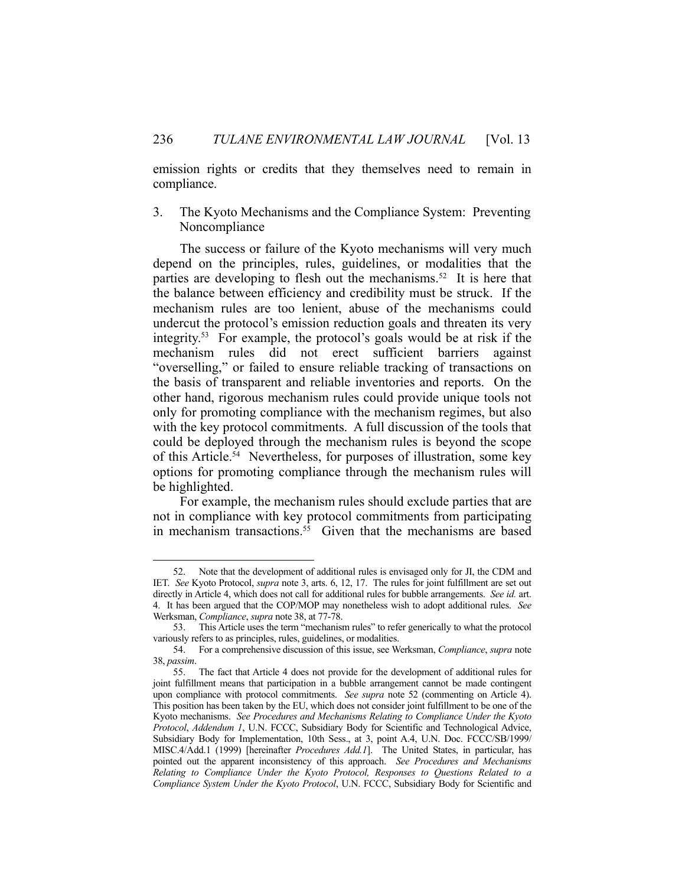emission rights or credits that they themselves need to remain in compliance.

3. The Kyoto Mechanisms and the Compliance System: Preventing Noncompliance

 The success or failure of the Kyoto mechanisms will very much depend on the principles, rules, guidelines, or modalities that the parties are developing to flesh out the mechanisms.<sup>52</sup> It is here that the balance between efficiency and credibility must be struck. If the mechanism rules are too lenient, abuse of the mechanisms could undercut the protocol's emission reduction goals and threaten its very integrity.53 For example, the protocol's goals would be at risk if the mechanism rules did not erect sufficient barriers against "overselling," or failed to ensure reliable tracking of transactions on the basis of transparent and reliable inventories and reports. On the other hand, rigorous mechanism rules could provide unique tools not only for promoting compliance with the mechanism regimes, but also with the key protocol commitments. A full discussion of the tools that could be deployed through the mechanism rules is beyond the scope of this Article.<sup>54</sup> Nevertheless, for purposes of illustration, some key options for promoting compliance through the mechanism rules will be highlighted.

 For example, the mechanism rules should exclude parties that are not in compliance with key protocol commitments from participating in mechanism transactions.<sup>55</sup> Given that the mechanisms are based

 <sup>52.</sup> Note that the development of additional rules is envisaged only for JI, the CDM and IET. *See* Kyoto Protocol, *supra* note 3, arts. 6, 12, 17. The rules for joint fulfillment are set out directly in Article 4, which does not call for additional rules for bubble arrangements. *See id.* art. 4. It has been argued that the COP/MOP may nonetheless wish to adopt additional rules. *See* Werksman, *Compliance*, *supra* note 38, at 77-78.

 <sup>53.</sup> This Article uses the term "mechanism rules" to refer generically to what the protocol variously refers to as principles, rules, guidelines, or modalities.

 <sup>54.</sup> For a comprehensive discussion of this issue, see Werksman, *Compliance*, *supra* note 38, *passim*.

 <sup>55.</sup> The fact that Article 4 does not provide for the development of additional rules for joint fulfillment means that participation in a bubble arrangement cannot be made contingent upon compliance with protocol commitments. *See supra* note 52 (commenting on Article 4). This position has been taken by the EU, which does not consider joint fulfillment to be one of the Kyoto mechanisms. *See Procedures and Mechanisms Relating to Compliance Under the Kyoto Protocol*, *Addendum 1*, U.N. FCCC, Subsidiary Body for Scientific and Technological Advice, Subsidiary Body for Implementation, 10th Sess., at 3, point A.4, U.N. Doc. FCCC/SB/1999/ MISC.4/Add.1 (1999) [hereinafter *Procedures Add.1*]. The United States, in particular, has pointed out the apparent inconsistency of this approach. *See Procedures and Mechanisms Relating to Compliance Under the Kyoto Protocol, Responses to Questions Related to a Compliance System Under the Kyoto Protocol*, U.N. FCCC, Subsidiary Body for Scientific and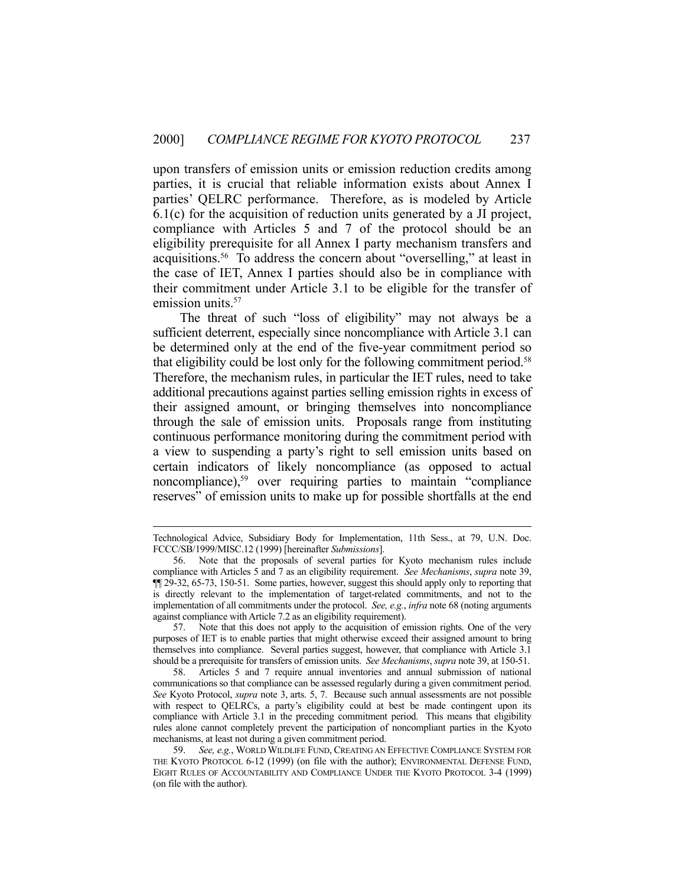upon transfers of emission units or emission reduction credits among parties, it is crucial that reliable information exists about Annex I parties' QELRC performance. Therefore, as is modeled by Article 6.1(c) for the acquisition of reduction units generated by a JI project, compliance with Articles 5 and 7 of the protocol should be an eligibility prerequisite for all Annex I party mechanism transfers and acquisitions.56 To address the concern about "overselling," at least in the case of IET, Annex I parties should also be in compliance with their commitment under Article 3.1 to be eligible for the transfer of emission units.<sup>57</sup>

 The threat of such "loss of eligibility" may not always be a sufficient deterrent, especially since noncompliance with Article 3.1 can be determined only at the end of the five-year commitment period so that eligibility could be lost only for the following commitment period.<sup>58</sup> Therefore, the mechanism rules, in particular the IET rules, need to take additional precautions against parties selling emission rights in excess of their assigned amount, or bringing themselves into noncompliance through the sale of emission units. Proposals range from instituting continuous performance monitoring during the commitment period with a view to suspending a party's right to sell emission units based on certain indicators of likely noncompliance (as opposed to actual noncompliance),<sup>59</sup> over requiring parties to maintain "compliance" reserves" of emission units to make up for possible shortfalls at the end

Technological Advice, Subsidiary Body for Implementation, 11th Sess., at 79, U.N. Doc. FCCC/SB/1999/MISC.12 (1999) [hereinafter *Submissions*].

 <sup>56.</sup> Note that the proposals of several parties for Kyoto mechanism rules include compliance with Articles 5 and 7 as an eligibility requirement. *See Mechanisms*, *supra* note 39, ¶¶ 29-32, 65-73, 150-51. Some parties, however, suggest this should apply only to reporting that is directly relevant to the implementation of target-related commitments, and not to the implementation of all commitments under the protocol. *See, e.g.*, *infra* note 68 (noting arguments against compliance with Article 7.2 as an eligibility requirement).

 <sup>57.</sup> Note that this does not apply to the acquisition of emission rights. One of the very purposes of IET is to enable parties that might otherwise exceed their assigned amount to bring themselves into compliance. Several parties suggest, however, that compliance with Article 3.1 should be a prerequisite for transfers of emission units. *See Mechanisms*, *supra* note 39, at 150-51.

 <sup>58.</sup> Articles 5 and 7 require annual inventories and annual submission of national communications so that compliance can be assessed regularly during a given commitment period. *See* Kyoto Protocol, *supra* note 3, arts. 5, 7. Because such annual assessments are not possible with respect to QELRCs, a party's eligibility could at best be made contingent upon its compliance with Article 3.1 in the preceding commitment period. This means that eligibility rules alone cannot completely prevent the participation of noncompliant parties in the Kyoto mechanisms, at least not during a given commitment period.

 <sup>59.</sup> *See, e.g.*, WORLD WILDLIFE FUND, CREATING AN EFFECTIVE COMPLIANCE SYSTEM FOR THE KYOTO PROTOCOL 6-12 (1999) (on file with the author); ENVIRONMENTAL DEFENSE FUND, EIGHT RULES OF ACCOUNTABILITY AND COMPLIANCE UNDER THE KYOTO PROTOCOL 3-4 (1999) (on file with the author).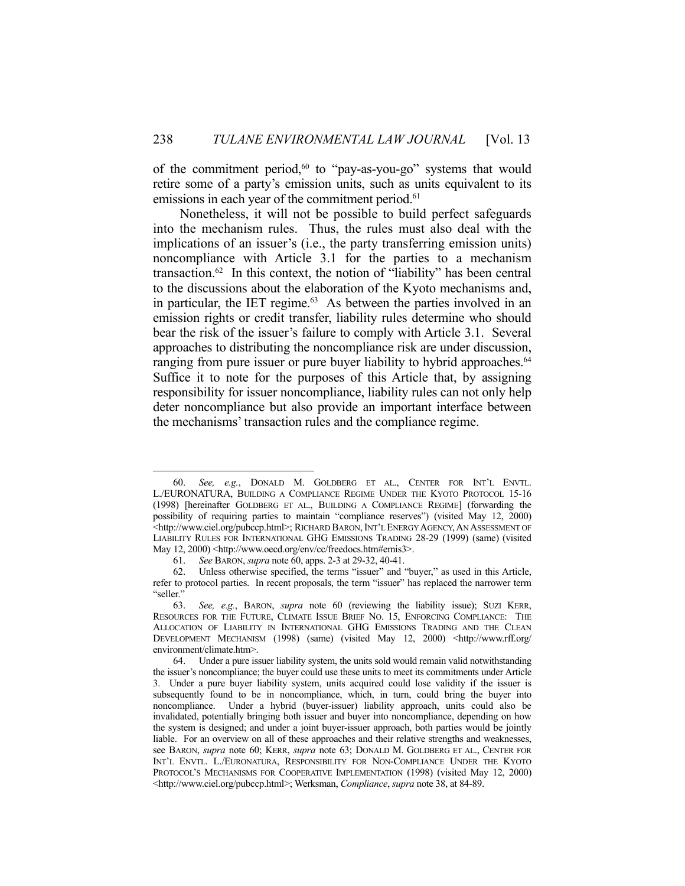of the commitment period,<sup>60</sup> to "pay-as-you-go" systems that would retire some of a party's emission units, such as units equivalent to its emissions in each year of the commitment period.<sup>61</sup>

 Nonetheless, it will not be possible to build perfect safeguards into the mechanism rules. Thus, the rules must also deal with the implications of an issuer's (i.e., the party transferring emission units) noncompliance with Article 3.1 for the parties to a mechanism transaction.62 In this context, the notion of "liability" has been central to the discussions about the elaboration of the Kyoto mechanisms and, in particular, the IET regime. $63$  As between the parties involved in an emission rights or credit transfer, liability rules determine who should bear the risk of the issuer's failure to comply with Article 3.1. Several approaches to distributing the noncompliance risk are under discussion, ranging from pure issuer or pure buyer liability to hybrid approaches.<sup>64</sup> Suffice it to note for the purposes of this Article that, by assigning responsibility for issuer noncompliance, liability rules can not only help deter noncompliance but also provide an important interface between the mechanisms' transaction rules and the compliance regime.

 <sup>60.</sup> *See, e.g.*, DONALD M. GOLDBERG ET AL., CENTER FOR INT'L ENVTL. L./EURONATURA, BUILDING A COMPLIANCE REGIME UNDER THE KYOTO PROTOCOL 15-16 (1998) [hereinafter GOLDBERG ET AL., BUILDING A COMPLIANCE REGIME] (forwarding the possibility of requiring parties to maintain "compliance reserves") (visited May 12, 2000) <http://www.ciel.org/pubccp.html>; RICHARD BARON, INT'L ENERGY AGENCY, AN ASSESSMENT OF LIABILITY RULES FOR INTERNATIONAL GHG EMISSIONS TRADING 28-29 (1999) (same) (visited May 12, 2000) <http://www.oecd.org/env/cc/freedocs.htm#emis3>.

 <sup>61.</sup> *See* BARON, *supra* note 60, apps. 2-3 at 29-32, 40-41.

 <sup>62.</sup> Unless otherwise specified, the terms "issuer" and "buyer," as used in this Article, refer to protocol parties. In recent proposals, the term "issuer" has replaced the narrower term "seller."

 <sup>63.</sup> *See, e.g.*, BARON, *supra* note 60 (reviewing the liability issue); SUZI KERR, RESOURCES FOR THE FUTURE, CLIMATE ISSUE BRIEF NO. 15, ENFORCING COMPLIANCE: THE ALLOCATION OF LIABILITY IN INTERNATIONAL GHG EMISSIONS TRADING AND THE CLEAN DEVELOPMENT MECHANISM (1998) (same) (visited May 12, 2000) <http://www.rff.org/ environment/climate.htm>.

 <sup>64.</sup> Under a pure issuer liability system, the units sold would remain valid notwithstanding the issuer's noncompliance; the buyer could use these units to meet its commitments under Article 3. Under a pure buyer liability system, units acquired could lose validity if the issuer is subsequently found to be in noncompliance, which, in turn, could bring the buyer into noncompliance. Under a hybrid (buyer-issuer) liability approach, units could also be invalidated, potentially bringing both issuer and buyer into noncompliance, depending on how the system is designed; and under a joint buyer-issuer approach, both parties would be jointly liable. For an overview on all of these approaches and their relative strengths and weaknesses, see BARON, *supra* note 60; KERR, *supra* note 63; DONALD M. GOLDBERG ET AL., CENTER FOR INT'L ENVTL. L./EURONATURA, RESPONSIBILITY FOR NON-COMPLIANCE UNDER THE KYOTO PROTOCOL'S MECHANISMS FOR COOPERATIVE IMPLEMENTATION (1998) (visited May 12, 2000) <http://www.ciel.org/pubccp.html>; Werksman, *Compliance*, *supra* note 38, at 84-89.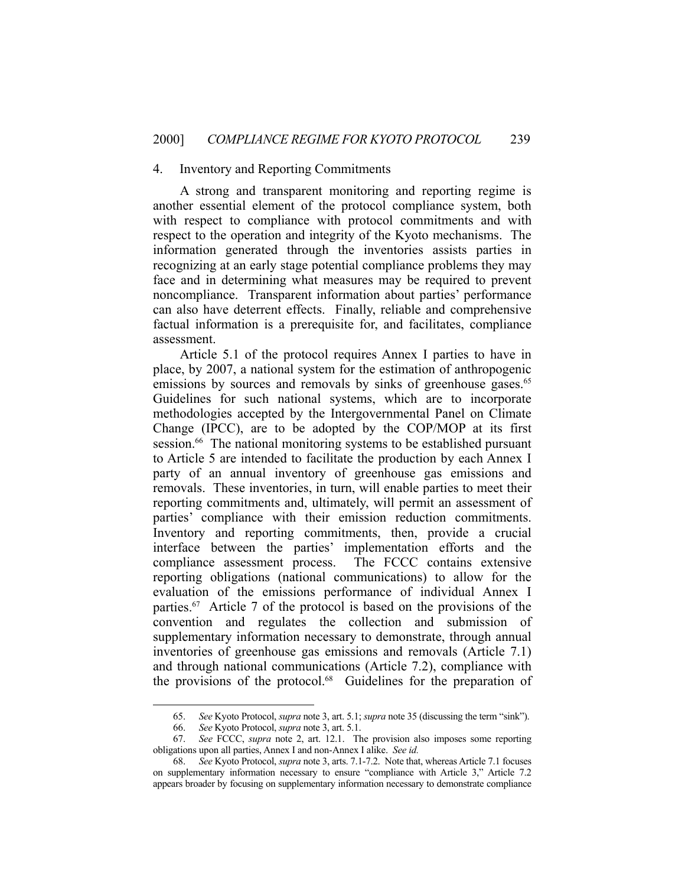#### 4. Inventory and Reporting Commitments

 A strong and transparent monitoring and reporting regime is another essential element of the protocol compliance system, both with respect to compliance with protocol commitments and with respect to the operation and integrity of the Kyoto mechanisms. The information generated through the inventories assists parties in recognizing at an early stage potential compliance problems they may face and in determining what measures may be required to prevent noncompliance. Transparent information about parties' performance can also have deterrent effects. Finally, reliable and comprehensive factual information is a prerequisite for, and facilitates, compliance assessment.

 Article 5.1 of the protocol requires Annex I parties to have in place, by 2007, a national system for the estimation of anthropogenic emissions by sources and removals by sinks of greenhouse gases.<sup>65</sup> Guidelines for such national systems, which are to incorporate methodologies accepted by the Intergovernmental Panel on Climate Change (IPCC), are to be adopted by the COP/MOP at its first session.<sup>66</sup> The national monitoring systems to be established pursuant to Article 5 are intended to facilitate the production by each Annex I party of an annual inventory of greenhouse gas emissions and removals. These inventories, in turn, will enable parties to meet their reporting commitments and, ultimately, will permit an assessment of parties' compliance with their emission reduction commitments. Inventory and reporting commitments, then, provide a crucial interface between the parties' implementation efforts and the compliance assessment process. The FCCC contains extensive reporting obligations (national communications) to allow for the evaluation of the emissions performance of individual Annex I parties.67 Article 7 of the protocol is based on the provisions of the convention and regulates the collection and submission of supplementary information necessary to demonstrate, through annual inventories of greenhouse gas emissions and removals (Article 7.1) and through national communications (Article 7.2), compliance with the provisions of the protocol.68 Guidelines for the preparation of

 <sup>65.</sup> *See* Kyoto Protocol, *supra* note 3, art. 5.1; *supra* note 35 (discussing the term "sink").

 <sup>66.</sup> *See* Kyoto Protocol, *supra* note 3, art. 5.1.

 <sup>67.</sup> *See* FCCC, *supra* note 2, art. 12.1. The provision also imposes some reporting obligations upon all parties, Annex I and non-Annex I alike. *See id.* 

 <sup>68.</sup> *See* Kyoto Protocol, *supra* note 3, arts. 7.1-7.2. Note that, whereas Article 7.1 focuses on supplementary information necessary to ensure "compliance with Article 3," Article 7.2 appears broader by focusing on supplementary information necessary to demonstrate compliance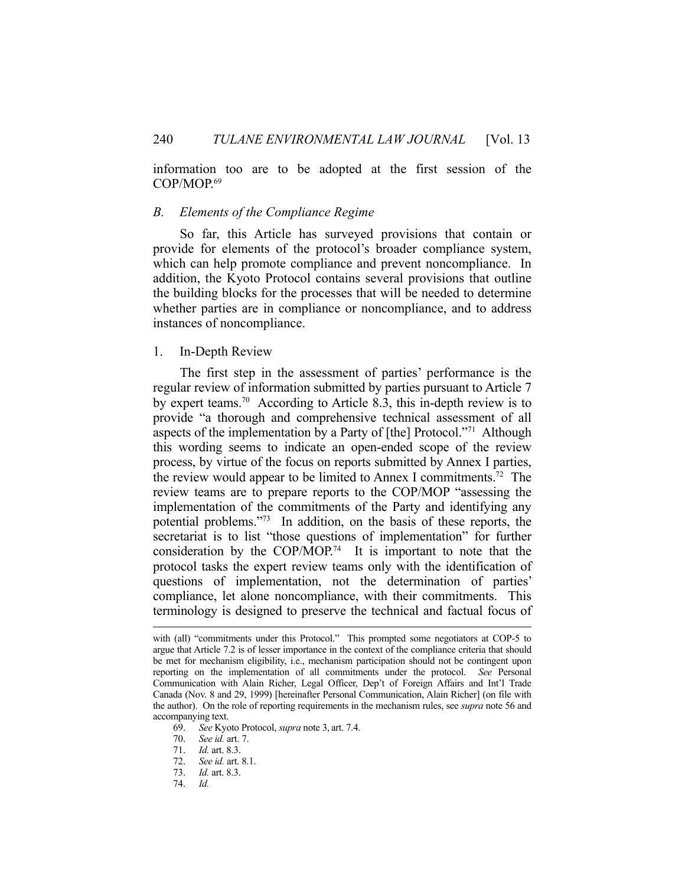information too are to be adopted at the first session of the COP/MOP.69

#### *B. Elements of the Compliance Regime*

 So far, this Article has surveyed provisions that contain or provide for elements of the protocol's broader compliance system, which can help promote compliance and prevent noncompliance. In addition, the Kyoto Protocol contains several provisions that outline the building blocks for the processes that will be needed to determine whether parties are in compliance or noncompliance, and to address instances of noncompliance.

#### 1. In-Depth Review

 The first step in the assessment of parties' performance is the regular review of information submitted by parties pursuant to Article 7 by expert teams.70 According to Article 8.3, this in-depth review is to provide "a thorough and comprehensive technical assessment of all aspects of the implementation by a Party of [the] Protocol."71 Although this wording seems to indicate an open-ended scope of the review process, by virtue of the focus on reports submitted by Annex I parties, the review would appear to be limited to Annex I commitments.72 The review teams are to prepare reports to the COP/MOP "assessing the implementation of the commitments of the Party and identifying any potential problems."73 In addition, on the basis of these reports, the secretariat is to list "those questions of implementation" for further consideration by the COP/MOP.<sup>74</sup> It is important to note that the protocol tasks the expert review teams only with the identification of questions of implementation, not the determination of parties' compliance, let alone noncompliance, with their commitments. This terminology is designed to preserve the technical and factual focus of

with (all) "commitments under this Protocol." This prompted some negotiators at COP-5 to argue that Article 7.2 is of lesser importance in the context of the compliance criteria that should be met for mechanism eligibility, i.e., mechanism participation should not be contingent upon reporting on the implementation of all commitments under the protocol. *See* Personal Communication with Alain Richer, Legal Officer, Dep't of Foreign Affairs and Int'l Trade Canada (Nov. 8 and 29, 1999) [hereinafter Personal Communication, Alain Richer] (on file with the author). On the role of reporting requirements in the mechanism rules, see *supra* note 56 and accompanying text.

 <sup>69.</sup> *See* Kyoto Protocol, *supra* note 3, art. 7.4.

 <sup>70.</sup> *See id.* art. 7.

 <sup>71.</sup> *Id.* art. 8.3.

 <sup>72.</sup> *See id.* art. 8.1.

 <sup>73.</sup> *Id.* art. 8.3.

 <sup>74.</sup> *Id.*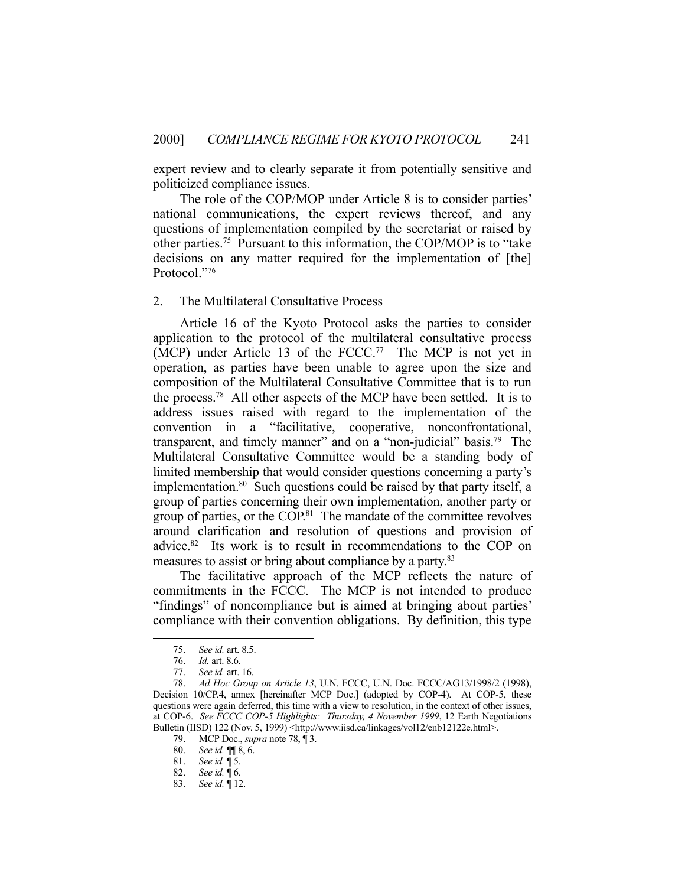expert review and to clearly separate it from potentially sensitive and politicized compliance issues.

 The role of the COP/MOP under Article 8 is to consider parties' national communications, the expert reviews thereof, and any questions of implementation compiled by the secretariat or raised by other parties.75 Pursuant to this information, the COP/MOP is to "take decisions on any matter required for the implementation of [the] Protocol."76

#### 2. The Multilateral Consultative Process

 Article 16 of the Kyoto Protocol asks the parties to consider application to the protocol of the multilateral consultative process (MCP) under Article 13 of the FCCC.<sup>77</sup> The MCP is not yet in operation, as parties have been unable to agree upon the size and composition of the Multilateral Consultative Committee that is to run the process.78 All other aspects of the MCP have been settled. It is to address issues raised with regard to the implementation of the convention in a "facilitative, cooperative, nonconfrontational, transparent, and timely manner" and on a "non-judicial" basis.<sup>79</sup> The Multilateral Consultative Committee would be a standing body of limited membership that would consider questions concerning a party's implementation.<sup>80</sup> Such questions could be raised by that party itself, a group of parties concerning their own implementation, another party or group of parties, or the COP.81 The mandate of the committee revolves around clarification and resolution of questions and provision of advice.<sup>82</sup> Its work is to result in recommendations to the COP on measures to assist or bring about compliance by a party.<sup>83</sup>

 The facilitative approach of the MCP reflects the nature of commitments in the FCCC. The MCP is not intended to produce "findings" of noncompliance but is aimed at bringing about parties' compliance with their convention obligations. By definition, this type

 <sup>75.</sup> *See id.* art. 8.5.

 <sup>76.</sup> *Id.* art. 8.6.

 <sup>77.</sup> *See id.* art. 16.

 <sup>78.</sup> *Ad Hoc Group on Article 13*, U.N. FCCC, U.N. Doc. FCCC/AG13/1998/2 (1998), Decision 10/CP.4, annex [hereinafter MCP Doc.] (adopted by COP-4). At COP-5, these questions were again deferred, this time with a view to resolution, in the context of other issues, at COP-6. *See FCCC COP-5 Highlights: Thursday, 4 November 1999*, 12 Earth Negotiations Bulletin (IISD) 122 (Nov. 5, 1999) <http://www.iisd.ca/linkages/vol12/enb12122e.html>.

 <sup>79.</sup> MCP Doc., *supra* note 78, ¶ 3.

 <sup>80.</sup> *See id.* ¶¶ 8, 6.

 <sup>81.</sup> *See id.* ¶ 5.

 <sup>82.</sup> *See id.* ¶ 6.

 <sup>83.</sup> *See id.* ¶ 12.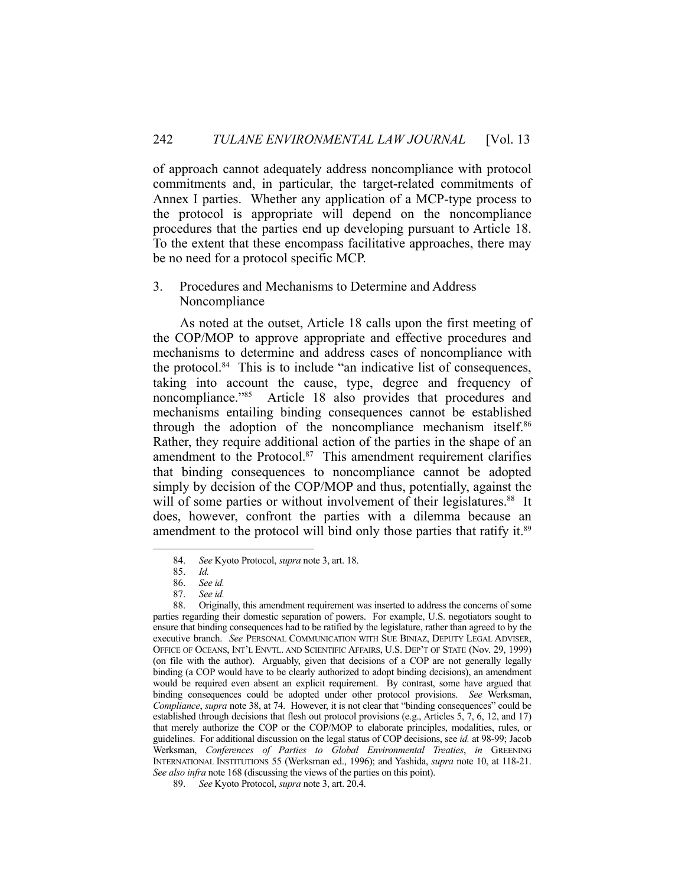of approach cannot adequately address noncompliance with protocol commitments and, in particular, the target-related commitments of Annex I parties. Whether any application of a MCP-type process to the protocol is appropriate will depend on the noncompliance procedures that the parties end up developing pursuant to Article 18. To the extent that these encompass facilitative approaches, there may be no need for a protocol specific MCP.

#### 3. Procedures and Mechanisms to Determine and Address Noncompliance

 As noted at the outset, Article 18 calls upon the first meeting of the COP/MOP to approve appropriate and effective procedures and mechanisms to determine and address cases of noncompliance with the protocol.84 This is to include "an indicative list of consequences, taking into account the cause, type, degree and frequency of noncompliance."<sup>85</sup> Article 18 also provides that procedures and mechanisms entailing binding consequences cannot be established through the adoption of the noncompliance mechanism itself.<sup>86</sup> Rather, they require additional action of the parties in the shape of an amendment to the Protocol.<sup>87</sup> This amendment requirement clarifies that binding consequences to noncompliance cannot be adopted simply by decision of the COP/MOP and thus, potentially, against the will of some parties or without involvement of their legislatures.<sup>88</sup> It does, however, confront the parties with a dilemma because an amendment to the protocol will bind only those parties that ratify it.<sup>89</sup>

 <sup>84.</sup> *See* Kyoto Protocol, *supra* note 3, art. 18.

 <sup>85.</sup> *Id.*

 <sup>86.</sup> *See id.*

 <sup>87.</sup> *See id.*

 <sup>88.</sup> Originally, this amendment requirement was inserted to address the concerns of some parties regarding their domestic separation of powers. For example, U.S. negotiators sought to ensure that binding consequences had to be ratified by the legislature, rather than agreed to by the executive branch. *See* PERSONAL COMMUNICATION WITH SUE BINIAZ, DEPUTY LEGAL ADVISER, OFFICE OF OCEANS, INT'L ENVTL. AND SCIENTIFIC AFFAIRS, U.S. DEP'T OF STATE (Nov. 29, 1999) (on file with the author). Arguably, given that decisions of a COP are not generally legally binding (a COP would have to be clearly authorized to adopt binding decisions), an amendment would be required even absent an explicit requirement. By contrast, some have argued that binding consequences could be adopted under other protocol provisions. *See* Werksman, *Compliance*, *supra* note 38, at 74. However, it is not clear that "binding consequences" could be established through decisions that flesh out protocol provisions (e.g., Articles 5, 7, 6, 12, and 17) that merely authorize the COP or the COP/MOP to elaborate principles, modalities, rules, or guidelines. For additional discussion on the legal status of COP decisions, see *id.* at 98-99; Jacob Werksman, *Conferences of Parties to Global Environmental Treaties*, *in* GREENING INTERNATIONAL INSTITUTIONS 55 (Werksman ed., 1996); and Yashida, *supra* note 10, at 118-21. *See also infra* note 168 (discussing the views of the parties on this point).

 <sup>89.</sup> *See* Kyoto Protocol, *supra* note 3, art. 20.4.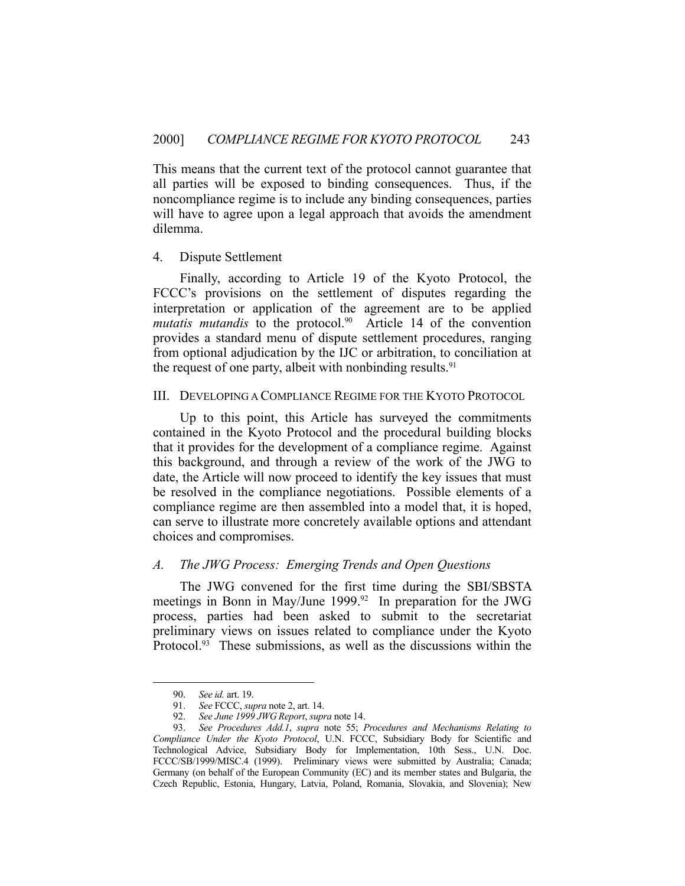This means that the current text of the protocol cannot guarantee that all parties will be exposed to binding consequences. Thus, if the noncompliance regime is to include any binding consequences, parties will have to agree upon a legal approach that avoids the amendment dilemma.

#### 4. Dispute Settlement

 Finally, according to Article 19 of the Kyoto Protocol, the FCCC's provisions on the settlement of disputes regarding the interpretation or application of the agreement are to be applied *mutatis mutandis* to the protocol.<sup>90</sup> Article 14 of the convention provides a standard menu of dispute settlement procedures, ranging from optional adjudication by the IJC or arbitration, to conciliation at the request of one party, albeit with nonbinding results. $91$ 

#### III. DEVELOPING A COMPLIANCE REGIME FOR THE KYOTO PROTOCOL

 Up to this point, this Article has surveyed the commitments contained in the Kyoto Protocol and the procedural building blocks that it provides for the development of a compliance regime. Against this background, and through a review of the work of the JWG to date, the Article will now proceed to identify the key issues that must be resolved in the compliance negotiations. Possible elements of a compliance regime are then assembled into a model that, it is hoped, can serve to illustrate more concretely available options and attendant choices and compromises.

#### *A. The JWG Process: Emerging Trends and Open Questions*

 The JWG convened for the first time during the SBI/SBSTA meetings in Bonn in May/June 1999.<sup>92</sup> In preparation for the JWG process, parties had been asked to submit to the secretariat preliminary views on issues related to compliance under the Kyoto Protocol.<sup>93</sup> These submissions, as well as the discussions within the

 <sup>90.</sup> *See id.* art. 19.

 <sup>91.</sup> *See* FCCC, *supra* note 2, art. 14.

 <sup>92.</sup> *See June 1999 JWG Report*, *supra* note 14.

 <sup>93.</sup> *See Procedures Add.1*, *supra* note 55; *Procedures and Mechanisms Relating to Compliance Under the Kyoto Protocol*, U.N. FCCC, Subsidiary Body for Scientific and Technological Advice, Subsidiary Body for Implementation, 10th Sess., U.N. Doc. FCCC/SB/1999/MISC.4 (1999). Preliminary views were submitted by Australia; Canada; Germany (on behalf of the European Community (EC) and its member states and Bulgaria, the Czech Republic, Estonia, Hungary, Latvia, Poland, Romania, Slovakia, and Slovenia); New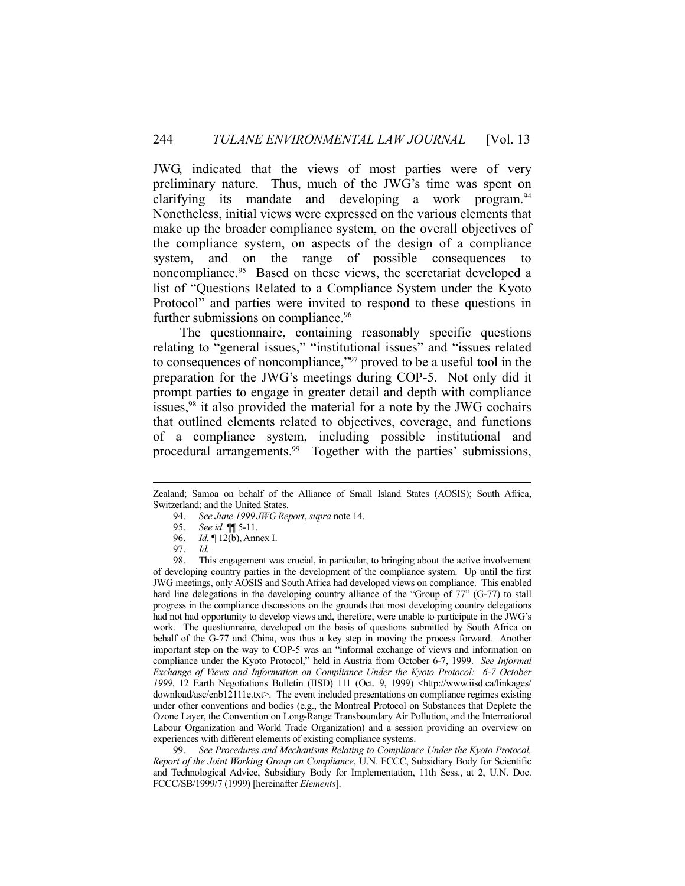JWG, indicated that the views of most parties were of very preliminary nature. Thus, much of the JWG's time was spent on clarifying its mandate and developing a work program.<sup>94</sup> Nonetheless, initial views were expressed on the various elements that make up the broader compliance system, on the overall objectives of the compliance system, on aspects of the design of a compliance system, and on the range of possible consequences to noncompliance.<sup>95</sup> Based on these views, the secretariat developed a list of "Questions Related to a Compliance System under the Kyoto Protocol" and parties were invited to respond to these questions in further submissions on compliance.<sup>96</sup>

 The questionnaire, containing reasonably specific questions relating to "general issues," "institutional issues" and "issues related to consequences of noncompliance,"97 proved to be a useful tool in the preparation for the JWG's meetings during COP-5. Not only did it prompt parties to engage in greater detail and depth with compliance issues,  $98$  it also provided the material for a note by the JWG cochairs that outlined elements related to objectives, coverage, and functions of a compliance system, including possible institutional and procedural arrangements.<sup>99</sup> Together with the parties' submissions,

 98. This engagement was crucial, in particular, to bringing about the active involvement of developing country parties in the development of the compliance system. Up until the first JWG meetings, only AOSIS and South Africa had developed views on compliance. This enabled hard line delegations in the developing country alliance of the "Group of 77" (G-77) to stall progress in the compliance discussions on the grounds that most developing country delegations had not had opportunity to develop views and, therefore, were unable to participate in the JWG's work. The questionnaire, developed on the basis of questions submitted by South Africa on behalf of the G-77 and China, was thus a key step in moving the process forward. Another important step on the way to COP-5 was an "informal exchange of views and information on compliance under the Kyoto Protocol," held in Austria from October 6-7, 1999. *See Informal Exchange of Views and Information on Compliance Under the Kyoto Protocol: 6-7 October*  1999, 12 Earth Negotiations Bulletin (IISD) 111 (Oct. 9, 1999) <http://www.iisd.ca/linkages/ download/asc/enb12111e.txt>. The event included presentations on compliance regimes existing under other conventions and bodies (e.g., the Montreal Protocol on Substances that Deplete the Ozone Layer, the Convention on Long-Range Transboundary Air Pollution, and the International Labour Organization and World Trade Organization) and a session providing an overview on experiences with different elements of existing compliance systems.

See Procedures and Mechanisms Relating to Compliance Under the Kyoto Protocol, *Report of the Joint Working Group on Compliance*, U.N. FCCC, Subsidiary Body for Scientific and Technological Advice, Subsidiary Body for Implementation, 11th Sess., at 2, U.N. Doc. FCCC/SB/1999/7 (1999) [hereinafter *Elements*].

Zealand; Samoa on behalf of the Alliance of Small Island States (AOSIS); South Africa, Switzerland; and the United States.

 <sup>94.</sup> *See June 1999 JWG Report*, *supra* note 14.

 <sup>95.</sup> *See id.* ¶¶ 5-11.

 <sup>96.</sup> *Id.* ¶ 12(b), Annex I.

 <sup>97.</sup> *Id.*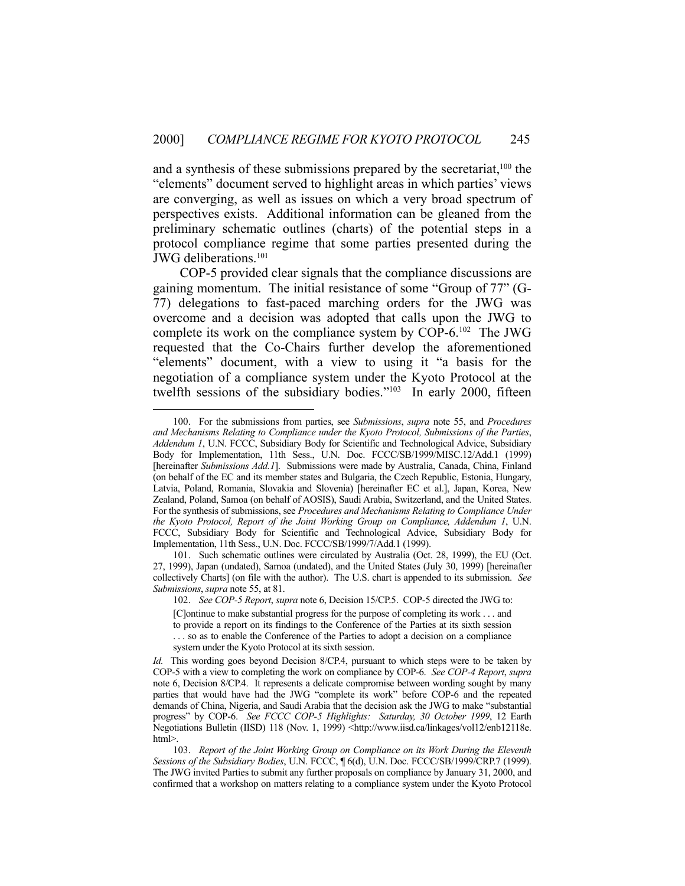and a synthesis of these submissions prepared by the secretariat,  $100$  the "elements" document served to highlight areas in which parties' views are converging, as well as issues on which a very broad spectrum of perspectives exists. Additional information can be gleaned from the preliminary schematic outlines (charts) of the potential steps in a protocol compliance regime that some parties presented during the JWG deliberations.101

 COP-5 provided clear signals that the compliance discussions are gaining momentum. The initial resistance of some "Group of 77" (G-77) delegations to fast-paced marching orders for the JWG was overcome and a decision was adopted that calls upon the JWG to complete its work on the compliance system by COP-6.102 The JWG requested that the Co-Chairs further develop the aforementioned "elements" document, with a view to using it "a basis for the negotiation of a compliance system under the Kyoto Protocol at the twelfth sessions of the subsidiary bodies."<sup>103</sup> In early 2000, fifteen

 <sup>100.</sup> For the submissions from parties, see *Submissions*, *supra* note 55, and *Procedures and Mechanisms Relating to Compliance under the Kyoto Protocol, Submissions of the Parties*, *Addendum 1*, U.N. FCCC, Subsidiary Body for Scientific and Technological Advice, Subsidiary Body for Implementation, 11th Sess., U.N. Doc. FCCC/SB/1999/MISC.12/Add.1 (1999) [hereinafter *Submissions Add.1*]. Submissions were made by Australia, Canada, China, Finland (on behalf of the EC and its member states and Bulgaria, the Czech Republic, Estonia, Hungary, Latvia, Poland, Romania, Slovakia and Slovenia) [hereinafter EC et al.], Japan, Korea, New Zealand, Poland, Samoa (on behalf of AOSIS), Saudi Arabia, Switzerland, and the United States. For the synthesis of submissions, see *Procedures and Mechanisms Relating to Compliance Under the Kyoto Protocol, Report of the Joint Working Group on Compliance, Addendum 1*, U.N. FCCC, Subsidiary Body for Scientific and Technological Advice, Subsidiary Body for Implementation, 11th Sess., U.N. Doc. FCCC/SB/1999/7/Add.1 (1999).

 <sup>101.</sup> Such schematic outlines were circulated by Australia (Oct. 28, 1999), the EU (Oct. 27, 1999), Japan (undated), Samoa (undated), and the United States (July 30, 1999) [hereinafter collectively Charts] (on file with the author). The U.S. chart is appended to its submission. *See Submissions*, *supra* note 55, at 81.

 <sup>102.</sup> *See COP-5 Report*, *supra* note 6, Decision 15/CP.5. COP-5 directed the JWG to:

<sup>[</sup>C]ontinue to make substantial progress for the purpose of completing its work . . . and

to provide a report on its findings to the Conference of the Parties at its sixth session

<sup>. . .</sup> so as to enable the Conference of the Parties to adopt a decision on a compliance system under the Kyoto Protocol at its sixth session.

*Id.* This wording goes beyond Decision 8/CP.4, pursuant to which steps were to be taken by COP-5 with a view to completing the work on compliance by COP-6. *See COP-4 Report*, *supra* note 6, Decision 8/CP.4. It represents a delicate compromise between wording sought by many parties that would have had the JWG "complete its work" before COP-6 and the repeated demands of China, Nigeria, and Saudi Arabia that the decision ask the JWG to make "substantial progress" by COP-6. *See FCCC COP-5 Highlights: Saturday, 30 October 1999*, 12 Earth Negotiations Bulletin (IISD) 118 (Nov. 1, 1999) <http://www.iisd.ca/linkages/vol12/enb12118e. html>.

 <sup>103.</sup> *Report of the Joint Working Group on Compliance on its Work During the Eleventh Sessions of the Subsidiary Bodies*, U.N. FCCC, ¶ 6(d), U.N. Doc. FCCC/SB/1999/CRP.7 (1999). The JWG invited Parties to submit any further proposals on compliance by January 31, 2000, and confirmed that a workshop on matters relating to a compliance system under the Kyoto Protocol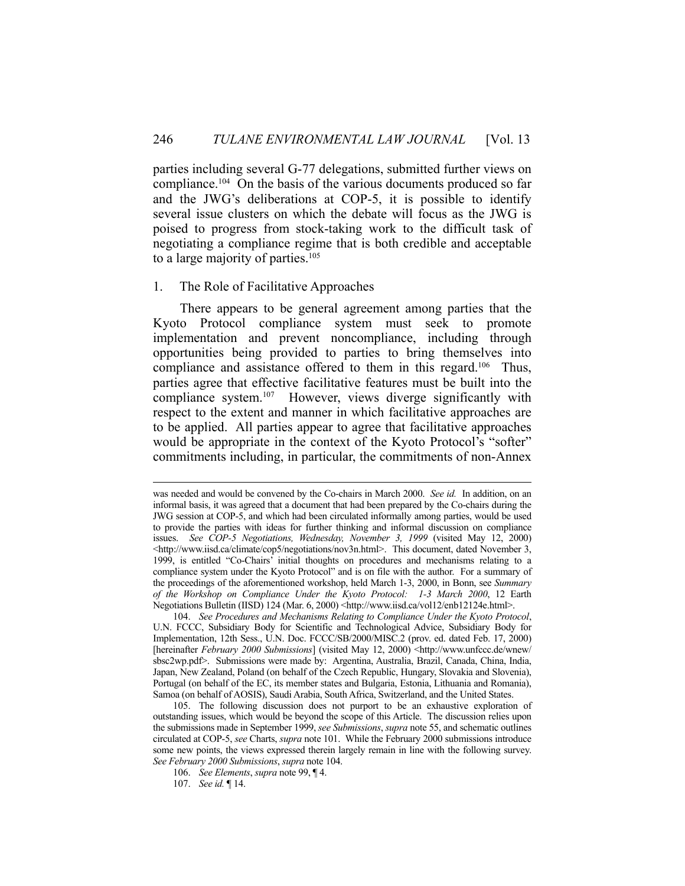parties including several G-77 delegations, submitted further views on compliance.<sup>104</sup> On the basis of the various documents produced so far and the JWG's deliberations at COP-5, it is possible to identify several issue clusters on which the debate will focus as the JWG is poised to progress from stock-taking work to the difficult task of negotiating a compliance regime that is both credible and acceptable to a large majority of parties.<sup>105</sup>

#### 1. The Role of Facilitative Approaches

 There appears to be general agreement among parties that the Kyoto Protocol compliance system must seek to promote implementation and prevent noncompliance, including through opportunities being provided to parties to bring themselves into compliance and assistance offered to them in this regard.106 Thus, parties agree that effective facilitative features must be built into the compliance system.107 However, views diverge significantly with respect to the extent and manner in which facilitative approaches are to be applied. All parties appear to agree that facilitative approaches would be appropriate in the context of the Kyoto Protocol's "softer" commitments including, in particular, the commitments of non-Annex

was needed and would be convened by the Co-chairs in March 2000. *See id.* In addition, on an informal basis, it was agreed that a document that had been prepared by the Co-chairs during the JWG session at COP-5, and which had been circulated informally among parties, would be used to provide the parties with ideas for further thinking and informal discussion on compliance issues. *See COP-5 Negotiations, Wednesday, November 3, 1999* (visited May 12, 2000) <http://www.iisd.ca/climate/cop5/negotiations/nov3n.html>. This document, dated November 3, 1999, is entitled "Co-Chairs' initial thoughts on procedures and mechanisms relating to a compliance system under the Kyoto Protocol" and is on file with the author. For a summary of the proceedings of the aforementioned workshop, held March 1-3, 2000, in Bonn, see *Summary of the Workshop on Compliance Under the Kyoto Protocol: 1-3 March 2000*, 12 Earth Negotiations Bulletin (IISD) 124 (Mar. 6, 2000) <http://www.iisd.ca/vol12/enb12124e.html>.

 <sup>104.</sup> *See Procedures and Mechanisms Relating to Compliance Under the Kyoto Protocol*, U.N. FCCC, Subsidiary Body for Scientific and Technological Advice, Subsidiary Body for Implementation, 12th Sess., U.N. Doc. FCCC/SB/2000/MISC.2 (prov. ed. dated Feb. 17, 2000) [hereinafter *February 2000 Submissions*] (visited May 12, 2000) <http://www.unfccc.de/wnew/ sbsc2wp.pdf>. Submissions were made by: Argentina, Australia, Brazil, Canada, China, India, Japan, New Zealand, Poland (on behalf of the Czech Republic, Hungary, Slovakia and Slovenia), Portugal (on behalf of the EC, its member states and Bulgaria, Estonia, Lithuania and Romania), Samoa (on behalf of AOSIS), Saudi Arabia, South Africa, Switzerland, and the United States.

 <sup>105.</sup> The following discussion does not purport to be an exhaustive exploration of outstanding issues, which would be beyond the scope of this Article. The discussion relies upon the submissions made in September 1999, *see Submissions*, *supra* note 55, and schematic outlines circulated at COP-5, *see* Charts, *supra* note 101. While the February 2000 submissions introduce some new points, the views expressed therein largely remain in line with the following survey. *See February 2000 Submissions*, *supra* note 104.

 <sup>106.</sup> *See Elements*, *supra* note 99, ¶ 4.

 <sup>107.</sup> *See id.* ¶ 14.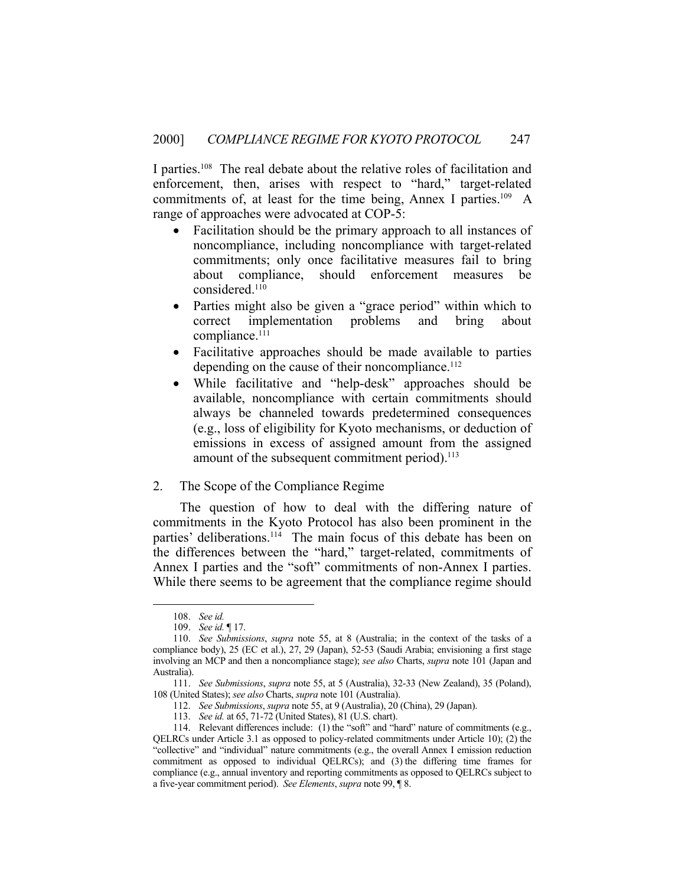I parties.<sup>108</sup> The real debate about the relative roles of facilitation and enforcement, then, arises with respect to "hard," target-related commitments of, at least for the time being, Annex I parties.109 A range of approaches were advocated at COP-5:

- Facilitation should be the primary approach to all instances of noncompliance, including noncompliance with target-related commitments; only once facilitative measures fail to bring about compliance, should enforcement measures considered.<sup>110</sup>
- Parties might also be given a "grace period" within which to correct implementation problems and bring about compliance.<sup>111</sup>
- Facilitative approaches should be made available to parties depending on the cause of their noncompliance.<sup>112</sup>
- While facilitative and "help-desk" approaches should be available, noncompliance with certain commitments should always be channeled towards predetermined consequences (e.g., loss of eligibility for Kyoto mechanisms, or deduction of emissions in excess of assigned amount from the assigned amount of the subsequent commitment period).<sup>113</sup>
- 2. The Scope of the Compliance Regime

 The question of how to deal with the differing nature of commitments in the Kyoto Protocol has also been prominent in the parties' deliberations.<sup>114</sup> The main focus of this debate has been on the differences between the "hard," target-related, commitments of Annex I parties and the "soft" commitments of non-Annex I parties. While there seems to be agreement that the compliance regime should

 <sup>108.</sup> *See id.*

 <sup>109.</sup> *See id.* ¶ 17.

 <sup>110.</sup> *See Submissions*, *supra* note 55, at 8 (Australia; in the context of the tasks of a compliance body), 25 (EC et al.), 27, 29 (Japan), 52-53 (Saudi Arabia; envisioning a first stage involving an MCP and then a noncompliance stage); *see also* Charts, *supra* note 101 (Japan and Australia).

 <sup>111.</sup> *See Submissions*, *supra* note 55, at 5 (Australia), 32-33 (New Zealand), 35 (Poland), 108 (United States); *see also* Charts, *supra* note 101 (Australia).

 <sup>112.</sup> *See Submissions*, *supra* note 55, at 9 (Australia), 20 (China), 29 (Japan).

 <sup>113.</sup> *See id.* at 65, 71-72 (United States), 81 (U.S. chart).

 <sup>114.</sup> Relevant differences include: (1) the "soft" and "hard" nature of commitments (e.g., QELRCs under Article 3.1 as opposed to policy-related commitments under Article 10); (2) the "collective" and "individual" nature commitments (e.g., the overall Annex I emission reduction commitment as opposed to individual QELRCs); and (3) the differing time frames for compliance (e.g., annual inventory and reporting commitments as opposed to QELRCs subject to a five-year commitment period). *See Elements*, *supra* note 99, ¶ 8.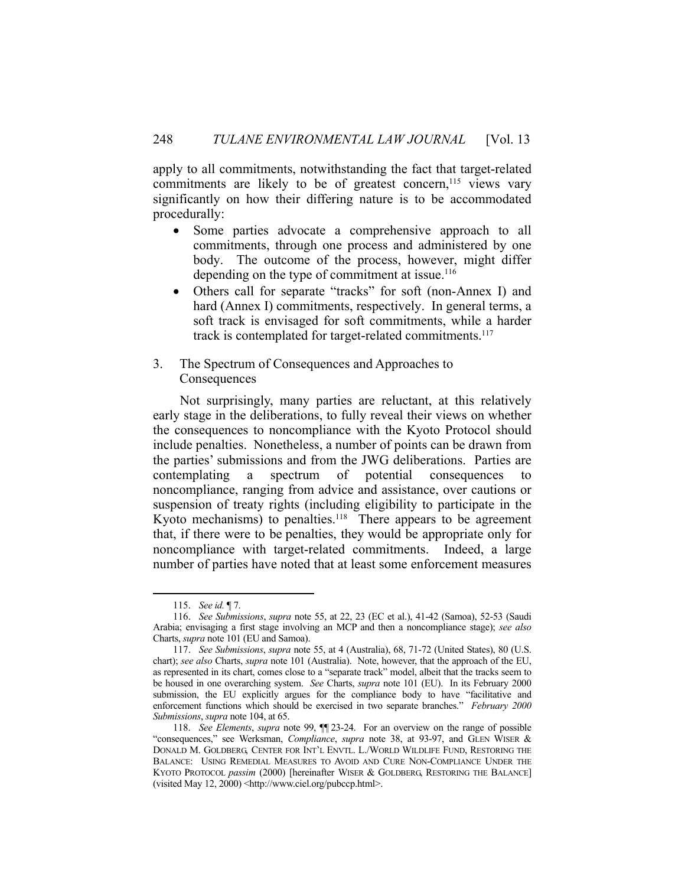apply to all commitments, notwithstanding the fact that target-related commitments are likely to be of greatest concern,<sup>115</sup> views vary significantly on how their differing nature is to be accommodated procedurally:

- Some parties advocate a comprehensive approach to all commitments, through one process and administered by one body. The outcome of the process, however, might differ depending on the type of commitment at issue.<sup>116</sup>
- Others call for separate "tracks" for soft (non-Annex I) and hard (Annex I) commitments, respectively. In general terms, a soft track is envisaged for soft commitments, while a harder track is contemplated for target-related commitments.<sup>117</sup>

#### 3. The Spectrum of Consequences and Approaches to Consequences

 Not surprisingly, many parties are reluctant, at this relatively early stage in the deliberations, to fully reveal their views on whether the consequences to noncompliance with the Kyoto Protocol should include penalties. Nonetheless, a number of points can be drawn from the parties' submissions and from the JWG deliberations. Parties are contemplating a spectrum of potential consequences to noncompliance, ranging from advice and assistance, over cautions or suspension of treaty rights (including eligibility to participate in the Kyoto mechanisms) to penalties.<sup>118</sup> There appears to be agreement that, if there were to be penalties, they would be appropriate only for noncompliance with target-related commitments. Indeed, a large number of parties have noted that at least some enforcement measures

 <sup>115.</sup> *See id.* ¶ 7.

 <sup>116.</sup> *See Submissions*, *supra* note 55, at 22, 23 (EC et al.), 41-42 (Samoa), 52-53 (Saudi Arabia; envisaging a first stage involving an MCP and then a noncompliance stage); *see also* Charts, *supra* note 101 (EU and Samoa).

 <sup>117.</sup> *See Submissions*, *supra* note 55, at 4 (Australia), 68, 71-72 (United States), 80 (U.S. chart); *see also* Charts, *supra* note 101 (Australia). Note, however, that the approach of the EU, as represented in its chart, comes close to a "separate track" model, albeit that the tracks seem to be housed in one overarching system. *See* Charts, *supra* note 101 (EU). In its February 2000 submission, the EU explicitly argues for the compliance body to have "facilitative and enforcement functions which should be exercised in two separate branches." *February 2000 Submissions*, *supra* note 104, at 65.

 <sup>118.</sup> *See Elements*, *supra* note 99, ¶¶ 23-24. For an overview on the range of possible "consequences," see Werksman, *Compliance*, *supra* note 38, at 93-97, and GLEN WISER & DONALD M. GOLDBERG, CENTER FOR INT'L ENVTL. L./WORLD WILDLIFE FUND, RESTORING THE BALANCE: USING REMEDIAL MEASURES TO AVOID AND CURE NON-COMPLIANCE UNDER THE KYOTO PROTOCOL *passim* (2000) [hereinafter WISER & GOLDBERG, RESTORING THE BALANCE] (visited May 12, 2000) <http://www.ciel.org/pubccp.html>.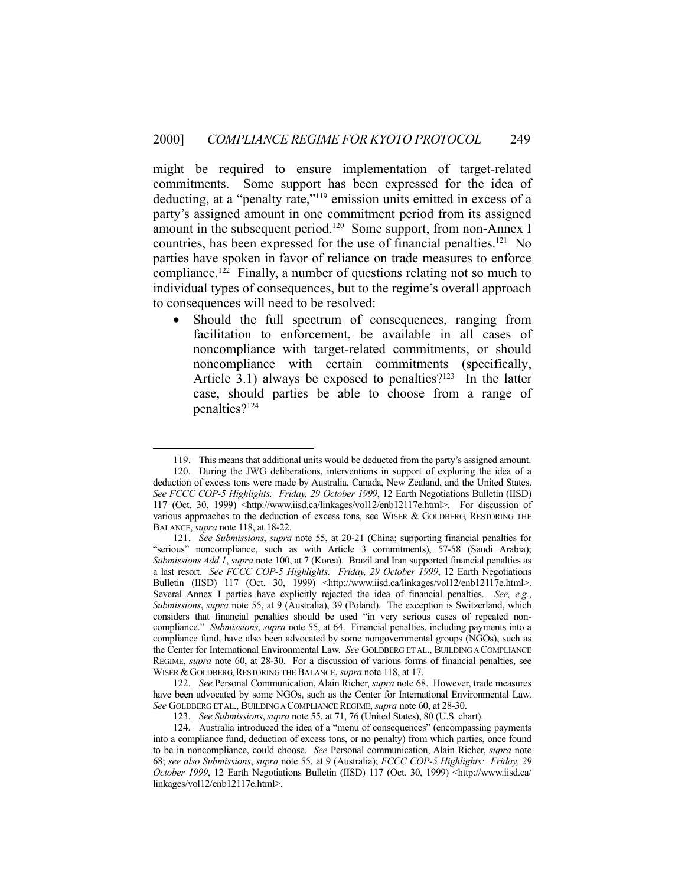might be required to ensure implementation of target-related commitments. Some support has been expressed for the idea of deducting, at a "penalty rate,"119 emission units emitted in excess of a party's assigned amount in one commitment period from its assigned amount in the subsequent period.<sup>120</sup> Some support, from non-Annex I countries, has been expressed for the use of financial penalties.<sup>121</sup> No parties have spoken in favor of reliance on trade measures to enforce compliance.<sup>122</sup> Finally, a number of questions relating not so much to individual types of consequences, but to the regime's overall approach to consequences will need to be resolved:

 Should the full spectrum of consequences, ranging from facilitation to enforcement, be available in all cases of noncompliance with target-related commitments, or should noncompliance with certain commitments (specifically, Article 3.1) always be exposed to penalties? $123$  In the latter case, should parties be able to choose from a range of penalties?124

 <sup>119.</sup> This means that additional units would be deducted from the party's assigned amount.

 <sup>120.</sup> During the JWG deliberations, interventions in support of exploring the idea of a deduction of excess tons were made by Australia, Canada, New Zealand, and the United States. *See FCCC COP-5 Highlights: Friday, 29 October 1999*, 12 Earth Negotiations Bulletin (IISD) 117 (Oct. 30, 1999) <http://www.iisd.ca/linkages/vol12/enb12117e.html>. For discussion of various approaches to the deduction of excess tons, see WISER & GOLDBERG, RESTORING THE BALANCE, *supra* note 118, at 18-22.

 <sup>121.</sup> *See Submissions*, *supra* note 55, at 20-21 (China; supporting financial penalties for "serious" noncompliance, such as with Article 3 commitments), 57-58 (Saudi Arabia); *Submissions Add.1*, *supra* note 100, at 7 (Korea). Brazil and Iran supported financial penalties as a last resort. *See FCCC COP-5 Highlights: Friday, 29 October 1999*, 12 Earth Negotiations Bulletin (IISD) 117 (Oct. 30, 1999) <http://www.iisd.ca/linkages/vol12/enb12117e.html>. Several Annex I parties have explicitly rejected the idea of financial penalties. *See, e.g.*, *Submissions*, *supra* note 55, at 9 (Australia), 39 (Poland). The exception is Switzerland, which considers that financial penalties should be used "in very serious cases of repeated noncompliance." *Submissions*, *supra* note 55, at 64. Financial penalties, including payments into a compliance fund, have also been advocated by some nongovernmental groups (NGOs), such as the Center for International Environmental Law. *See* GOLDBERG ET AL., BUILDING A COMPLIANCE REGIME, *supra* note 60, at 28-30. For a discussion of various forms of financial penalties, see WISER & GOLDBERG, RESTORING THE BALANCE, *supra* note 118, at 17.

 <sup>122.</sup> *See* Personal Communication, Alain Richer, *supra* note 68. However, trade measures have been advocated by some NGOs, such as the Center for International Environmental Law. *See* GOLDBERG ET AL., BUILDING A COMPLIANCE REGIME, *supra* note 60, at 28-30.

 <sup>123.</sup> *See Submissions*, *supra* note 55, at 71, 76 (United States), 80 (U.S. chart).

 <sup>124.</sup> Australia introduced the idea of a "menu of consequences" (encompassing payments into a compliance fund, deduction of excess tons, or no penalty) from which parties, once found to be in noncompliance, could choose. *See* Personal communication, Alain Richer, *supra* note 68; *see also Submissions*, *supra* note 55, at 9 (Australia); *FCCC COP-5 Highlights: Friday, 29 October 1999*, 12 Earth Negotiations Bulletin (IISD) 117 (Oct. 30, 1999) <http://www.iisd.ca/ linkages/vol12/enb12117e.html>.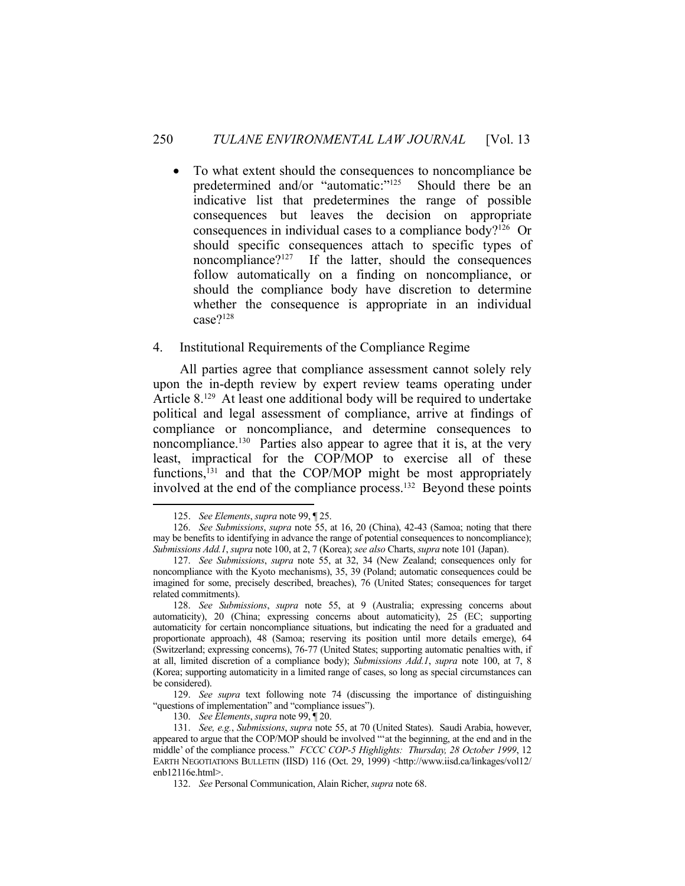To what extent should the consequences to noncompliance be predetermined and/or "automatic:"<sup>125</sup> Should there be an indicative list that predetermines the range of possible consequences but leaves the decision on appropriate consequences in individual cases to a compliance body?126 Or should specific consequences attach to specific types of noncompliance?127 If the latter, should the consequences follow automatically on a finding on noncompliance, or should the compliance body have discretion to determine whether the consequence is appropriate in an individual case?128

#### 4. Institutional Requirements of the Compliance Regime

 All parties agree that compliance assessment cannot solely rely upon the in-depth review by expert review teams operating under Article 8.129 At least one additional body will be required to undertake political and legal assessment of compliance, arrive at findings of compliance or noncompliance, and determine consequences to noncompliance.<sup>130</sup> Parties also appear to agree that it is, at the very least, impractical for the COP/MOP to exercise all of these functions,<sup>131</sup> and that the COP/MOP might be most appropriately involved at the end of the compliance process.<sup>132</sup> Beyond these points

 <sup>125.</sup> *See Elements*, *supra* note 99, ¶ 25.

 <sup>126.</sup> *See Submissions*, *supra* note 55, at 16, 20 (China), 42-43 (Samoa; noting that there may be benefits to identifying in advance the range of potential consequences to noncompliance); *Submissions Add.1*, *supra* note 100, at 2, 7 (Korea); *see also* Charts, *supra* note 101 (Japan).

 <sup>127.</sup> *See Submissions*, *supra* note 55, at 32, 34 (New Zealand; consequences only for noncompliance with the Kyoto mechanisms), 35, 39 (Poland; automatic consequences could be imagined for some, precisely described, breaches), 76 (United States; consequences for target related commitments).

 <sup>128.</sup> *See Submissions*, *supra* note 55, at 9 (Australia; expressing concerns about automaticity), 20 (China; expressing concerns about automaticity), 25 (EC; supporting automaticity for certain noncompliance situations, but indicating the need for a graduated and proportionate approach), 48 (Samoa; reserving its position until more details emerge), 64 (Switzerland; expressing concerns), 76-77 (United States; supporting automatic penalties with, if at all, limited discretion of a compliance body); *Submissions Add.1*, *supra* note 100, at 7, 8 (Korea; supporting automaticity in a limited range of cases, so long as special circumstances can be considered).

 <sup>129.</sup> *See supra* text following note 74 (discussing the importance of distinguishing "questions of implementation" and "compliance issues").

 <sup>130.</sup> *See Elements*, *supra* note 99, ¶ 20.

 <sup>131.</sup> *See, e.g.*, *Submissions*, *supra* note 55, at 70 (United States). Saudi Arabia, however, appeared to argue that the COP/MOP should be involved "'at the beginning, at the end and in the middle' of the compliance process." *FCCC COP-5 Highlights: Thursday, 28 October 1999*, 12 EARTH NEGOTIATIONS BULLETIN (IISD) 116 (Oct. 29, 1999) <http://www.iisd.ca/linkages/vol12/ enb12116e.html>.

 <sup>132.</sup> *See* Personal Communication, Alain Richer, *supra* note 68.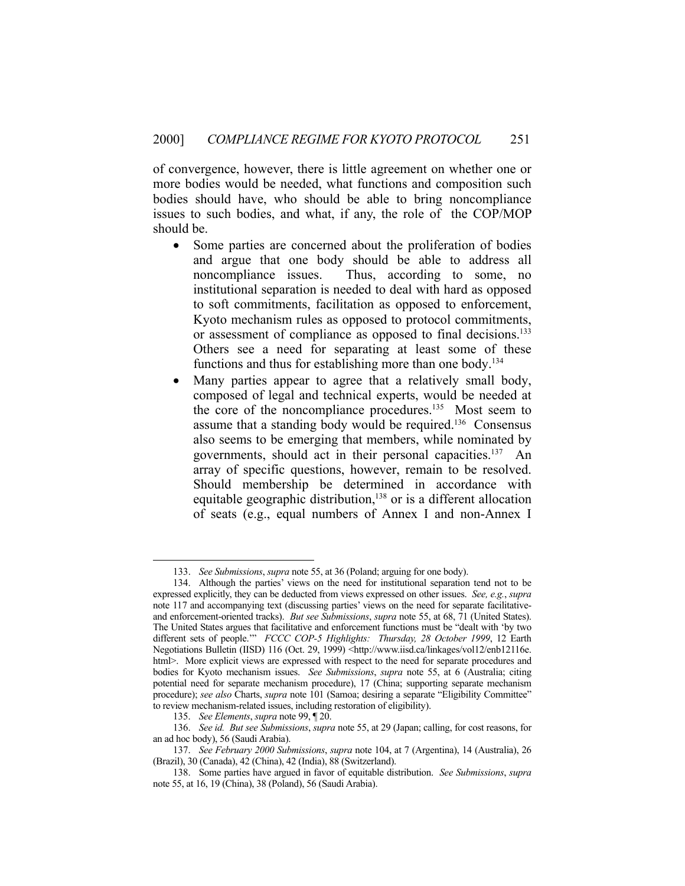of convergence, however, there is little agreement on whether one or more bodies would be needed, what functions and composition such bodies should have, who should be able to bring noncompliance issues to such bodies, and what, if any, the role of the COP/MOP should be.

- Some parties are concerned about the proliferation of bodies and argue that one body should be able to address all noncompliance issues. Thus, according to some, no institutional separation is needed to deal with hard as opposed to soft commitments, facilitation as opposed to enforcement, Kyoto mechanism rules as opposed to protocol commitments, or assessment of compliance as opposed to final decisions.<sup>133</sup> Others see a need for separating at least some of these functions and thus for establishing more than one body.<sup>134</sup>
- Many parties appear to agree that a relatively small body, composed of legal and technical experts, would be needed at the core of the noncompliance procedures.<sup>135</sup> Most seem to assume that a standing body would be required.136 Consensus also seems to be emerging that members, while nominated by governments, should act in their personal capacities.137 An array of specific questions, however, remain to be resolved. Should membership be determined in accordance with equitable geographic distribution,<sup>138</sup> or is a different allocation of seats (e.g., equal numbers of Annex I and non-Annex I

 <sup>133.</sup> *See Submissions*, *supra* note 55, at 36 (Poland; arguing for one body).

 <sup>134.</sup> Although the parties' views on the need for institutional separation tend not to be expressed explicitly, they can be deducted from views expressed on other issues. *See, e.g.*, *supra* note 117 and accompanying text (discussing parties' views on the need for separate facilitativeand enforcement-oriented tracks). *But see Submissions*, *supra* note 55, at 68, 71 (United States). The United States argues that facilitative and enforcement functions must be "dealt with 'by two different sets of people.'" *FCCC COP-5 Highlights: Thursday, 28 October 1999*, 12 Earth Negotiations Bulletin (IISD) 116 (Oct. 29, 1999) <http://www.iisd.ca/linkages/vol12/enb12116e. html>. More explicit views are expressed with respect to the need for separate procedures and bodies for Kyoto mechanism issues. *See Submissions*, *supra* note 55, at 6 (Australia; citing potential need for separate mechanism procedure), 17 (China; supporting separate mechanism procedure); *see also* Charts, *supra* note 101 (Samoa; desiring a separate "Eligibility Committee" to review mechanism-related issues, including restoration of eligibility).

 <sup>135.</sup> *See Elements*, *supra* note 99, ¶ 20.

 <sup>136.</sup> *See id. But see Submissions*, *supra* note 55, at 29 (Japan; calling, for cost reasons, for an ad hoc body), 56 (Saudi Arabia).

 <sup>137.</sup> *See February 2000 Submissions*, *supra* note 104, at 7 (Argentina), 14 (Australia), 26 (Brazil), 30 (Canada), 42 (China), 42 (India), 88 (Switzerland).

 <sup>138.</sup> Some parties have argued in favor of equitable distribution. *See Submissions*, *supra* note 55, at 16, 19 (China), 38 (Poland), 56 (Saudi Arabia).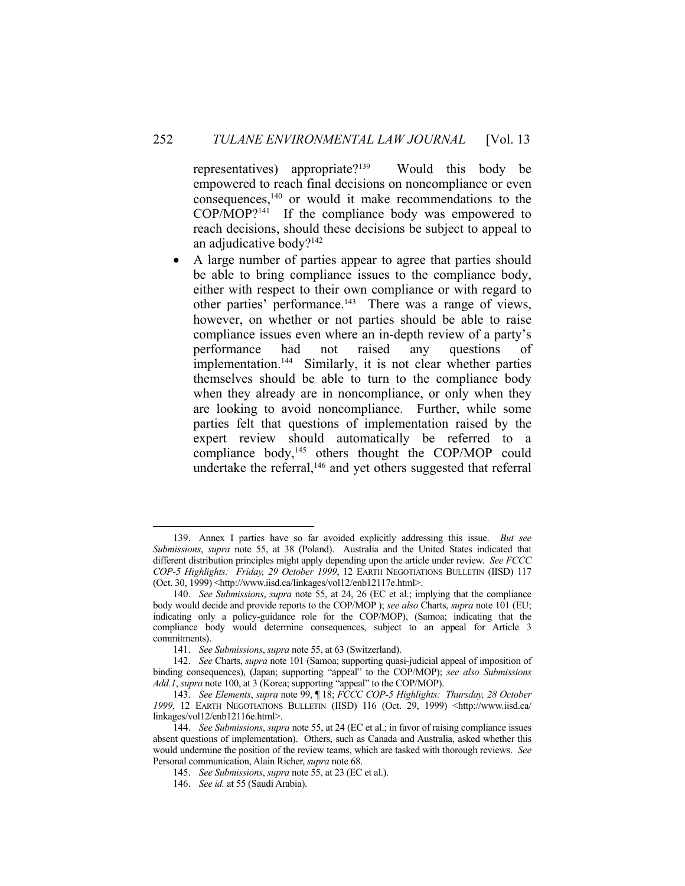representatives) appropriate?139 Would this body be empowered to reach final decisions on noncompliance or even consequences,140 or would it make recommendations to the COP/MOP?141 If the compliance body was empowered to reach decisions, should these decisions be subject to appeal to an adjudicative body?142

 A large number of parties appear to agree that parties should be able to bring compliance issues to the compliance body, either with respect to their own compliance or with regard to other parties' performance.<sup>143</sup> There was a range of views, however, on whether or not parties should be able to raise compliance issues even where an in-depth review of a party's performance had not raised any questions of implementation.<sup>144</sup> Similarly, it is not clear whether parties themselves should be able to turn to the compliance body when they already are in noncompliance, or only when they are looking to avoid noncompliance. Further, while some parties felt that questions of implementation raised by the expert review should automatically be referred to a compliance body, $^{145}$  others thought the COP/MOP could undertake the referral, $146$  and yet others suggested that referral

 <sup>139.</sup> Annex I parties have so far avoided explicitly addressing this issue. *But see Submissions*, *supra* note 55, at 38 (Poland). Australia and the United States indicated that different distribution principles might apply depending upon the article under review. *See FCCC COP-5 Highlights: Friday, 29 October 1999*, 12 EARTH NEGOTIATIONS BULLETIN (IISD) 117 (Oct. 30, 1999) <http://www.iisd.ca/linkages/vol12/enb12117e.html>.

 <sup>140.</sup> *See Submissions*, *supra* note 55, at 24, 26 (EC et al.; implying that the compliance body would decide and provide reports to the COP/MOP ); *see also* Charts, *supra* note 101 (EU; indicating only a policy-guidance role for the COP/MOP), (Samoa; indicating that the compliance body would determine consequences, subject to an appeal for Article 3 commitments).

 <sup>141.</sup> *See Submissions*, *supra* note 55, at 63 (Switzerland).

 <sup>142.</sup> *See* Charts, *supra* note 101 (Samoa; supporting quasi-judicial appeal of imposition of binding consequences), (Japan; supporting "appeal" to the COP/MOP); *see also Submissions Add.1*, *supra* note 100, at 3 (Korea; supporting "appeal" to the COP/MOP).

 <sup>143.</sup> *See Elements*, *supra* note 99, ¶ 18; *FCCC COP-5 Highlights: Thursday, 28 October 1999*, 12 EARTH NEGOTIATIONS BULLETIN (IISD) 116 (Oct. 29, 1999) <http://www.iisd.ca/ linkages/vol12/enb12116e.html>.

 <sup>144.</sup> *See Submissions*, *supra* note 55, at 24 (EC et al.; in favor of raising compliance issues absent questions of implementation). Others, such as Canada and Australia, asked whether this would undermine the position of the review teams, which are tasked with thorough reviews. *See*  Personal communication, Alain Richer, *supra* note 68.

 <sup>145.</sup> *See Submissions*, *supra* note 55, at 23 (EC et al.).

 <sup>146.</sup> *See id.* at 55 (Saudi Arabia).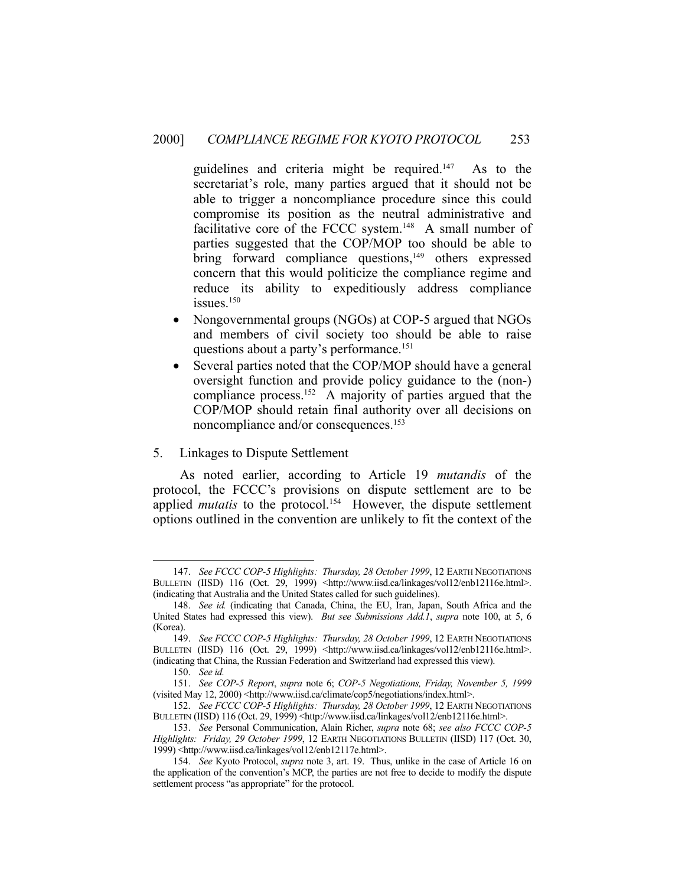guidelines and criteria might be required.<sup>147</sup> As to the secretariat's role, many parties argued that it should not be able to trigger a noncompliance procedure since this could compromise its position as the neutral administrative and facilitative core of the FCCC system.148 A small number of parties suggested that the COP/MOP too should be able to bring forward compliance questions,<sup>149</sup> others expressed concern that this would politicize the compliance regime and reduce its ability to expeditiously address compliance issues.150

- Nongovernmental groups (NGOs) at COP-5 argued that NGOs and members of civil society too should be able to raise questions about a party's performance.<sup>151</sup>
- Several parties noted that the COP/MOP should have a general oversight function and provide policy guidance to the (non-) compliance process.152 A majority of parties argued that the COP/MOP should retain final authority over all decisions on noncompliance and/or consequences.153

#### 5. Linkages to Dispute Settlement

 As noted earlier, according to Article 19 *mutandis* of the protocol, the FCCC's provisions on dispute settlement are to be applied *mutatis* to the protocol.<sup>154</sup> However, the dispute settlement options outlined in the convention are unlikely to fit the context of the

 <sup>147.</sup> *See FCCC COP-5 Highlights: Thursday, 28 October 1999*, 12 EARTH NEGOTIATIONS BULLETIN (IISD) 116 (Oct. 29, 1999) <http://www.iisd.ca/linkages/vol12/enb12116e.html>. (indicating that Australia and the United States called for such guidelines).

 <sup>148.</sup> *See id.* (indicating that Canada, China, the EU, Iran, Japan, South Africa and the United States had expressed this view). *But see Submissions Add.1*, *supra* note 100, at 5, 6 (Korea).

 <sup>149.</sup> *See FCCC COP-5 Highlights: Thursday, 28 October 1999*, 12 EARTH NEGOTIATIONS BULLETIN (IISD) 116 (Oct. 29, 1999) <http://www.iisd.ca/linkages/vol12/enb12116e.html>. (indicating that China, the Russian Federation and Switzerland had expressed this view).

 <sup>150.</sup> *See id.*

 <sup>151.</sup> *See COP-5 Report*, *supra* note 6; *COP-5 Negotiations, Friday, November 5, 1999* (visited May 12, 2000) <http://www.iisd.ca/climate/cop5/negotiations/index.html>.

 <sup>152.</sup> *See FCCC COP-5 Highlights: Thursday, 28 October 1999*, 12 EARTH NEGOTIATIONS BULLETIN (IISD) 116 (Oct. 29, 1999) <http://www.iisd.ca/linkages/vol12/enb12116e.html>.

 <sup>153.</sup> *See* Personal Communication, Alain Richer, *supra* note 68; *see also FCCC COP-5 Highlights: Friday, 29 October 1999*, 12 EARTH NEGOTIATIONS BULLETIN (IISD) 117 (Oct. 30, 1999) <http://www.iisd.ca/linkages/vol12/enb12117e.html>.

 <sup>154.</sup> *See* Kyoto Protocol, *supra* note 3, art. 19. Thus, unlike in the case of Article 16 on the application of the convention's MCP, the parties are not free to decide to modify the dispute settlement process "as appropriate" for the protocol.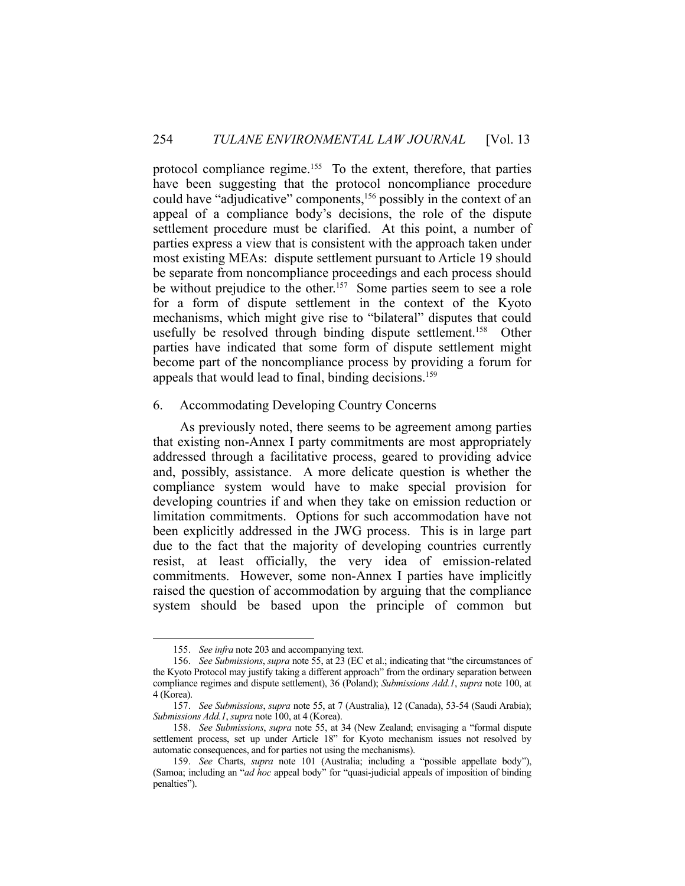protocol compliance regime.<sup>155</sup> To the extent, therefore, that parties have been suggesting that the protocol noncompliance procedure could have "adjudicative" components,156 possibly in the context of an appeal of a compliance body's decisions, the role of the dispute settlement procedure must be clarified. At this point, a number of parties express a view that is consistent with the approach taken under most existing MEAs: dispute settlement pursuant to Article 19 should be separate from noncompliance proceedings and each process should be without prejudice to the other.<sup>157</sup> Some parties seem to see a role for a form of dispute settlement in the context of the Kyoto mechanisms, which might give rise to "bilateral" disputes that could usefully be resolved through binding dispute settlement.<sup>158</sup> Other parties have indicated that some form of dispute settlement might become part of the noncompliance process by providing a forum for appeals that would lead to final, binding decisions.<sup>159</sup>

#### 6. Accommodating Developing Country Concerns

 As previously noted, there seems to be agreement among parties that existing non-Annex I party commitments are most appropriately addressed through a facilitative process, geared to providing advice and, possibly, assistance. A more delicate question is whether the compliance system would have to make special provision for developing countries if and when they take on emission reduction or limitation commitments. Options for such accommodation have not been explicitly addressed in the JWG process. This is in large part due to the fact that the majority of developing countries currently resist, at least officially, the very idea of emission-related commitments. However, some non-Annex I parties have implicitly raised the question of accommodation by arguing that the compliance system should be based upon the principle of common but

 <sup>155.</sup> *See infra* note 203 and accompanying text.

 <sup>156.</sup> *See Submissions*, *supra* note 55, at 23 (EC et al.; indicating that "the circumstances of the Kyoto Protocol may justify taking a different approach" from the ordinary separation between compliance regimes and dispute settlement), 36 (Poland); *Submissions Add.1*, *supra* note 100, at 4 (Korea).

 <sup>157.</sup> *See Submissions*, *supra* note 55, at 7 (Australia), 12 (Canada), 53-54 (Saudi Arabia); *Submissions Add.1*, *supra* note 100, at 4 (Korea).

 <sup>158.</sup> *See Submissions*, *supra* note 55, at 34 (New Zealand; envisaging a "formal dispute settlement process, set up under Article 18" for Kyoto mechanism issues not resolved by automatic consequences, and for parties not using the mechanisms).

 <sup>159.</sup> *See* Charts, *supra* note 101 (Australia; including a "possible appellate body"), (Samoa; including an "*ad hoc* appeal body" for "quasi-judicial appeals of imposition of binding penalties").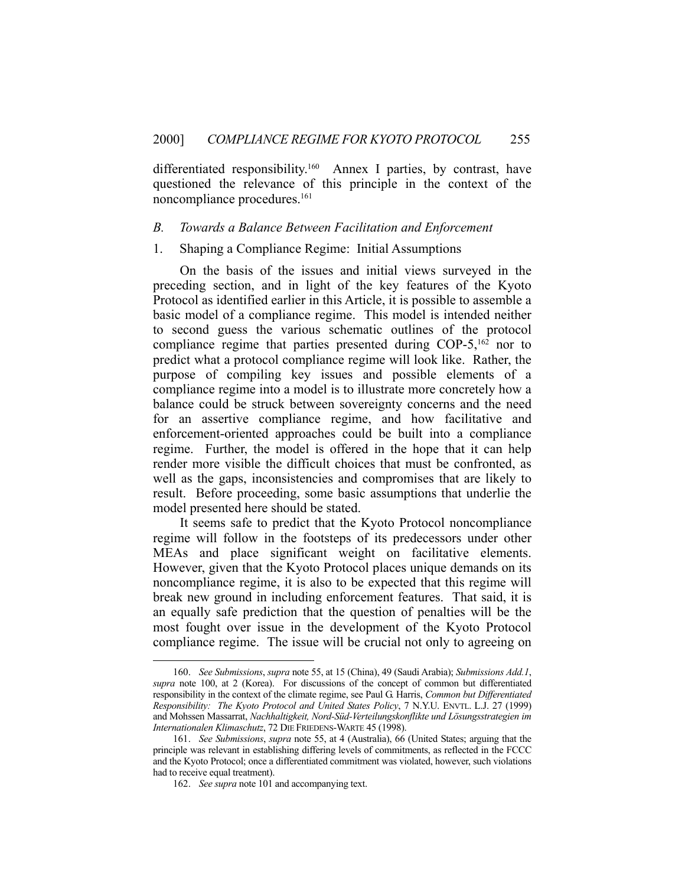differentiated responsibility.<sup>160</sup> Annex I parties, by contrast, have questioned the relevance of this principle in the context of the noncompliance procedures.161

#### *B. Towards a Balance Between Facilitation and Enforcement*

#### 1. Shaping a Compliance Regime: Initial Assumptions

 On the basis of the issues and initial views surveyed in the preceding section, and in light of the key features of the Kyoto Protocol as identified earlier in this Article, it is possible to assemble a basic model of a compliance regime. This model is intended neither to second guess the various schematic outlines of the protocol compliance regime that parties presented during COP-5,<sup>162</sup> nor to predict what a protocol compliance regime will look like. Rather, the purpose of compiling key issues and possible elements of a compliance regime into a model is to illustrate more concretely how a balance could be struck between sovereignty concerns and the need for an assertive compliance regime, and how facilitative and enforcement-oriented approaches could be built into a compliance regime. Further, the model is offered in the hope that it can help render more visible the difficult choices that must be confronted, as well as the gaps, inconsistencies and compromises that are likely to result. Before proceeding, some basic assumptions that underlie the model presented here should be stated.

 It seems safe to predict that the Kyoto Protocol noncompliance regime will follow in the footsteps of its predecessors under other MEAs and place significant weight on facilitative elements. However, given that the Kyoto Protocol places unique demands on its noncompliance regime, it is also to be expected that this regime will break new ground in including enforcement features. That said, it is an equally safe prediction that the question of penalties will be the most fought over issue in the development of the Kyoto Protocol compliance regime. The issue will be crucial not only to agreeing on

 <sup>160.</sup> *See Submissions*, *supra* note 55, at 15 (China), 49 (Saudi Arabia); *Submissions Add.1*, *supra* note 100, at 2 (Korea). For discussions of the concept of common but differentiated responsibility in the context of the climate regime, see Paul G. Harris, *Common but Differentiated Responsibility: The Kyoto Protocol and United States Policy*, 7 N.Y.U. ENVTL. L.J. 27 (1999) and Mohssen Massarrat, *Nachhaltigkeit, Nord-Süd-Verteilungskonflikte und Lösungsstrategien im Internationalen Klimaschutz*, 72 DIE FRIEDENS-WARTE 45 (1998).

 <sup>161.</sup> *See Submissions*, *supra* note 55, at 4 (Australia), 66 (United States; arguing that the principle was relevant in establishing differing levels of commitments, as reflected in the FCCC and the Kyoto Protocol; once a differentiated commitment was violated, however, such violations had to receive equal treatment).

 <sup>162.</sup> *See supra* note 101 and accompanying text.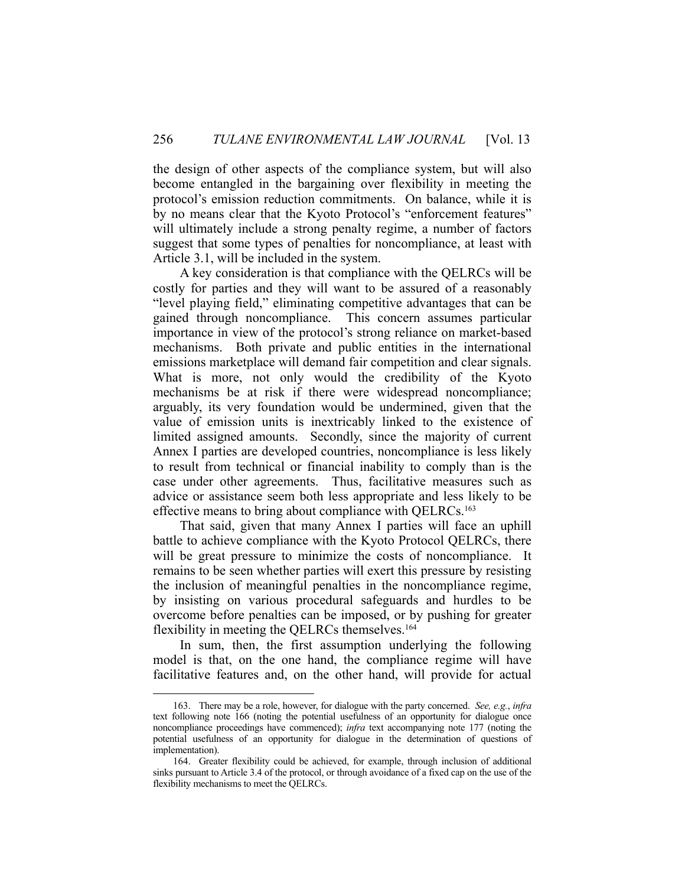the design of other aspects of the compliance system, but will also become entangled in the bargaining over flexibility in meeting the protocol's emission reduction commitments. On balance, while it is by no means clear that the Kyoto Protocol's "enforcement features" will ultimately include a strong penalty regime, a number of factors suggest that some types of penalties for noncompliance, at least with Article 3.1, will be included in the system.

 A key consideration is that compliance with the QELRCs will be costly for parties and they will want to be assured of a reasonably "level playing field," eliminating competitive advantages that can be gained through noncompliance. This concern assumes particular importance in view of the protocol's strong reliance on market-based mechanisms. Both private and public entities in the international emissions marketplace will demand fair competition and clear signals. What is more, not only would the credibility of the Kyoto mechanisms be at risk if there were widespread noncompliance; arguably, its very foundation would be undermined, given that the value of emission units is inextricably linked to the existence of limited assigned amounts. Secondly, since the majority of current Annex I parties are developed countries, noncompliance is less likely to result from technical or financial inability to comply than is the case under other agreements. Thus, facilitative measures such as advice or assistance seem both less appropriate and less likely to be effective means to bring about compliance with QELRCs.<sup>163</sup>

 That said, given that many Annex I parties will face an uphill battle to achieve compliance with the Kyoto Protocol QELRCs, there will be great pressure to minimize the costs of noncompliance. It remains to be seen whether parties will exert this pressure by resisting the inclusion of meaningful penalties in the noncompliance regime, by insisting on various procedural safeguards and hurdles to be overcome before penalties can be imposed, or by pushing for greater flexibility in meeting the QELRCs themselves.<sup>164</sup>

 In sum, then, the first assumption underlying the following model is that, on the one hand, the compliance regime will have facilitative features and, on the other hand, will provide for actual

 <sup>163.</sup> There may be a role, however, for dialogue with the party concerned. *See, e.g.*, *infra* text following note 166 (noting the potential usefulness of an opportunity for dialogue once noncompliance proceedings have commenced); *infra* text accompanying note 177 (noting the potential usefulness of an opportunity for dialogue in the determination of questions of implementation).

 <sup>164.</sup> Greater flexibility could be achieved, for example, through inclusion of additional sinks pursuant to Article 3.4 of the protocol, or through avoidance of a fixed cap on the use of the flexibility mechanisms to meet the QELRCs.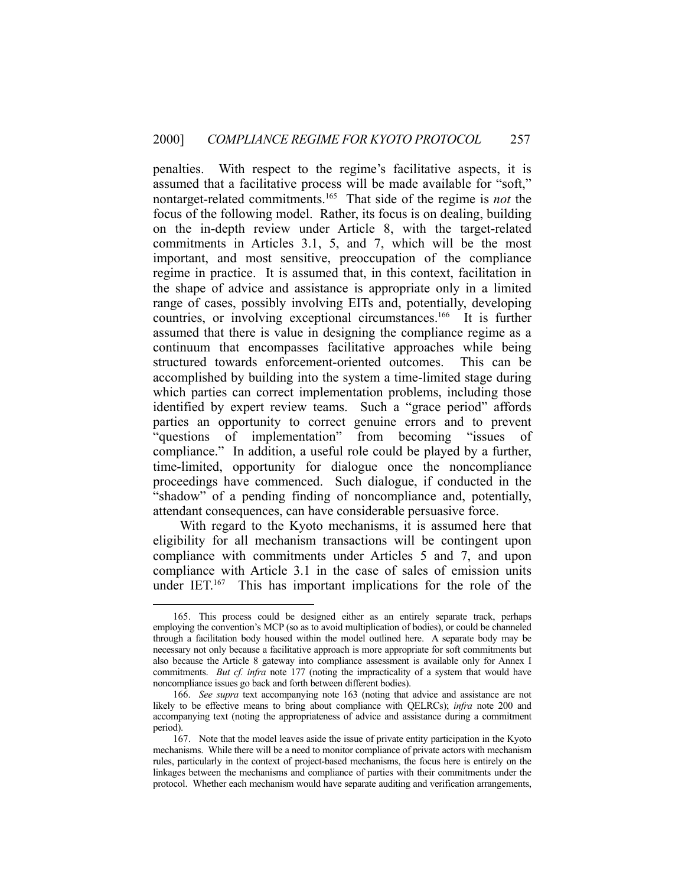penalties. With respect to the regime's facilitative aspects, it is assumed that a facilitative process will be made available for "soft," nontarget-related commitments.165 That side of the regime is *not* the focus of the following model. Rather, its focus is on dealing, building on the in-depth review under Article 8, with the target-related commitments in Articles 3.1, 5, and 7, which will be the most important, and most sensitive, preoccupation of the compliance regime in practice. It is assumed that, in this context, facilitation in the shape of advice and assistance is appropriate only in a limited range of cases, possibly involving EITs and, potentially, developing countries, or involving exceptional circumstances.166 It is further assumed that there is value in designing the compliance regime as a continuum that encompasses facilitative approaches while being structured towards enforcement-oriented outcomes. This can be accomplished by building into the system a time-limited stage during which parties can correct implementation problems, including those identified by expert review teams. Such a "grace period" affords parties an opportunity to correct genuine errors and to prevent "questions of implementation" from becoming "issues of compliance." In addition, a useful role could be played by a further, time-limited, opportunity for dialogue once the noncompliance proceedings have commenced. Such dialogue, if conducted in the "shadow" of a pending finding of noncompliance and, potentially, attendant consequences, can have considerable persuasive force.

 With regard to the Kyoto mechanisms, it is assumed here that eligibility for all mechanism transactions will be contingent upon compliance with commitments under Articles 5 and 7, and upon compliance with Article 3.1 in the case of sales of emission units under IET.<sup>167</sup> This has important implications for the role of the

 <sup>165.</sup> This process could be designed either as an entirely separate track, perhaps employing the convention's MCP (so as to avoid multiplication of bodies), or could be channeled through a facilitation body housed within the model outlined here. A separate body may be necessary not only because a facilitative approach is more appropriate for soft commitments but also because the Article 8 gateway into compliance assessment is available only for Annex I commitments. *But cf. infra* note 177 (noting the impracticality of a system that would have noncompliance issues go back and forth between different bodies).

 <sup>166.</sup> *See supra* text accompanying note 163 (noting that advice and assistance are not likely to be effective means to bring about compliance with QELRCs); *infra* note 200 and accompanying text (noting the appropriateness of advice and assistance during a commitment period).

 <sup>167.</sup> Note that the model leaves aside the issue of private entity participation in the Kyoto mechanisms. While there will be a need to monitor compliance of private actors with mechanism rules, particularly in the context of project-based mechanisms, the focus here is entirely on the linkages between the mechanisms and compliance of parties with their commitments under the protocol. Whether each mechanism would have separate auditing and verification arrangements,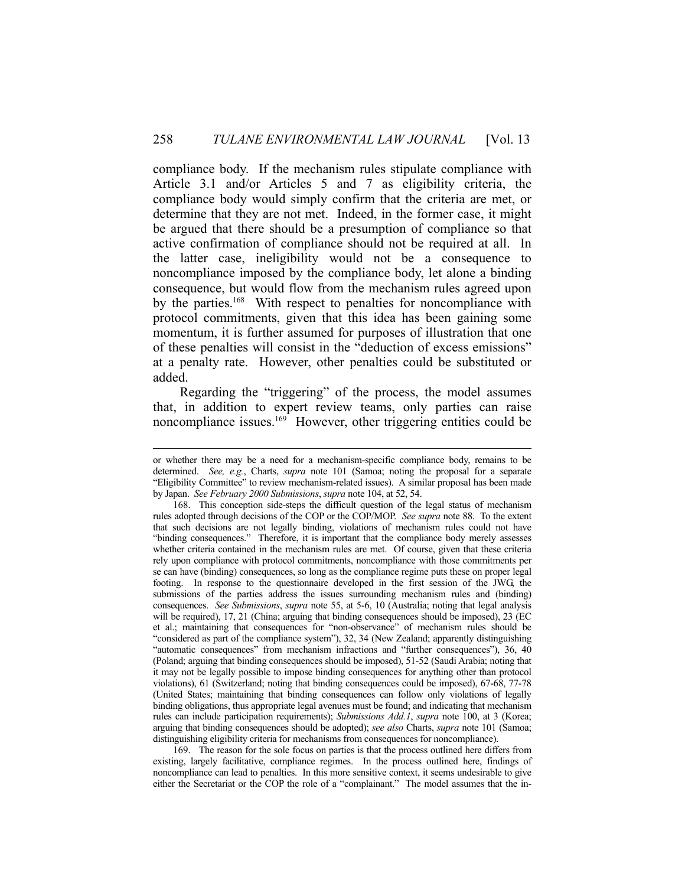compliance body. If the mechanism rules stipulate compliance with Article 3.1 and/or Articles 5 and 7 as eligibility criteria, the compliance body would simply confirm that the criteria are met, or determine that they are not met. Indeed, in the former case, it might be argued that there should be a presumption of compliance so that active confirmation of compliance should not be required at all. In the latter case, ineligibility would not be a consequence to noncompliance imposed by the compliance body, let alone a binding consequence, but would flow from the mechanism rules agreed upon by the parties.<sup>168</sup> With respect to penalties for noncompliance with protocol commitments, given that this idea has been gaining some momentum, it is further assumed for purposes of illustration that one of these penalties will consist in the "deduction of excess emissions" at a penalty rate. However, other penalties could be substituted or added.

 Regarding the "triggering" of the process, the model assumes that, in addition to expert review teams, only parties can raise noncompliance issues.<sup>169</sup> However, other triggering entities could be

 169. The reason for the sole focus on parties is that the process outlined here differs from existing, largely facilitative, compliance regimes. In the process outlined here, findings of noncompliance can lead to penalties. In this more sensitive context, it seems undesirable to give either the Secretariat or the COP the role of a "complainant." The model assumes that the in-

or whether there may be a need for a mechanism-specific compliance body, remains to be determined. *See, e.g.*, Charts, *supra* note 101 (Samoa; noting the proposal for a separate "Eligibility Committee" to review mechanism-related issues). A similar proposal has been made by Japan. *See February 2000 Submissions*, *supra* note 104, at 52, 54.

 <sup>168.</sup> This conception side-steps the difficult question of the legal status of mechanism rules adopted through decisions of the COP or the COP/MOP. *See supra* note 88. To the extent that such decisions are not legally binding, violations of mechanism rules could not have "binding consequences." Therefore, it is important that the compliance body merely assesses whether criteria contained in the mechanism rules are met. Of course, given that these criteria rely upon compliance with protocol commitments, noncompliance with those commitments per se can have (binding) consequences, so long as the compliance regime puts these on proper legal footing. In response to the questionnaire developed in the first session of the JWG, the submissions of the parties address the issues surrounding mechanism rules and (binding) consequences. *See Submissions*, *supra* note 55, at 5-6, 10 (Australia; noting that legal analysis will be required), 17, 21 (China; arguing that binding consequences should be imposed), 23 (EC et al.; maintaining that consequences for "non-observance" of mechanism rules should be "considered as part of the compliance system"), 32, 34 (New Zealand; apparently distinguishing "automatic consequences" from mechanism infractions and "further consequences"), 36, 40 (Poland; arguing that binding consequences should be imposed), 51-52 (Saudi Arabia; noting that it may not be legally possible to impose binding consequences for anything other than protocol violations), 61 (Switzerland; noting that binding consequences could be imposed), 67-68, 77-78 (United States; maintaining that binding consequences can follow only violations of legally binding obligations, thus appropriate legal avenues must be found; and indicating that mechanism rules can include participation requirements); *Submissions Add.1*, *supra* note 100, at 3 (Korea; arguing that binding consequences should be adopted); *see also* Charts, *supra* note 101 (Samoa; distinguishing eligibility criteria for mechanisms from consequences for noncompliance).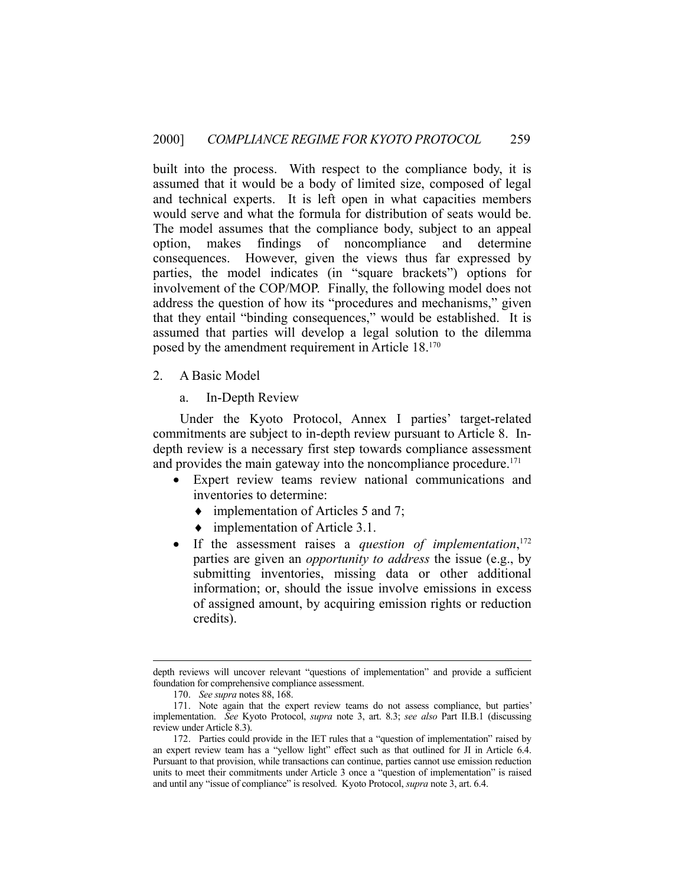built into the process. With respect to the compliance body, it is assumed that it would be a body of limited size, composed of legal and technical experts. It is left open in what capacities members would serve and what the formula for distribution of seats would be. The model assumes that the compliance body, subject to an appeal option, makes findings of noncompliance and determine consequences. However, given the views thus far expressed by parties, the model indicates (in "square brackets") options for involvement of the COP/MOP. Finally, the following model does not address the question of how its "procedures and mechanisms," given that they entail "binding consequences," would be established. It is assumed that parties will develop a legal solution to the dilemma posed by the amendment requirement in Article 18.170

- 2. A Basic Model
	- a. In-Depth Review

 Under the Kyoto Protocol, Annex I parties' target-related commitments are subject to in-depth review pursuant to Article 8. Indepth review is a necessary first step towards compliance assessment and provides the main gateway into the noncompliance procedure.<sup>171</sup>

- Expert review teams review national communications and inventories to determine:
	- implementation of Articles 5 and 7;
	- implementation of Article 3.1.
- If the assessment raises a *question of implementation*,<sup>172</sup> parties are given an *opportunity to address* the issue (e.g., by submitting inventories, missing data or other additional information; or, should the issue involve emissions in excess of assigned amount, by acquiring emission rights or reduction credits).

depth reviews will uncover relevant "questions of implementation" and provide a sufficient foundation for comprehensive compliance assessment.

 <sup>170.</sup> *See supra* notes 88, 168.

 <sup>171.</sup> Note again that the expert review teams do not assess compliance, but parties' implementation. *See* Kyoto Protocol, *supra* note 3, art. 8.3; *see also* Part II.B.1 (discussing review under Article 8.3).

 <sup>172.</sup> Parties could provide in the IET rules that a "question of implementation" raised by an expert review team has a "yellow light" effect such as that outlined for JI in Article 6.4. Pursuant to that provision, while transactions can continue, parties cannot use emission reduction units to meet their commitments under Article 3 once a "question of implementation" is raised and until any "issue of compliance" is resolved. Kyoto Protocol, *supra* note 3, art. 6.4.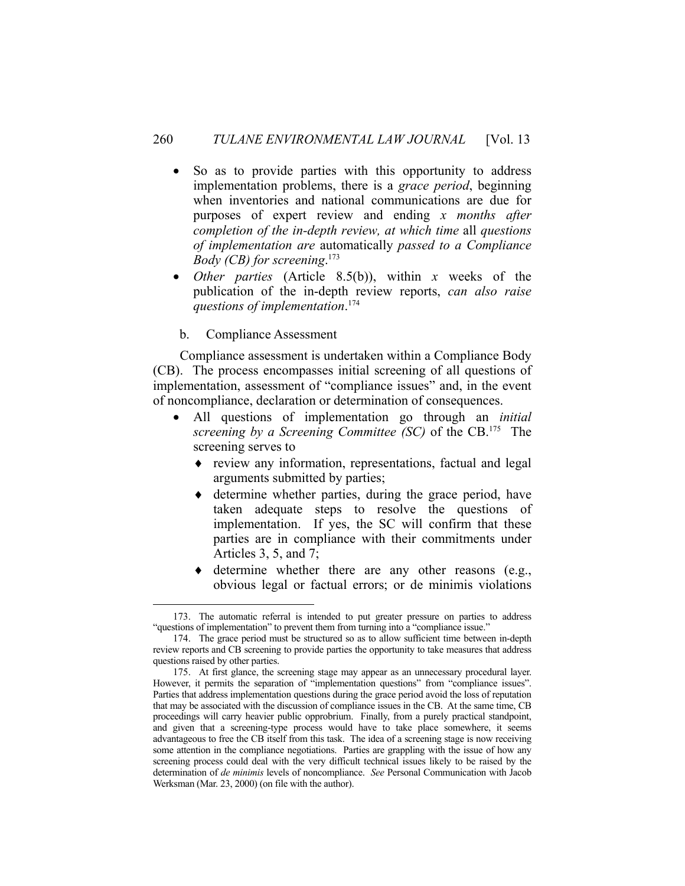- So as to provide parties with this opportunity to address implementation problems, there is a *grace period*, beginning when inventories and national communications are due for purposes of expert review and ending *x months after completion of the in-depth review, at which time* all *questions of implementation are* automatically *passed to a Compliance Body (CB) for screening*. 173
- *Other parties* (Article 8.5(b)), within *x* weeks of the publication of the in-depth review reports, *can also raise questions of implementation*. 174
- b. Compliance Assessment

1

 Compliance assessment is undertaken within a Compliance Body (CB). The process encompasses initial screening of all questions of implementation, assessment of "compliance issues" and, in the event of noncompliance, declaration or determination of consequences.

- All questions of implementation go through an *initial screening by a Screening Committee (SC)* of the CB.175 The screening serves to
	- review any information, representations, factual and legal arguments submitted by parties;
	- $\bullet$  determine whether parties, during the grace period, have taken adequate steps to resolve the questions of implementation. If yes, the SC will confirm that these parties are in compliance with their commitments under Articles 3, 5, and 7;
	- $\bullet$  determine whether there are any other reasons (e.g., obvious legal or factual errors; or de minimis violations

 <sup>173.</sup> The automatic referral is intended to put greater pressure on parties to address "questions of implementation" to prevent them from turning into a "compliance issue."

 <sup>174.</sup> The grace period must be structured so as to allow sufficient time between in-depth review reports and CB screening to provide parties the opportunity to take measures that address questions raised by other parties.

 <sup>175.</sup> At first glance, the screening stage may appear as an unnecessary procedural layer. However, it permits the separation of "implementation questions" from "compliance issues". Parties that address implementation questions during the grace period avoid the loss of reputation that may be associated with the discussion of compliance issues in the CB. At the same time, CB proceedings will carry heavier public opprobrium. Finally, from a purely practical standpoint, and given that a screening-type process would have to take place somewhere, it seems advantageous to free the CB itself from this task. The idea of a screening stage is now receiving some attention in the compliance negotiations. Parties are grappling with the issue of how any screening process could deal with the very difficult technical issues likely to be raised by the determination of *de minimis* levels of noncompliance. *See* Personal Communication with Jacob Werksman (Mar. 23, 2000) (on file with the author).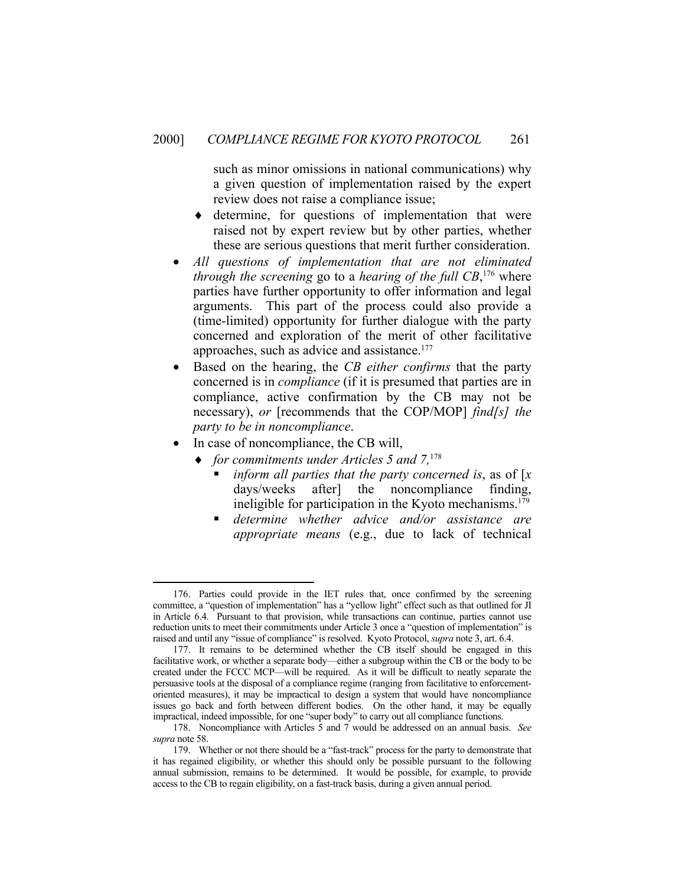such as minor omissions in national communications) why a given question of implementation raised by the expert review does not raise a compliance issue;

- determine, for questions of implementation that were raised not by expert review but by other parties, whether these are serious questions that merit further consideration.
- *All questions of implementation that are not eliminated through the screening* go to a *hearing of the full CB*, 176 where parties have further opportunity to offer information and legal arguments. This part of the process could also provide a (time-limited) opportunity for further dialogue with the party concerned and exploration of the merit of other facilitative approaches, such as advice and assistance.<sup>177</sup>
- Based on the hearing, the *CB either confirms* that the party concerned is in *compliance* (if it is presumed that parties are in compliance, active confirmation by the CB may not be necessary), *or* [recommends that the COP/MOP] *find[s] the party to be in noncompliance*.
- In case of noncompliance, the CB will,

- *for commitments under Articles 5 and 7,*<sup>178</sup>
	- *inform all parties that the party concerned is*, as of [*x* days/weeks after] the noncompliance finding, ineligible for participation in the Kyoto mechanisms. $179$
	- *determine whether advice and/or assistance are appropriate means* (e.g., due to lack of technical

 <sup>176.</sup> Parties could provide in the IET rules that, once confirmed by the screening committee, a "question of implementation" has a "yellow light" effect such as that outlined for JI in Article 6.4. Pursuant to that provision, while transactions can continue, parties cannot use reduction units to meet their commitments under Article 3 once a "question of implementation" is raised and until any "issue of compliance" is resolved. Kyoto Protocol, *supra* note 3, art. 6.4.

 <sup>177.</sup> It remains to be determined whether the CB itself should be engaged in this facilitative work, or whether a separate body—either a subgroup within the CB or the body to be created under the FCCC MCP—will be required. As it will be difficult to neatly separate the persuasive tools at the disposal of a compliance regime (ranging from facilitative to enforcementoriented measures), it may be impractical to design a system that would have noncompliance issues go back and forth between different bodies. On the other hand, it may be equally impractical, indeed impossible, for one "super body" to carry out all compliance functions.

 <sup>178.</sup> Noncompliance with Articles 5 and 7 would be addressed on an annual basis. *See supra* note 58.

 <sup>179.</sup> Whether or not there should be a "fast-track" process for the party to demonstrate that it has regained eligibility, or whether this should only be possible pursuant to the following annual submission, remains to be determined. It would be possible, for example, to provide access to the CB to regain eligibility, on a fast-track basis, during a given annual period.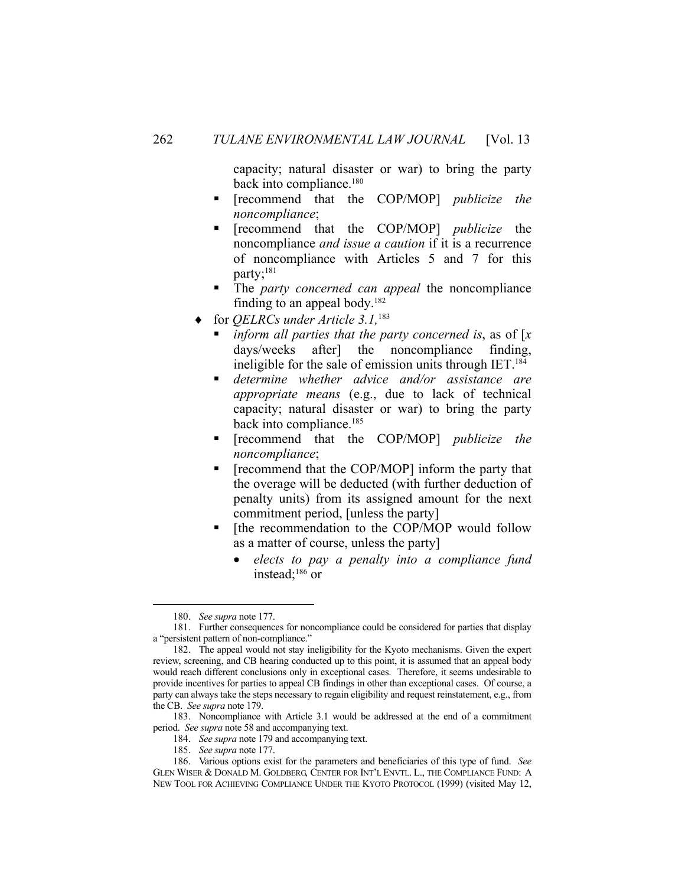capacity; natural disaster or war) to bring the party back into compliance.<sup>180</sup>

- [recommend that the COP/MOP] *publicize the noncompliance*;
- [recommend that the COP/MOP] *publicize* the noncompliance *and issue a caution* if it is a recurrence of noncompliance with Articles 5 and 7 for this party;<sup>181</sup>
- The *party concerned can appeal* the noncompliance finding to an appeal body.<sup>182</sup>
- for *QELRCs under Article 3.1,*<sup>183</sup>
	- *inform all parties that the party concerned is*, as of [*x* days/weeks after] the noncompliance finding, ineligible for the sale of emission units through IET.<sup>184</sup>
	- *determine whether advice and/or assistance are appropriate means* (e.g., due to lack of technical capacity; natural disaster or war) to bring the party back into compliance.<sup>185</sup>
	- [recommend that the COP/MOP] *publicize the noncompliance*;
	- **Figure 1** [recommend that the COP/MOP] inform the party that the overage will be deducted (with further deduction of penalty units) from its assigned amount for the next commitment period, [unless the party]
	- $\blacksquare$  [the recommendation to the COP/MOP would follow as a matter of course, unless the party]
		- *elects to pay a penalty into a compliance fund*  instead;186 or

 <sup>180.</sup> *See supra* note 177.

 <sup>181.</sup> Further consequences for noncompliance could be considered for parties that display a "persistent pattern of non-compliance."

 <sup>182.</sup> The appeal would not stay ineligibility for the Kyoto mechanisms. Given the expert review, screening, and CB hearing conducted up to this point, it is assumed that an appeal body would reach different conclusions only in exceptional cases. Therefore, it seems undesirable to provide incentives for parties to appeal CB findings in other than exceptional cases. Of course, a party can always take the steps necessary to regain eligibility and request reinstatement, e.g., from the CB. *See supra* note 179.

 <sup>183.</sup> Noncompliance with Article 3.1 would be addressed at the end of a commitment period. *See supra* note 58 and accompanying text.

 <sup>184.</sup> *See supra* note 179 and accompanying text.

 <sup>185.</sup> *See supra* note 177.

 <sup>186.</sup> Various options exist for the parameters and beneficiaries of this type of fund. *See* GLEN WISER & DONALD M. GOLDBERG, CENTER FOR INT'L ENVTL. L., THE COMPLIANCE FUND: A NEW TOOL FOR ACHIEVING COMPLIANCE UNDER THE KYOTO PROTOCOL (1999) (visited May 12,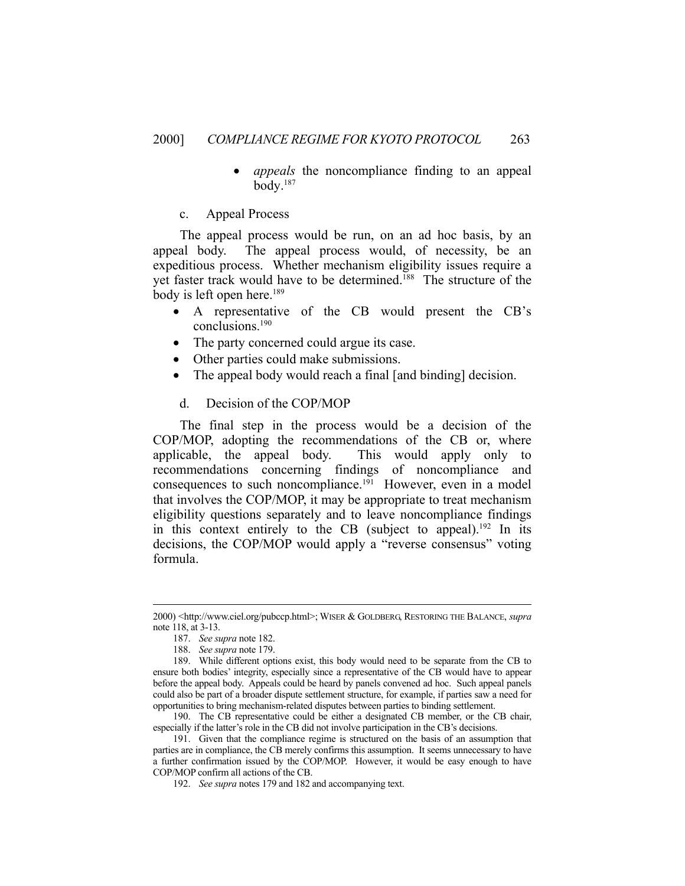- *appeals* the noncompliance finding to an appeal body.187
- c. Appeal Process

 The appeal process would be run, on an ad hoc basis, by an appeal body. The appeal process would, of necessity, be an expeditious process. Whether mechanism eligibility issues require a yet faster track would have to be determined.<sup>188</sup> The structure of the body is left open here.<sup>189</sup>

- A representative of the CB would present the CB's conclusions.190
- The party concerned could argue its case.
- Other parties could make submissions.
- The appeal body would reach a final [and binding] decision.
- d. Decision of the COP/MOP

 The final step in the process would be a decision of the COP/MOP, adopting the recommendations of the CB or, where applicable, the appeal body. This would apply only to recommendations concerning findings of noncompliance and consequences to such noncompliance.<sup>191</sup> However, even in a model that involves the COP/MOP, it may be appropriate to treat mechanism eligibility questions separately and to leave noncompliance findings in this context entirely to the CB (subject to appeal).<sup>192</sup> In its decisions, the COP/MOP would apply a "reverse consensus" voting formula.

 <sup>2000) &</sup>lt;http://www.ciel.org/pubccp.html>; WISER & GOLDBERG, RESTORING THE BALANCE, *supra* note 118, at 3-13.

 <sup>187.</sup> *See supra* note 182.

 <sup>188.</sup> *See supra* note 179.

 <sup>189.</sup> While different options exist, this body would need to be separate from the CB to ensure both bodies' integrity, especially since a representative of the CB would have to appear before the appeal body. Appeals could be heard by panels convened ad hoc. Such appeal panels could also be part of a broader dispute settlement structure, for example, if parties saw a need for opportunities to bring mechanism-related disputes between parties to binding settlement.

 <sup>190.</sup> The CB representative could be either a designated CB member, or the CB chair, especially if the latter's role in the CB did not involve participation in the CB's decisions.

 <sup>191.</sup> Given that the compliance regime is structured on the basis of an assumption that parties are in compliance, the CB merely confirms this assumption. It seems unnecessary to have a further confirmation issued by the COP/MOP. However, it would be easy enough to have COP/MOP confirm all actions of the CB.

 <sup>192.</sup> *See supra* notes 179 and 182 and accompanying text.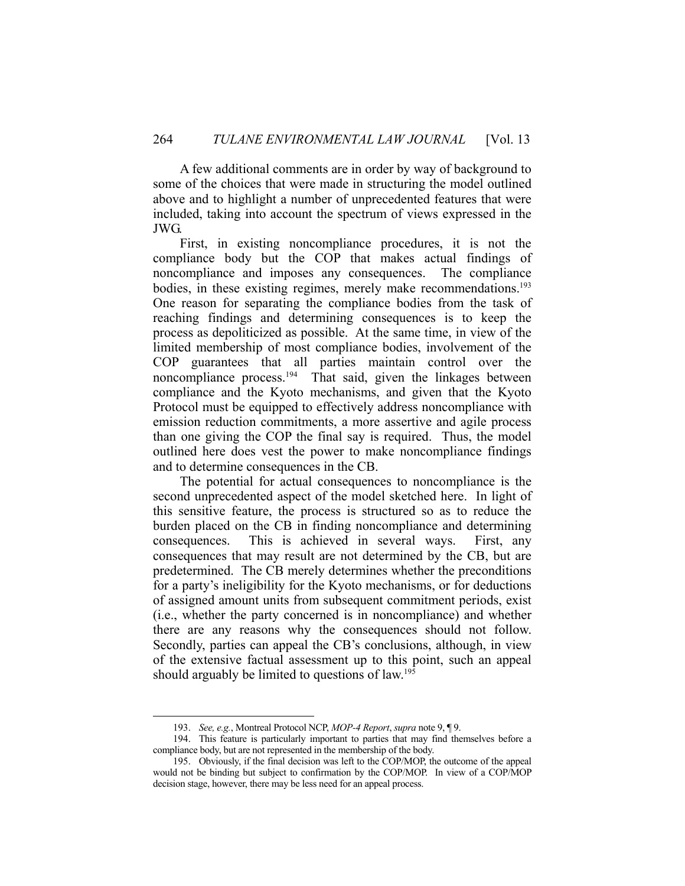A few additional comments are in order by way of background to some of the choices that were made in structuring the model outlined above and to highlight a number of unprecedented features that were included, taking into account the spectrum of views expressed in the JWG.

 First, in existing noncompliance procedures, it is not the compliance body but the COP that makes actual findings of noncompliance and imposes any consequences. The compliance bodies, in these existing regimes, merely make recommendations.<sup>193</sup> One reason for separating the compliance bodies from the task of reaching findings and determining consequences is to keep the process as depoliticized as possible. At the same time, in view of the limited membership of most compliance bodies, involvement of the COP guarantees that all parties maintain control over the noncompliance process.<sup>194</sup> That said, given the linkages between compliance and the Kyoto mechanisms, and given that the Kyoto Protocol must be equipped to effectively address noncompliance with emission reduction commitments, a more assertive and agile process than one giving the COP the final say is required. Thus, the model outlined here does vest the power to make noncompliance findings and to determine consequences in the CB.

 The potential for actual consequences to noncompliance is the second unprecedented aspect of the model sketched here. In light of this sensitive feature, the process is structured so as to reduce the burden placed on the CB in finding noncompliance and determining consequences. This is achieved in several ways. First, any consequences that may result are not determined by the CB, but are predetermined. The CB merely determines whether the preconditions for a party's ineligibility for the Kyoto mechanisms, or for deductions of assigned amount units from subsequent commitment periods, exist (i.e., whether the party concerned is in noncompliance) and whether there are any reasons why the consequences should not follow. Secondly, parties can appeal the CB's conclusions, although, in view of the extensive factual assessment up to this point, such an appeal should arguably be limited to questions of law.<sup>195</sup>

 <sup>193.</sup> *See, e.g.*, Montreal Protocol NCP, *MOP-4 Report*, *supra* note 9, ¶ 9.

 <sup>194.</sup> This feature is particularly important to parties that may find themselves before a compliance body, but are not represented in the membership of the body.

 <sup>195.</sup> Obviously, if the final decision was left to the COP/MOP, the outcome of the appeal would not be binding but subject to confirmation by the COP/MOP. In view of a COP/MOP decision stage, however, there may be less need for an appeal process.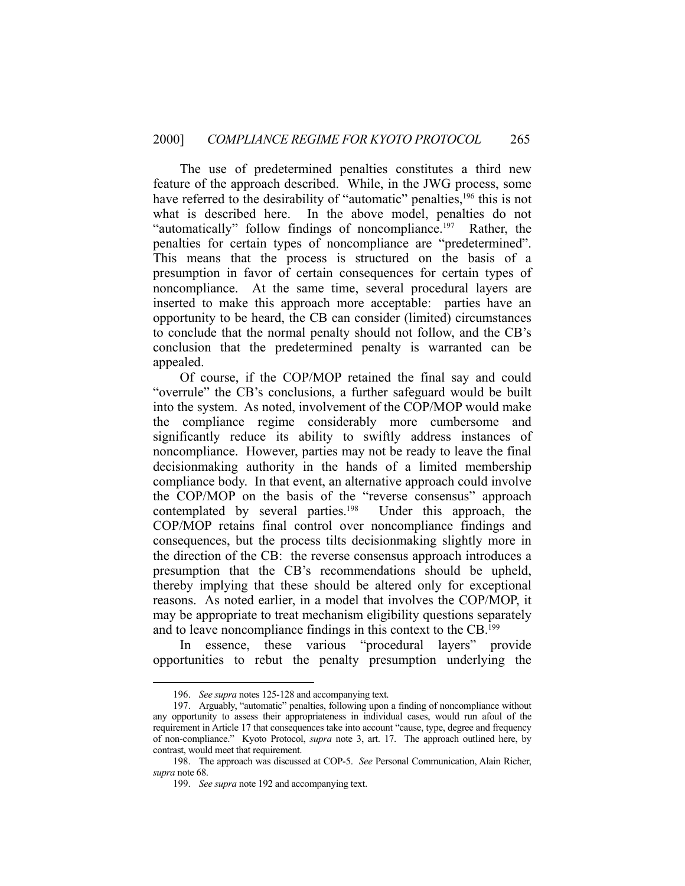The use of predetermined penalties constitutes a third new feature of the approach described. While, in the JWG process, some have referred to the desirability of "automatic" penalties,<sup>196</sup> this is not what is described here. In the above model, penalties do not "automatically" follow findings of noncompliance.<sup>197</sup> Rather, the penalties for certain types of noncompliance are "predetermined". This means that the process is structured on the basis of a presumption in favor of certain consequences for certain types of noncompliance. At the same time, several procedural layers are inserted to make this approach more acceptable: parties have an opportunity to be heard, the CB can consider (limited) circumstances to conclude that the normal penalty should not follow, and the CB's conclusion that the predetermined penalty is warranted can be appealed.

 Of course, if the COP/MOP retained the final say and could "overrule" the CB's conclusions, a further safeguard would be built into the system. As noted, involvement of the COP/MOP would make the compliance regime considerably more cumbersome and significantly reduce its ability to swiftly address instances of noncompliance. However, parties may not be ready to leave the final decisionmaking authority in the hands of a limited membership compliance body. In that event, an alternative approach could involve the COP/MOP on the basis of the "reverse consensus" approach contemplated by several parties.<sup>198</sup> Under this approach, the COP/MOP retains final control over noncompliance findings and consequences, but the process tilts decisionmaking slightly more in the direction of the CB: the reverse consensus approach introduces a presumption that the CB's recommendations should be upheld, thereby implying that these should be altered only for exceptional reasons. As noted earlier, in a model that involves the COP/MOP, it may be appropriate to treat mechanism eligibility questions separately and to leave noncompliance findings in this context to the CB.199

 In essence, these various "procedural layers" provide opportunities to rebut the penalty presumption underlying the

 <sup>196.</sup> *See supra* notes 125-128 and accompanying text.

 <sup>197.</sup> Arguably, "automatic" penalties, following upon a finding of noncompliance without any opportunity to assess their appropriateness in individual cases, would run afoul of the requirement in Article 17 that consequences take into account "cause, type, degree and frequency of non-compliance." Kyoto Protocol, *supra* note 3, art. 17. The approach outlined here, by contrast, would meet that requirement.

 <sup>198.</sup> The approach was discussed at COP-5. *See* Personal Communication, Alain Richer, *supra* note 68.

 <sup>199.</sup> *See supra* note 192 and accompanying text.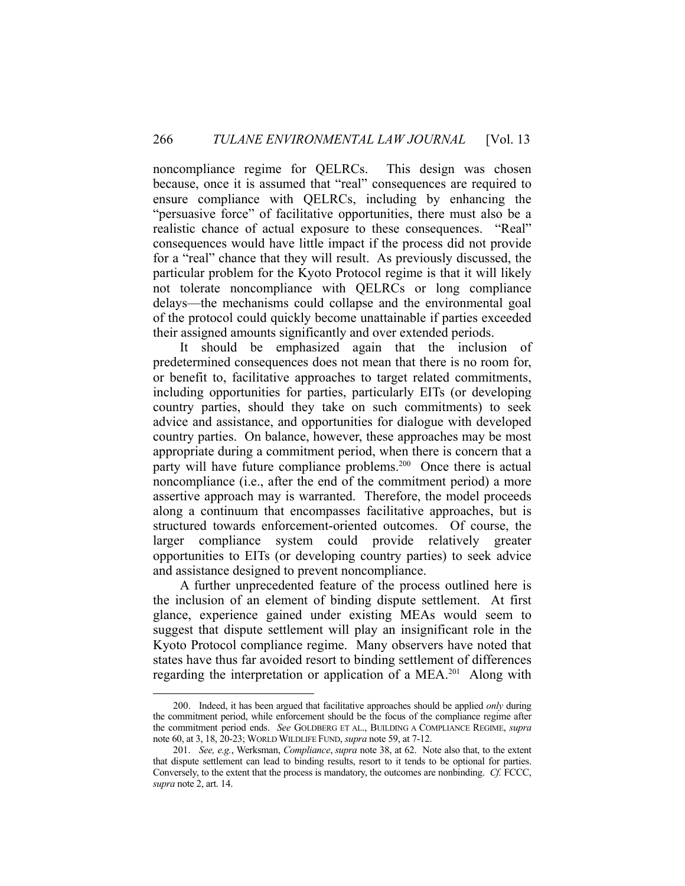noncompliance regime for QELRCs. This design was chosen because, once it is assumed that "real" consequences are required to ensure compliance with QELRCs, including by enhancing the "persuasive force" of facilitative opportunities, there must also be a realistic chance of actual exposure to these consequences. "Real" consequences would have little impact if the process did not provide for a "real" chance that they will result. As previously discussed, the particular problem for the Kyoto Protocol regime is that it will likely not tolerate noncompliance with QELRCs or long compliance delays—the mechanisms could collapse and the environmental goal of the protocol could quickly become unattainable if parties exceeded their assigned amounts significantly and over extended periods.

 It should be emphasized again that the inclusion of predetermined consequences does not mean that there is no room for, or benefit to, facilitative approaches to target related commitments, including opportunities for parties, particularly EITs (or developing country parties, should they take on such commitments) to seek advice and assistance, and opportunities for dialogue with developed country parties. On balance, however, these approaches may be most appropriate during a commitment period, when there is concern that a party will have future compliance problems.<sup>200</sup> Once there is actual noncompliance (i.e., after the end of the commitment period) a more assertive approach may is warranted. Therefore, the model proceeds along a continuum that encompasses facilitative approaches, but is structured towards enforcement-oriented outcomes. Of course, the larger compliance system could provide relatively greater opportunities to EITs (or developing country parties) to seek advice and assistance designed to prevent noncompliance.

 A further unprecedented feature of the process outlined here is the inclusion of an element of binding dispute settlement. At first glance, experience gained under existing MEAs would seem to suggest that dispute settlement will play an insignificant role in the Kyoto Protocol compliance regime. Many observers have noted that states have thus far avoided resort to binding settlement of differences regarding the interpretation or application of a MEA.<sup>201</sup> Along with

 <sup>200.</sup> Indeed, it has been argued that facilitative approaches should be applied *only* during the commitment period, while enforcement should be the focus of the compliance regime after the commitment period ends. *See* GOLDBERG ET AL., BUILDING A COMPLIANCE REGIME, *supra* note 60, at 3, 18, 20-23; WORLD WILDLIFE FUND, *supra* note 59, at 7-12.

 <sup>201.</sup> *See, e.g.*, Werksman, *Compliance*, *supra* note 38, at 62. Note also that, to the extent that dispute settlement can lead to binding results, resort to it tends to be optional for parties. Conversely, to the extent that the process is mandatory, the outcomes are nonbinding. *Cf.* FCCC, *supra* note 2, art. 14.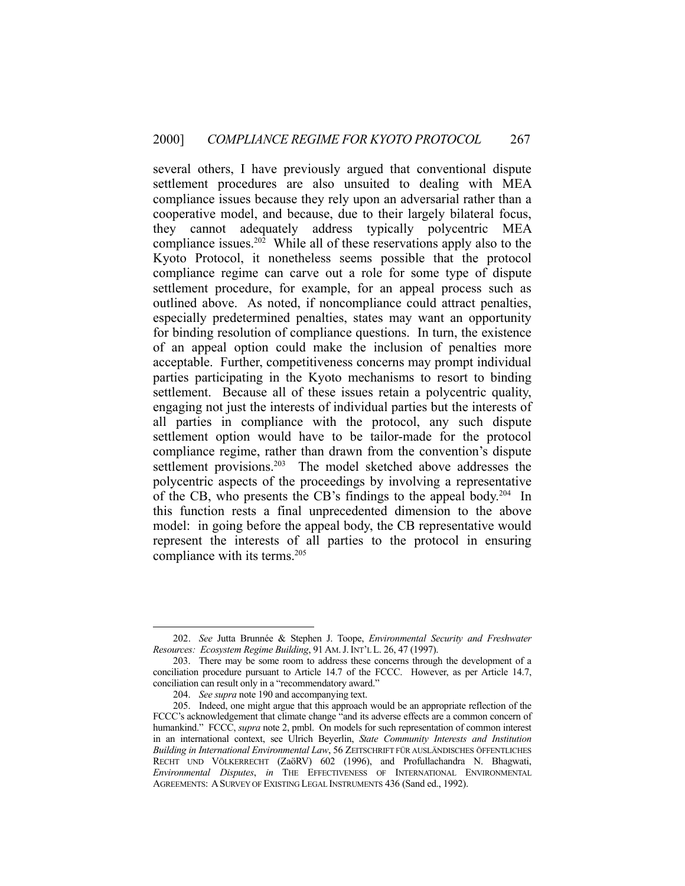several others, I have previously argued that conventional dispute settlement procedures are also unsuited to dealing with MEA compliance issues because they rely upon an adversarial rather than a cooperative model, and because, due to their largely bilateral focus, they cannot adequately address typically polycentric MEA compliance issues.202 While all of these reservations apply also to the Kyoto Protocol, it nonetheless seems possible that the protocol compliance regime can carve out a role for some type of dispute settlement procedure, for example, for an appeal process such as outlined above. As noted, if noncompliance could attract penalties, especially predetermined penalties, states may want an opportunity for binding resolution of compliance questions. In turn, the existence of an appeal option could make the inclusion of penalties more acceptable. Further, competitiveness concerns may prompt individual parties participating in the Kyoto mechanisms to resort to binding settlement. Because all of these issues retain a polycentric quality, engaging not just the interests of individual parties but the interests of all parties in compliance with the protocol, any such dispute settlement option would have to be tailor-made for the protocol compliance regime, rather than drawn from the convention's dispute settlement provisions.<sup>203</sup> The model sketched above addresses the polycentric aspects of the proceedings by involving a representative of the CB, who presents the CB's findings to the appeal body.204 In this function rests a final unprecedented dimension to the above model: in going before the appeal body, the CB representative would represent the interests of all parties to the protocol in ensuring compliance with its terms.205

 <sup>202.</sup> *See* Jutta Brunnée & Stephen J. Toope, *Environmental Security and Freshwater Resources: Ecosystem Regime Building*, 91 AM.J.INT'L L. 26, 47 (1997).

 <sup>203.</sup> There may be some room to address these concerns through the development of a conciliation procedure pursuant to Article 14.7 of the FCCC. However, as per Article 14.7, conciliation can result only in a "recommendatory award."

 <sup>204.</sup> *See supra* note 190 and accompanying text.

 <sup>205.</sup> Indeed, one might argue that this approach would be an appropriate reflection of the FCCC's acknowledgement that climate change "and its adverse effects are a common concern of humankind." FCCC, *supra* note 2, pmbl. On models for such representation of common interest in an international context, see Ulrich Beyerlin, *State Community Interests and Institution Building in International Environmental Law*, 56 ZEITSCHRIFT FÜR AUSLÄNDISCHES ÖFFENTLICHES RECHT UND VÖLKERRECHT (ZaöRV) 602 (1996), and Profullachandra N. Bhagwati, *Environmental Disputes*, *in* THE EFFECTIVENESS OF INTERNATIONAL ENVIRONMENTAL AGREEMENTS: ASURVEY OF EXISTING LEGAL INSTRUMENTS 436 (Sand ed., 1992).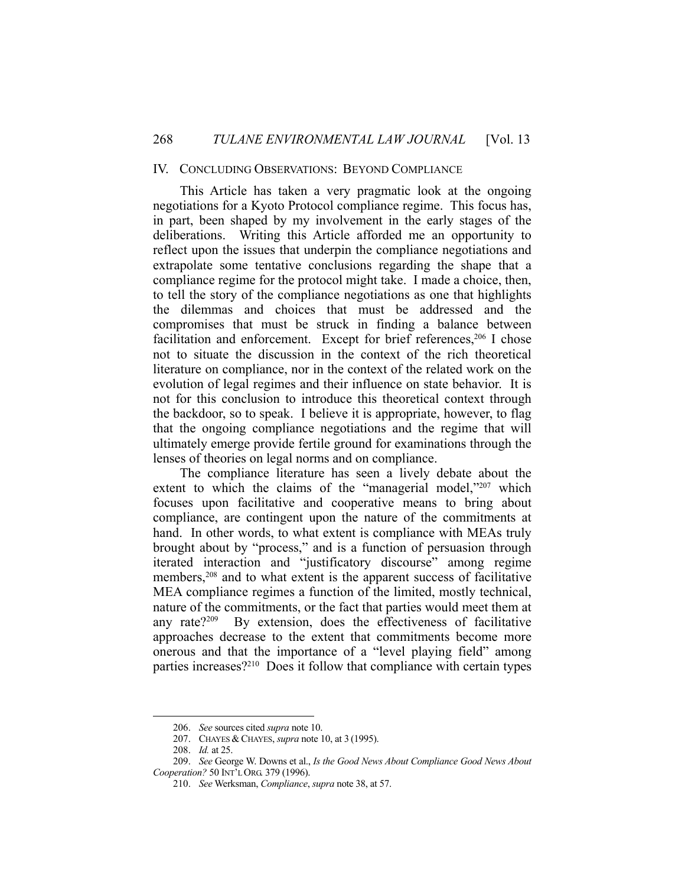#### IV. CONCLUDING OBSERVATIONS: BEYOND COMPLIANCE

 This Article has taken a very pragmatic look at the ongoing negotiations for a Kyoto Protocol compliance regime. This focus has, in part, been shaped by my involvement in the early stages of the deliberations. Writing this Article afforded me an opportunity to reflect upon the issues that underpin the compliance negotiations and extrapolate some tentative conclusions regarding the shape that a compliance regime for the protocol might take. I made a choice, then, to tell the story of the compliance negotiations as one that highlights the dilemmas and choices that must be addressed and the compromises that must be struck in finding a balance between facilitation and enforcement. Except for brief references,<sup>206</sup> I chose not to situate the discussion in the context of the rich theoretical literature on compliance, nor in the context of the related work on the evolution of legal regimes and their influence on state behavior. It is not for this conclusion to introduce this theoretical context through the backdoor, so to speak. I believe it is appropriate, however, to flag that the ongoing compliance negotiations and the regime that will ultimately emerge provide fertile ground for examinations through the lenses of theories on legal norms and on compliance.

 The compliance literature has seen a lively debate about the extent to which the claims of the "managerial model,"207 which focuses upon facilitative and cooperative means to bring about compliance, are contingent upon the nature of the commitments at hand. In other words, to what extent is compliance with MEAs truly brought about by "process," and is a function of persuasion through iterated interaction and "justificatory discourse" among regime members,208 and to what extent is the apparent success of facilitative MEA compliance regimes a function of the limited, mostly technical, nature of the commitments, or the fact that parties would meet them at any rate?209 By extension, does the effectiveness of facilitative approaches decrease to the extent that commitments become more onerous and that the importance of a "level playing field" among parties increases?210 Does it follow that compliance with certain types

 <sup>206.</sup> *See* sources cited *supra* note 10.

 <sup>207.</sup> CHAYES & CHAYES, *supra* note 10, at 3 (1995).

 <sup>208.</sup> *Id.* at 25.

 <sup>209.</sup> *See* George W. Downs et al., *Is the Good News About Compliance Good News About Cooperation?* 50 INT'L ORG. 379 (1996).

 <sup>210.</sup> *See* Werksman, *Compliance*, *supra* note 38, at 57.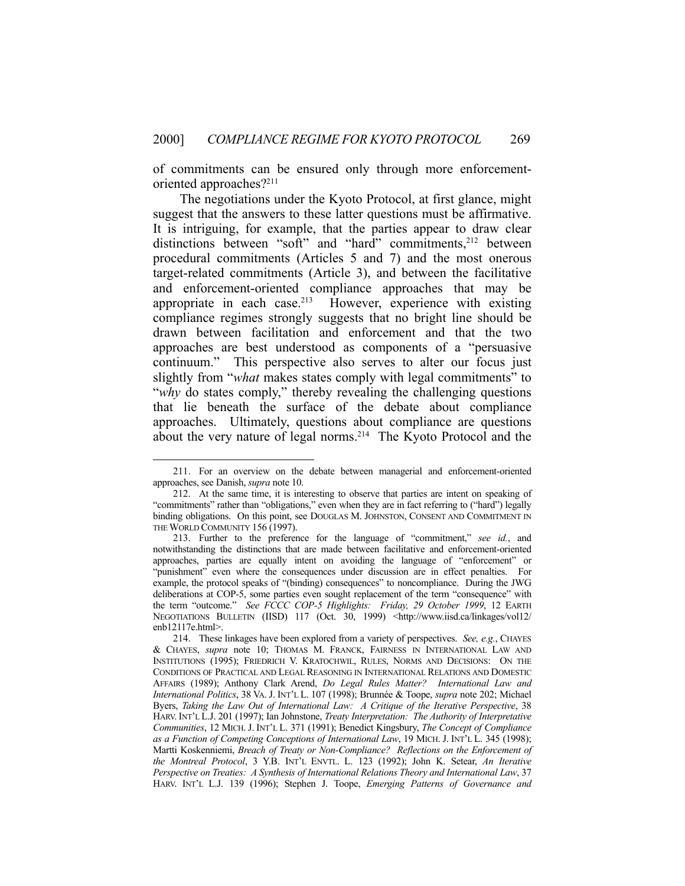of commitments can be ensured only through more enforcementoriented approaches?211

 The negotiations under the Kyoto Protocol, at first glance, might suggest that the answers to these latter questions must be affirmative. It is intriguing, for example, that the parties appear to draw clear distinctions between "soft" and "hard" commitments,<sup>212</sup> between procedural commitments (Articles 5 and 7) and the most onerous target-related commitments (Article 3), and between the facilitative and enforcement-oriented compliance approaches that may be appropriate in each case.<sup>213</sup> However, experience with existing compliance regimes strongly suggests that no bright line should be drawn between facilitation and enforcement and that the two approaches are best understood as components of a "persuasive continuum." This perspective also serves to alter our focus just slightly from "*what* makes states comply with legal commitments" to "*why* do states comply," thereby revealing the challenging questions that lie beneath the surface of the debate about compliance approaches. Ultimately, questions about compliance are questions about the very nature of legal norms.214 The Kyoto Protocol and the

 <sup>211.</sup> For an overview on the debate between managerial and enforcement-oriented approaches, see Danish, *supra* note 10.

 <sup>212.</sup> At the same time, it is interesting to observe that parties are intent on speaking of "commitments" rather than "obligations," even when they are in fact referring to ("hard") legally binding obligations. On this point, see DOUGLAS M. JOHNSTON, CONSENT AND COMMITMENT IN THE WORLD COMMUNITY 156 (1997).

 <sup>213.</sup> Further to the preference for the language of "commitment," *see id.*, and notwithstanding the distinctions that are made between facilitative and enforcement-oriented approaches, parties are equally intent on avoiding the language of "enforcement" or "punishment" even where the consequences under discussion are in effect penalties. For example, the protocol speaks of "(binding) consequences" to noncompliance. During the JWG deliberations at COP-5, some parties even sought replacement of the term "consequence" with the term "outcome." *See FCCC COP-5 Highlights: Friday, 29 October 1999*, 12 EARTH NEGOTIATIONS BULLETIN (IISD) 117 (Oct. 30, 1999) <http://www.iisd.ca/linkages/vol12/ enb12117e.html>.

 <sup>214.</sup> These linkages have been explored from a variety of perspectives. *See, e.g.*, CHAYES & CHAYES, *supra* note 10; THOMAS M. FRANCK, FAIRNESS IN INTERNATIONAL LAW AND INSTITUTIONS (1995); FRIEDRICH V. KRATOCHWIL, RULES, NORMS AND DECISIONS: ON THE CONDITIONS OF PRACTICAL AND LEGAL REASONING IN INTERNATIONAL RELATIONS AND DOMESTIC AFFAIRS (1989); Anthony Clark Arend, *Do Legal Rules Matter? International Law and International Politics*, 38 VA. J. INT'L L. 107 (1998); Brunnée & Toope, *supra* note 202; Michael Byers, *Taking the Law Out of International Law: A Critique of the Iterative Perspective*, 38 HARV. INT'L L.J. 201 (1997); Ian Johnstone, *Treaty Interpretation: The Authority of Interpretative Communities*, 12 MICH. J. INT'L L. 371 (1991); Benedict Kingsbury, *The Concept of Compliance as a Function of Competing Conceptions of International Law*, 19 MICH. J. INT'L L. 345 (1998); Martti Koskenniemi, *Breach of Treaty or Non-Compliance? Reflections on the Enforcement of the Montreal Protocol*, 3 Y.B. INT'L ENVTL. L. 123 (1992); John K. Setear, *An Iterative Perspective on Treaties: A Synthesis of International Relations Theory and International Law*, 37 HARV. INT'L L.J. 139 (1996); Stephen J. Toope, *Emerging Patterns of Governance and*